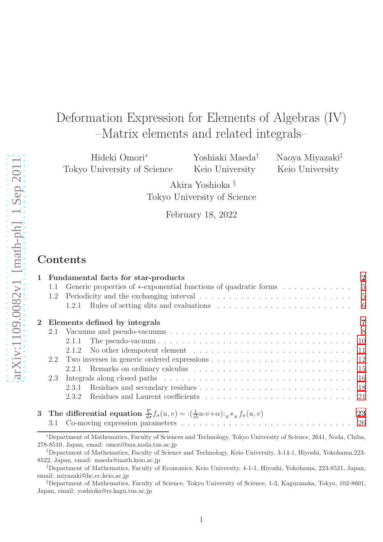# Deformation Expression for Elements of Algebras (IV) –Matrix elements and related integrals–

Hideki Omori<sup>∗</sup> Tokyo University of Science Yoshiaki Maeda† Keio University

Naoya Miyazaki‡ Keio University

Akira Yoshioka § Tokyo University of Science

February 18, 2022

# **Contents**

|          |     | 1 Fundamental facts for star-products                                                                                                                                         | $\overline{2}$ |
|----------|-----|-------------------------------------------------------------------------------------------------------------------------------------------------------------------------------|----------------|
|          | 1.1 |                                                                                                                                                                               |                |
|          | 1.2 | Periodicity and the exchanging interval $\ldots \ldots \ldots \ldots \ldots \ldots \ldots \ldots \ldots \ldots$                                                               |                |
|          |     |                                                                                                                                                                               |                |
| $\bf{2}$ |     | Elements defined by integrals                                                                                                                                                 |                |
|          | 2.1 |                                                                                                                                                                               |                |
|          |     | The pseudo-vacuum $\ldots \ldots \ldots \ldots \ldots \ldots \ldots \ldots \ldots \ldots \ldots$<br>2.1.1                                                                     |                |
|          |     | 2.1.2                                                                                                                                                                         |                |
|          | 2.2 |                                                                                                                                                                               |                |
|          |     | 2.2.1                                                                                                                                                                         |                |
|          | 2.3 | Integrals along closed paths $\ldots \ldots \ldots \ldots \ldots \ldots \ldots \ldots \ldots \ldots \ldots \ldots 16$                                                         |                |
|          |     | 2.3.1                                                                                                                                                                         |                |
|          |     | 2.3.2                                                                                                                                                                         |                |
|          |     | 3 The differential equation $\frac{\nabla}{d\sigma} f_{\sigma}(u, v) = \frac{\partial}{\partial u} u \cdot (u \cdot v) \cdot \frac{\partial}{\partial u} u \cdot (u \cdot v)$ | 23             |
|          | 3.1 |                                                                                                                                                                               |                |

<sup>∗</sup>Department of Mathematics, Faculty of Sciences and Technology, Tokyo University of Science, 2641, Noda, Chiba, 278-8510, Japan, email: omori@ma.noda.tus.ac.jp

<sup>†</sup>Department of Mathematics, Faculty of Science and Technology, Keio University, 3-14-1, Hiyoshi, Yokohama,223- 8522, Japan, email: maeda@math.keio.ac.jp

<sup>‡</sup>Department of Mathematics, Faculty of Economics, Keio University, 4-1-1, Hiyoshi, Yokohama, 223-8521, Japan, email: miyazaki@hc.cc.keio.ac.jp

<sup>§</sup>Department of Mathematics, Faculty of Science, Tokyo University of Science, 1-3, Kagurazaka, Tokyo, 102-8601, Japan, email: yoshioka@rs.kagu.tus.ac.jp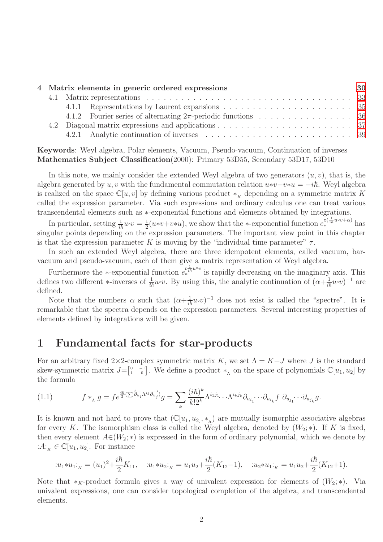|  | 4 Matrix elements in generic ordered expressions |  |
|--|--------------------------------------------------|--|
|  |                                                  |  |
|  |                                                  |  |
|  |                                                  |  |
|  |                                                  |  |
|  |                                                  |  |

Keywords: Weyl algebra, Polar elements, Vacuum, Pseudo-vacuum, Continuation of inverses Mathematics Subject Classification(2000): Primary 53D55, Secondary 53D17, 53D10

In this note, we mainly consider the extended Weyl algebra of two generators  $(u, v)$ , that is, the algebra generated by u, v with the fundamental commutation relation  $u*v-v*u = -i\hbar$ . Weyl algebra is realized on the space  $\mathbb{C}[u, v]$  by defining various product  $*_{\kappa}$  depending on a symmetric matrix K called the expression parameter. Via such expressions and ordinary calculus one can treat various transcendental elements such as ∗-exponential functions and elements obtained by integrations.

In particular, setting  $\frac{1}{i\hbar}u\circ v=\frac{1}{2}$  $\frac{1}{2}(u*v+v*u)$ , we show that the ∗-exponential function  $e_*^{z(\frac{1}{ih}u\circ v+\alpha)}$  has singular points depending on the expression parameters. The important view point in this chapter is that the expression parameter K is moving by the "individual time parameter"  $\tau$ .

In such an extended Weyl algebra, there are three idempotent elements, called vacuum, barvacuum and pseudo-vacuum, each of them give a matrix representation of Weyl algebra.

Furthermore the  $\ast$ -exponential function  $e^{\frac{t}{\ast \pi} u \circ v}$  is rapidly decreasing on the imaginary axis. This defines two different \*-inverses of  $\frac{1}{i\hbar}u\circ v$ . By using this, the analytic continuation of  $(\alpha+\frac{1}{i\hbar}u\circ v)^{-1}$  are defined.

Note that the numbers  $\alpha$  such that  $(\alpha + \frac{1}{i\hbar}u\circ v)^{-1}$  does not exist is called the "spectre". It is remarkable that the spectra depends on the expression parameters. Several interesting properties of elements defined by integrations will be given.

# <span id="page-1-0"></span>1 Fundamental facts for star-products

For an arbitrary fixed 2×2-complex symmetric matrix K, we set  $\Lambda = K + J$  where J is the standard skew-symmetric matrix  $J = \begin{bmatrix} 0 & -1 \\ 1 & 0 \end{bmatrix}$ . We define a product  $*_\Lambda$  on the space of polynomials  $\mathbb{C}[u_1, u_2]$  by the formula

(1.1) 
$$
f *_{\Lambda} g = f e^{\frac{i\hbar}{2} (\sum \overleftarrow{\partial_{u_i}} \Lambda^{ij} \overrightarrow{\partial_{u_j}})} g = \sum_{k} \frac{(i\hbar)^k}{k! 2^k} \Lambda^{i_1 j_1} \cdots \Lambda^{i_k j_k} \partial_{u_{i_1}} \cdots \partial_{u_{i_k}} f \partial_{u_{j_1}} \cdots \partial_{u_{j_k}} g.
$$

It is known and not hard to prove that  $(\mathbb{C}[u_1, u_2], *_{\Lambda})$  are mutually isomorphic associative algebras for every K. The isomorphism class is called the Weyl algebra, denoted by  $(W_2; *)$ . If K is fixed, then every element  $A\in (W_2; *)$  is expressed in the form of ordinary polynomial, which we denote by :  $A:_{\kappa} \in \mathbb{C}[u_1, u_2]$ . For instance

$$
:u_1*u_1:_{K}=(u_1)^2+\frac{i\hbar}{2}K_{11},\quad u_1*u_2:_{K}=u_1u_2+\frac{i\hbar}{2}(K_{12}-1),\quad u_2*u_1:_{K}=u_1u_2+\frac{i\hbar}{2}(K_{12}+1).
$$

Note that  $*_K$ -product formula gives a way of univalent expression for elements of  $(W_2; *)$ . Via univalent expressions, one can consider topological completion of the algebra, and transcendental elements.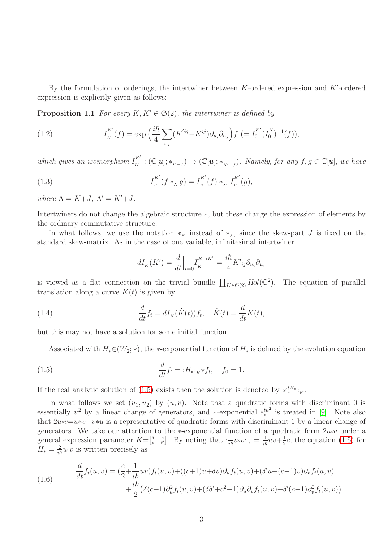By the formulation of orderings, the intertwiner between  $K$ -ordered expression and  $K'$ -ordered expression is explicitly given as follows:

**Proposition 1.1** For every  $K, K' \in \mathfrak{S}(2)$ , the intertwiner is defined by

<span id="page-2-2"></span>(1.2) 
$$
I_K^{K'}(f) = \exp\left(\frac{i\hbar}{4}\sum_{i,j}(K'^{ij} - K^{ij})\partial_{u_i}\partial_{u_j}\right)f = I_0^{K'}(I_0^K)^{-1}(f)),
$$

which gives an isomorphism  $I_{\kappa}^{K'}$  $K'_{K} : (\mathbb{C}[\boldsymbol{u}]; *_{K+J}) \to (\mathbb{C}[\boldsymbol{u}]; *_{K'+J}).$  Namely, for any  $f, g \in \mathbb{C}[\boldsymbol{u}],$  we have

(1.3) 
$$
I_K^{K'}(f *_{\Lambda} g) = I_K^{K'}(f) *_{\Lambda'} I_K^{K'}(g),
$$

where  $\Lambda = K + J$ ,  $\Lambda' = K' + J$ .

Intertwiners do not change the algebraic structure ∗, but these change the expression of elements by the ordinary commutative structure.

In what follows, we use the notation  $*_{K}$  instead of  $*_{\Lambda}$ , since the skew-part J is fixed on the standard skew-matrix. As in the case of one variable, infinitesimal intertwiner

<span id="page-2-1"></span>
$$
dI_{\scriptscriptstyle K}(K')=\frac{d}{dt}\Big|_{t=0}I_{\scriptscriptstyle K}^{\scriptscriptstyle K+tK'}=\frac{i\hbar}{4}K'{}_{ij}\partial_{u_i}\partial_{u_j}
$$

is viewed as a flat connection on the trivial bundle  $\prod_{K \in \mathfrak{S}(2)} Hol(\mathbb{C}^2)$ . The equation of parallel translation along a curve  $K(t)$  is given by

(1.4) 
$$
\frac{d}{dt}f_t = dI_K(\dot{K}(t))f_t, \quad \dot{K}(t) = \frac{d}{dt}K(t),
$$

but this may not have a solution for some initial function.

<span id="page-2-0"></span>Associated with  $H_*(W_2; *),$  the ∗-exponential function of  $H_*$  is defined by the evolution equation

(1.5) 
$$
\frac{d}{dt}f_t = :H_*:_{K^*}f_t, \quad f_0 = 1.
$$

If the real analytic solution of [\(1.5\)](#page-2-0) exists then the solution is denoted by  $:e^{tH_*}_{*}$ :

In what follows we set  $(u_1, u_2)$  by  $(u, v)$ . Note that a quadratic forms with discriminant 0 is essentially  $u^2$  by a linear change of generators, and ∗-exponential  $e^{tu^2}$  $t^{u^2}$  is treated in [\[9\]](#page-41-0). Note also that  $2u\cdot v=u*v+v*u$  is a representative of quadratic forms with discriminant 1 by a linear change of generators. We take our attention to the ∗-exponential function of a quadratic form  $2u\cdot v$  under a general expression parameter  $K = \begin{bmatrix} \delta & c \\ c & \delta' \end{bmatrix}$ . By noting that  $: \frac{1}{i\hbar} u \circ v :_K = \frac{1}{i\hbar} u v + \frac{1}{2}$  $\frac{1}{2}c$ , the equation [\(1.5\)](#page-2-0) for  $H_* = \frac{2}{i\hbar}u_0v$  is written precisely as

(1.6) 
$$
\frac{d}{dt}f_t(u,v) = \left(\frac{c}{2} + \frac{1}{i\hbar}uv\right)f_t(u,v) + \left((c+1)u + \delta v\right)\partial_u f_t(u,v) + \left(\delta'u + (c-1)v\right)\partial_v f_t(u,v) \n+ \frac{i\hbar}{2}\left(\delta(c+1)\partial_u^2 f_t(u,v) + (\delta\delta' + c^2 - 1)\partial_u\partial_v f_t(u,v) + \delta'(c-1)\partial_v^2 f_t(u,v)\right).
$$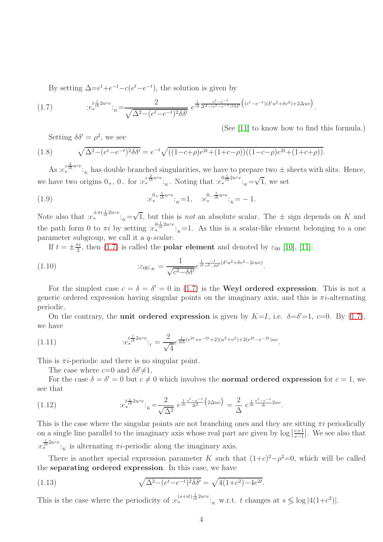<span id="page-3-0"></span>By setting  $\Delta = e^t + e^{-t} - c(e^t - e^{-t})$ , the solution is given by

(1.7) 
$$
e_{*}^{t\frac{1}{\hbar}2u\circ v} \cdot \kappa = \frac{2}{\sqrt{\Delta^{2}-(e^{t}-e^{-t})^{2}\delta\delta'}} e^{\frac{1}{i\hbar}\frac{e^{t}-e^{-t}}{\Delta^{2}-(e^{t}-e^{-t})^{2}\delta\delta'}} \left( (e^{t}-e^{-t})(\delta'u^{2}+\delta v^{2}) + 2\Delta uv \right).
$$

<span id="page-3-1"></span>Setting  $\delta \delta' = \rho^2$ , we see

(1.8) 
$$
\sqrt{\Delta^2 - (e^t - e^{-t})^2 \delta \delta'} = e^{-t} \sqrt{((1 - c + \rho)e^{2t} + (1 + c - \rho))((1 - c - \rho)e^{2t} + (1 + c + \rho))}.
$$

As  $:e^{z^2 \over 2h^{u\circ v}}:_{K}$  has double branched singularities, we have to prepare two  $\pm$  sheets with slits. Hence, we have two origins  $0_+$ ,  $0_-$  for  $:e^{z^{\frac{2}{ih} \cdot \cdot \cdot}}_{*k}$ . Noting that  $:e^{0^{\frac{1}{ih} 2 \cdot \cdot \cdot}}_{*k} = \sqrt{1}$ , we set

<span id="page-3-2"></span>(See [\[11\]](#page-41-1) to know how to find this formula.)

.

(1.9) 
$$
e_{*}^{0+\frac{1}{i\hbar}u\circ v} := 1, \quad e_{*}^{0-\frac{1}{i\hbar}u\circ v} := -1.
$$

Note also that  $:e^{i\pi i \frac{1}{i\hbar} 2u\circ v}$ : $K = \sqrt{1}$ , but this is *not* an absolute scalar. The  $\pm$  sign depends on K and the path form 0 to  $\pi i$  by setting  $:e_*^{0\frac{1}{i\hbar}2uv}$ ;  $k=1$ . As this is a scalar-like element belonging to a one parameter subgroup, we call it a q-scalar.

If  $t = \pm \frac{\pi i}{2}$  $\frac{\pi i}{2}$ , then [\(1.7\)](#page-3-0) is called the **polar element** and denoted by  $\varepsilon_{00}$  [\[10\]](#page-41-2), [\[11\]](#page-41-1):

(1.10) 
$$
\mathcal{E}_{00} :_{K} = \frac{1}{\sqrt{c^2 - \delta \delta'}} e^{\frac{1}{i\hbar} \frac{-1}{c^2 - \delta \delta'} (\delta' u^2 + \delta v^2 - 2cuv)}
$$

For the simplest case  $c = \delta = \delta' = 0$  in [\(1.7\)](#page-3-0) is the **Weyl ordered expression**. This is not a generic ordered expression having singular points on the imaginary axis, and this is  $\pi i$ -alternating periodic.

On the contrary, the **unit ordered expression** is given by  $K=I$ , i.e.  $\delta=\delta'=1$ ,  $c=0$ . By [\(1.7\)](#page-3-0), we have

(1.11) 
$$
e_{*}^{t_{\frac{1}{ih}} 2u \circ v} :_{I} = \frac{2}{\sqrt{4}} e^{\frac{1}{4ih}(e^{2t} + e^{-2t} + 2)(u^{2} + v^{2}) + 2(e^{2t} - e^{-2t})uv}.
$$

This is  $\pi i$ -periodic and there is no singular point.

<span id="page-3-3"></span>The case where  $c=0$  and  $\delta \delta \neq 1$ ,

For the case  $\delta = \delta' = 0$  but  $c \neq 0$  which involves the **normal ordered expression** for  $c = 1$ , we see that

(1.12) 
$$
:e_{*}^{t\frac{1}{i\hbar}2u\circ v}:_{K}=\frac{2}{\sqrt{\Delta^{2}}}e^{\frac{1}{i\hbar}\frac{e^{t}-e^{-t}}{\Delta^{2}}\left(2\Delta uv\right)}=\frac{2}{\Delta}e^{\frac{1}{i\hbar}\frac{e^{t}-e^{-t}}{\Delta}2uv}.
$$

This is the case where the singular points are not branching ones and they are sitting  $\pi i$  periodically on a single line parallel to the imaginary axis whose real part are given by  $\log |\frac{c+1}{c-1}|$ . We see also that  $:e_i^{\frac{t}{ih}2u\circ v}$ :<sub>K</sub> is alternating  $\pi i$ -periodic along the imaginary axis.

There is another special expression parameter K such that  $(1+c)^2 - \rho^2 = 0$ , which will be called the separating ordered expression. In this case, we have

(1.13) 
$$
\sqrt{\Delta^2 - (e^t - e^{-t})^2 \delta \delta'} = \sqrt{4(1+c^2) - 4e^{2t}}.
$$

This is the case where the periodicity of  $:e_*^{(s+it)\frac{1}{i\hbar}2u\circ v}$ :<sub>K</sub> w.r.t. t changes at  $s \leq \log |4(1+c^2)|$ .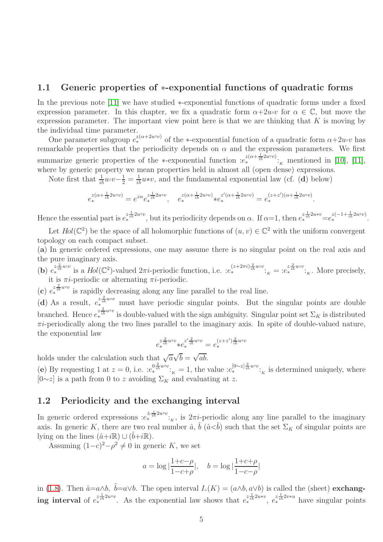## <span id="page-4-0"></span>1.1 Generic properties of ∗-exponential functions of quadratic forms

In the previous note [\[11\]](#page-41-1) we have studied ∗-exponential functions of quadratic forms under a fixed expression parameter. In this chapter, we fix a quadratic form  $\alpha+2u\cdot v$  for  $\alpha \in \mathbb{C}$ , but move the expression parameter. The important view point here is that we are thinking that  $K$  is moving by the individual time parameter.

One parameter subgroup  $e^{z(a+2u\circ v)}_*$  of the ∗-exponential function of a quadratic form  $\alpha+2u\circ v$  has remarkable properties that the periodicity depends on  $\alpha$  and the expression parameters. We first summarize generic properties of the ∗-exponential function  $:e_*^{z(\alpha+\frac{1}{ih}2u\circ v)}:$ <sub>K</sub> mentioned in [\[10\]](#page-41-2), [\[11\]](#page-41-1), where by generic property we mean properties held in almost all (open dense) expressions.

Note first that  $\frac{1}{i\hbar}u\cdot v-\frac{1}{2}=\frac{1}{i\hbar}u\cdot v$ , and the fundamental exponential law (cf. (d) below)

$$
e_*^{z(\alpha+\frac{1}{i\hbar}2u\circ v)} = e^{z\alpha}e_*^{z\frac{1}{i\hbar}2u\circ v}, \quad e_*^{z(\alpha+\frac{1}{i\hbar}2u\circ v)} * e_*^{z'(\alpha+\frac{1}{i\hbar}2u\circ v)} = e_*^{(z+z')(\alpha+\frac{1}{i\hbar}2u\circ v)}.
$$

Hence the essential part is  $e^{z \frac{1}{i\hbar} 2 u \circ v}$ , but its periodicity depends on  $\alpha$ . If  $\alpha = 1$ , then  $e^{z \frac{1}{i\hbar} 2 u * v} = e^{z(-1 + \frac{1}{i\hbar} 2 u \circ v)}$ .

Let  $Hol(\mathbb{C}^2)$  be the space of all holomorphic functions of  $(u, v) \in \mathbb{C}^2$  with the uniform convergent topology on each compact subset.

(a) In generic ordered expressions, one may assume there is no singular point on the real axis and the pure imaginary axis.

(b)  $e^{z \frac{2}{i\hbar} u \circ v}$  is a  $Hol(\mathbb{C}^2)$ -valued  $2\pi i$ -periodic function, i.e.  $:e^{(z+2\pi i)\frac{2}{i\hbar} u \circ v}$ :<sub>K</sub> =  $:e^{z \frac{2}{i\hbar} u \circ v}$ :<sub>K</sub>. More precisely, it is  $\pi i$ -periodic or alternating  $\pi i$ -periodic.

(c)  $e^{z \frac{2}{i\hbar} u \circ v}$  is rapidly decreasing along any line parallel to the real line.

(d) As a result,  $e_{\ast}^{z_{ih}^{2} u_{\text{ev}}}$  must have periodic singular points. But the singular points are double branched. Hence  $e^{z\frac{2}{\hbar}u\circ v}$  is double-valued with the sign ambiguity. Singular point set  $\Sigma_K$  is distributed  $\pi i$ -periodically along the two lines parallel to the imaginary axis. In spite of double-valued nature, the exponential law

$$
e_*^{z \frac{2}{i\hbar}uvv}*e_*^{z' \frac{2}{i\hbar}uvv}=e_*^{(z+z')\frac{2}{i\hbar}uvv}
$$

holds under the calculation such that  $\sqrt{a}\sqrt{b} = \sqrt{ab}$ .

(e) By requesting 1 at  $z = 0$ , i.e.  $:e_*^{0\frac{2}{\hbar}uv}$ ;  $K = 1$ , the value  $:e_*^{[0\sim z]\frac{2}{\hbar}uv}$ ; is determined uniquely, where  $[0\sim z]$  is a path from 0 to z avoiding  $\Sigma_K$  and evaluating at z.

# <span id="page-4-1"></span>1.2 Periodicity and the exchanging interval

In generic ordered expressions  $:e^{i\pi/2}i\omega v}_{k}$ , is  $2\pi i$ -periodic along any line parallel to the imaginary axis. In generic K, there are two real number  $\hat{a}$ ,  $\hat{b}$   $(\hat{a} < \hat{b})$  such that the set  $\Sigma_K$  of singular points are lying on the lines  $(\hat{a}+i\mathbb{R}) \cup (\hat{b}+i\mathbb{R})$ .

Assuming  $(1-c)^2 - \rho^2 \neq 0$  in generic K, we set

$$
a = \log |\frac{1+c-\rho}{1-c+\rho}|
$$
,  $b = \log |\frac{1+c+\rho}{1-c-\rho}|$ 

in [\(1.8\)](#page-3-1). Then  $\hat{a}=a\wedge b$ ,  $\hat{b}=a\vee b$ . The open interval  $I_{\circ}(K)=(a\wedge b, a\vee b)$  is called the (sheet) exchanging interval of  $e^{z\frac{1}{i\hbar}2uv}$ . As the exponential law shows that  $e^{z\frac{1}{i\hbar}2ux}$ ,  $e^{z\frac{1}{i\hbar}2v*u}$  have singular points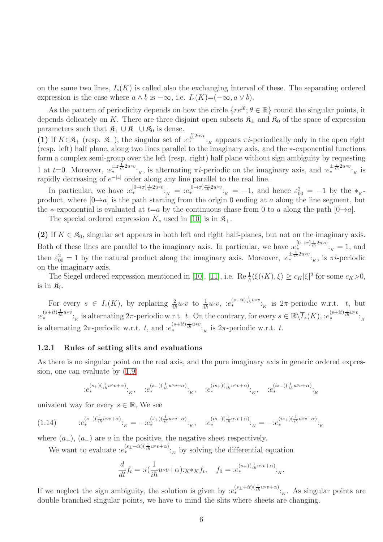on the same two lines,  $I_{\circ}(K)$  is called also the exchanging interval of these. The separating ordered expression is the case where  $a \wedge b$  is  $-\infty$ , i.e.  $I_>(K)=(-\infty, a \vee b)$ .

As the pattern of periodicity depends on how the circle  $\{re^{i\theta}; \theta \in \mathbb{R}\}\$  round the singular points, it depends delicately on K. There are three disjoint open subsets  $\mathfrak{K}_{\pm}$  and  $\mathfrak{K}_{0}$  of the space of expression parameters such that  $\mathfrak{K}_+ \cup \mathfrak{K}_- \cup \mathfrak{K}_0$  is dense.

(1) If  $K \in \mathbb{R}_+$  (resp.  $\mathbb{R}_-$ ), the singular set of  $:e^{\frac{z}{i\hbar}2uv}$ :<sub>K</sub> appears  $\pi i$ -periodically only in the open right (resp. left) half plane, along two lines parallel to the imaginary axis, and the ∗-exponential functions form a complex semi-group over the left (resp. right) half plane without sign ambiguity by requesting 1 at  $t=0$ . Moreover,  $:e^{i\pm \frac{1}{i\hbar}2u\circ v}_{\kappa}$  is alternating  $\pi i$ -periodic on the imaginary axis, and  $:e^{i\pm \frac{z}{i\hbar}2u\circ v}_{\kappa}$  is rapidly decreasing of  $e^{-|z|}$  order along any line parallel to the real line.

In particular, we have  $:e^{[0\to\pi]\frac{i}{i\hbar}2uv}$ :  $e^{[0\to\pi]\frac{-i}{i\hbar}2uv}$ :  $\kappa = -1$ , and hence  $\varepsilon_{00}^2 = -1$  by the  $*_{K}$ product, where  $[0\rightarrow a]$  is the path starting from the origin 0 ending at a along the line segment, but the ∗-exponential is evaluated at  $t=a$  by the continuous chase from 0 to a along the path  $[0\rightarrow a]$ .

The special ordered expression  $K_s$  used in [\[10\]](#page-41-2) is in  $\mathfrak{K}_+$ .

(2) If  $K \in \mathfrak{K}_0$ , singular set appears in both left and right half-planes, but not on the imaginary axis. Both of these lines are parallel to the imaginary axis. In particular, we have  $\mathcal{L}^{[0\to\pi]\frac{i}{i\hbar}2u\circ v}_{\kappa}$  = 1, and then  $\varepsilon_{00}^2 = 1$  by the natural product along the imaginary axis. Moreover,  $:e^{i\frac{z}{i\hbar}2u\circ v}$ :<sub>K</sub>, is  $\pi i$ -periodic on the imaginary axis.

The Siegel ordered expression mentioned in [\[10\]](#page-41-2), [\[11\]](#page-41-1), i.e. Re  $\frac{1}{\hbar} \langle \xi(iK), \xi \rangle \ge c_K |\xi|^2$  for some  $c_K > 0$ , is in  $\mathfrak{K}_0$ .

For every  $s \in I_{\circ}(K)$ , by replacing  $\frac{2}{ih}u\circ v$  to  $\frac{1}{ih}u\circ v$ ,  $:e^{(s+it)\frac{1}{ih}u\circ v}$ ; is  $2\pi$ -periodic w.r.t. t, but  $ie^{(s+it)\frac{1}{i\hbar}u*v}$ :<sub>K</sub> is alternating  $2\pi$ -periodic w.r.t. t. On the contrary, for every  $s \in \mathbb{R}\setminus\overline{I}_{\circ}(K)$ ,  $ie^{(s+it)\frac{1}{i\hbar}uv}$ :<sub>K</sub> is alternating  $2\pi$ -periodic w.r.t. t, and  $:e^{(s+it)\frac{1}{i\hbar}u*v}$ :<sub>K</sub> is  $2\pi$ -periodic w.r.t. t.

#### <span id="page-5-0"></span>1.2.1 Rules of setting slits and evaluations

As there is no singular point on the real axis, and the pure imaginary axis in generic ordered expression, one can evaluate by [\(1.9\)](#page-3-2)

<span id="page-5-1"></span>
$$
\hspace*{20mm}{:} e_{*}^{(s_{+})(\frac{1}{i\hbar}u\circ v+\alpha)}{\cdot}_{\!K}, \quad \ \ : \hspace{-.2cm}e_{*}^{(s_{-})(\frac{1}{i\hbar}u\circ v+\alpha)}{\cdot}_{\!K}, \quad \ \ : \hspace{-.2cm}e_{*}^{(is_{+})(\frac{1}{i\hbar}u\circ v+\alpha)}{\cdot}_{\!K}, \quad \ \ : \hspace{-.2cm}e_{*}^{(is_{-})(\frac{1}{i\hbar}u\circ v+\alpha)}{\cdot}_{\!K}
$$

univalent way for every  $s \in \mathbb{R}$ . We see

$$
(1.14) \qquad :e_*^{(s_-)(\frac{1}{i\hbar}u\circ v+\alpha)}:_{K}=-:e_*^{(s_+)(\frac{1}{i\hbar}u\circ v+\alpha)}:_{K},\quad :e_*^{(is_-)(\frac{1}{i\hbar}u\circ v+\alpha)}:_{K}=-:e_*^{(is_+)(\frac{1}{i\hbar}u\circ v+\alpha)}:_{K}
$$

where  $(a_{+})$ ,  $(a_{-})$  are a in the positive, the negative sheet respectively.

We want to evaluate  $:e^{(s_\pm + it)(\frac{1}{i\hbar}u\circ v + \alpha)}$ :<sub>K</sub> by solving the differential equation

$$
\frac{d}{dt}f_t = :i(\frac{1}{i\hbar}u\circ v + \alpha):K^*Kf_t, \quad f_0 = :e_*^{(s_\pm)(\frac{1}{i\hbar}u\circ v + \alpha)}:K
$$

.

If we neglect the sign ambiguity, the solution is given by  $:e^{(s_\pm+it)(\frac{1}{i\hbar}u\circ v+\alpha)}$ :<sub>K</sub>. As singular points are double branched singular points, we have to mind the slits where sheets are changing.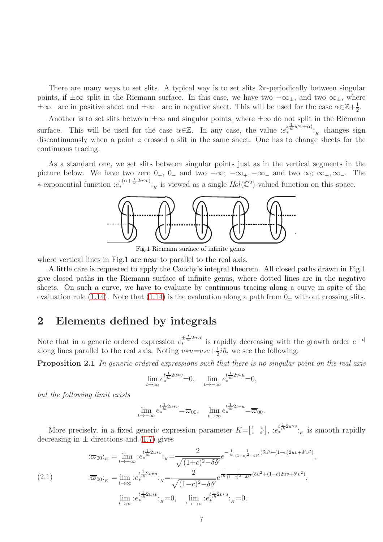There are many ways to set slits. A typical way is to set slits  $2\pi$ -periodically between singular points, if  $\pm\infty$  split in the Riemann surface. In this case, we have two  $-\infty_{\pm}$ , and two  $\infty_{\pm}$ , where  $\pm \infty_+$  are in positive sheet and  $\pm \infty_-$  are in negative sheet. This will be used for the case  $\alpha \in \mathbb{Z}+\frac{1}{2}$  $\frac{1}{2}$ .

Another is to set slits between  $\pm \infty$  and singular points, where  $\pm \infty$  do not split in the Riemann surface. This will be used for the case  $\alpha \in \mathbb{Z}$ . In any case, the value  $:e_*^{z \frac{1}{ih} u \circ v + \alpha}$ :<sub>K</sub> changes sign discontinuously when a point z crossed a slit in the same sheet. One has to change sheets for the continuous tracing.

As a standard one, we set slits between singular points just as in the vertical segments in the picture below. We have two zero  $0_+$ ,  $0_-$  and two  $-\infty$ ;  $-\infty_+$ ,  $-\infty_-$  and two  $\infty$ ;  $\infty_+$ ,  $\infty_-$ . The ∗-exponential function  $:e^{z(\alpha+\frac{1}{i\hbar}2u\circ v)}$ :<sub>K</sub> is viewed as a single  $Hol(\mathbb{C}^2)$ -valued function on this space.



Fig.1 Riemann surface of infinite genus

where vertical lines in Fig.1 are near to parallel to the real axis.

A little care is requested to apply the Cauchy's integral theorem. All closed paths drawn in Fig.1 give closed paths in the Riemann surface of infinite genus, where dotted lines are in the negative sheets. On such a curve, we have to evaluate by continuous tracing along a curve in spite of the evaluation rule [\(1.14\)](#page-5-1). Note that (1.14) is the evaluation along a path from  $0<sub>±</sub>$  without crossing slits.

# <span id="page-6-0"></span>2 Elements defined by integrals

Note that in a generic ordered expression  $e^{\pm \frac{t}{i\hbar}2u\circ v}$  is rapidly decreasing with the growth order  $e^{-|t|}$ along lines parallel to the real axis. Noting  $v * u = u \cdot v + \frac{1}{2}$  $\frac{1}{2}$ *ih*, we see the following:

Proposition 2.1 In generic ordered expressions such that there is no singular point on the real axis

<span id="page-6-1"></span>
$$
\lim_{t \to \infty} e_{*}^{t \frac{1}{i\hbar} 2 u * v} = 0, \quad \lim_{t \to -\infty} e_{*}^{t \frac{1}{i\hbar} 2 v * u} = 0,
$$

but the following limit exists

$$
\lim_{t \to -\infty} e_*^{\frac{t^{\frac{1}{\mathrm{th}} 2 u * v}}{k}} = \varpi_{00}, \quad \lim_{t \to \infty} e_*^{\frac{t^{\frac{1}{\mathrm{th}} 2 v * u}}{k}} = \overline{\varpi}_{00}.
$$

More precisely, in a fixed generic expression parameter  $K = \begin{bmatrix} \delta & c \\ c & \delta' \end{bmatrix}$ ,  $:e^{t \frac{1}{2}h^{2}2^{u\circ v}}_{\kappa}$  is smooth rapidly decreasing in  $\pm$  directions and [\(1.7\)](#page-3-0) gives

$$
(\text{2.1}) \qquad \begin{aligned} \n\therefore \varpi_{00} \cdot_{\kappa} &= \lim_{t \to -\infty} \therefore e_{*}^{t \frac{1}{i\hbar} 2 u * v} \cdot_{\kappa} = \frac{2}{\sqrt{(1+c)^{2} - \delta \delta'}} e^{-\frac{1}{i\hbar} \frac{1}{(1+c)^{2} - \delta \delta'} (\delta u^{2} - (1+c) 2uv + \delta' v^{2})}, \\ \n\therefore \overline{\omega}_{00} \cdot_{\kappa} &= \lim_{t \to \infty} \therefore e_{*}^{t \frac{1}{i\hbar} 2v * u} \cdot_{\kappa} = \frac{2}{\sqrt{(1-c)^{2} - \delta \delta'}} e^{\frac{1}{i\hbar} \frac{1}{(1-c)^{2} - \delta \delta'} (\delta u^{2} + (1-c) 2uv + \delta' v^{2})}, \\ \n\lim_{t \to \infty} \therefore e_{*}^{t \frac{1}{i\hbar} 2u * v} \cdot_{\kappa} &= 0, \qquad \lim_{t \to -\infty} \therefore e_{*}^{t \frac{1}{i\hbar} 2v * u} \cdot_{\kappa} &= 0. \n\end{aligned}
$$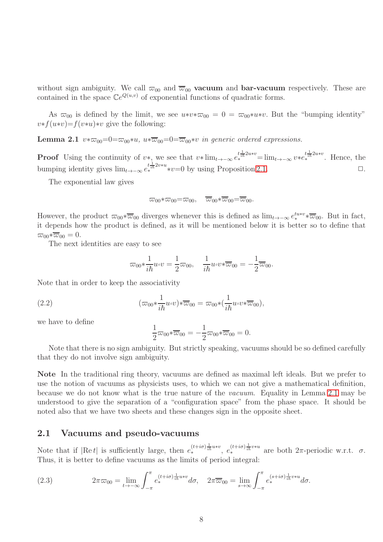without sign ambiguity. We call  $\overline{\omega}_{00}$  and  $\overline{\overline{\omega}}_{00}$  vacuum and bar-vacuum respectively. These are contained in the space  $\mathbb{C}e^{Q(u,v)}$  of exponential functions of quadratic forms.

As  $\overline{\omega}_{00}$  is defined by the limit, we see  $u*v*\overline{\omega}_{00} = 0 = \overline{\omega}_{00}*u*v$ . But the "bumping identity"  $v*f(u*v)=f(v*u)*v$  give the following:

**Lemma 2.1**  $v * \overline{\omega}_{00} = 0 = \overline{\omega}_{00} * u$ ,  $u * \overline{\omega}_{00} = 0 = \overline{\omega}_{00} * v$  in generic ordered expressions.

**Proof** Using the continuity of v\*, we see that  $v* \lim_{t\to -\infty} e_*^{t\frac{1}{ih}2u*v} = \lim_{t\to -\infty} v*e_*^{t\frac{1}{ih}2u*v}$ . Hence, the bumping identity gives  $\lim_{t\to-\infty} e_{*}^{t\frac{1}{ih}2v*u}*v=0$  by using Proposition [2.1.](#page-6-1)  $\Box$ 

The exponential law gives

<span id="page-7-1"></span>
$$
\overline{\omega}_{00}*\overline{\omega}_{00}=\overline{\omega}_{00}, \quad \overline{\overline{\omega}}_{00}*\overline{\overline{\omega}}_{00}=\overline{\overline{\omega}}_{00}.
$$

However, the product  $\overline{\omega}_{00}*\overline{\omega}_{00}$  diverges whenever this is defined as  $\lim_{t\to-\infty}e_*^{tuv*\overline{\omega}_{00}}$ . But in fact, it depends how the product is defined, as it will be mentioned below it is better so to define that  $\overline{\omega}_{00} * \overline{\omega}_{00} = 0.$ 

The next identities are easy to see

$$
\varpi_{00}*\frac{1}{i\hbar}u\circ v=\frac{1}{2}\varpi_{00},\quad \frac{1}{i\hbar}u\circ v*\overline{\varpi}_{00}=-\frac{1}{2}\overline{\varpi}_{00}.
$$

Note that in order to keep the associativity

(2.2) 
$$
(\varpi_{00} * \frac{1}{i\hbar} u \circ v) * \overline{\varpi}_{00} = \varpi_{00} * (\frac{1}{i\hbar} u \circ v * \overline{\varpi}_{00}),
$$

we have to define

<span id="page-7-2"></span>
$$
\frac{1}{2}\varpi_{00}*\overline{\varpi}_{00}=-\frac{1}{2}\varpi_{00}*\overline{\varpi}_{00}=0.
$$

Note that there is no sign ambiguity. But strictly speaking, vacuums should be so defined carefully that they do not involve sign ambiguity.

Note In the traditional ring theory, vacuums are defined as maximal left ideals. But we prefer to use the notion of vacuums as physicists uses, to which we can not give a mathematical definition, because we do not know what is the true nature of the vacuum. Equality in Lemma [2.1](#page-7-1) may be understood to give the separation of a "configuration space" from the phase space. It should be noted also that we have two sheets and these changes sign in the opposite sheet.

## <span id="page-7-0"></span>2.1 Vacuums and pseudo-vacuums

Note that if  $|\text{Re } t|$  is sufficiently large, then  $e_*^{(t+i\sigma)\frac{1}{i\hbar}uv}$ ,  $e_*^{(t+i\sigma)\frac{1}{i\hbar}v*u}$  are both  $2\pi$ -periodic w.r.t.  $\sigma$ . Thus, it is better to define vacuums as the limits of period integral:

<span id="page-7-3"></span>(2.3) 
$$
2\pi\varpi_{00} = \lim_{t \to -\infty} \int_{-\pi}^{\pi} e^{(t+i\sigma)\frac{1}{i\hbar}u*v} d\sigma, \quad 2\pi \overline{\varpi}_{00} = \lim_{s \to \infty} \int_{-\pi}^{\pi} e^{(s+i\sigma)\frac{1}{i\hbar}v*u} d\sigma.
$$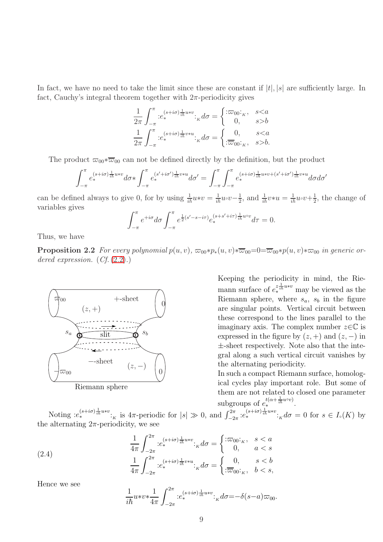In fact, we have no need to take the limit since these are constant if  $|t|, |s|$  are sufficiently large. In fact, Cauchy's integral theorem together with  $2\pi$ -periodicity gives

$$
\frac{1}{2\pi} \int_{-\pi}^{\pi} :e_*^{(s+i\sigma)\frac{1}{i\hbar}u*v} :_{K} d\sigma = \begin{cases} :\varpi_{00} :_{K}, & s < a \\ 0, & s > b \end{cases}
$$

$$
\frac{1}{2\pi} \int_{-\pi}^{\pi} :e_*^{(s+i\sigma)\frac{1}{i\hbar}v*u} :_{K} d\sigma = \begin{cases} 0, & s < a \\ :\overline{\varpi}_{00} :_{K}, & s > b. \end{cases}
$$

The product  $\overline{\omega}_{00}*\overline{\omega}_{00}$  can not be defined directly by the definition, but the product

$$
\int_{-\pi}^{\pi} e^{(s+i\sigma)\frac{1}{i\hbar}u*v} d\sigma * \int_{-\pi}^{\pi} e^{(s'+i\sigma')\frac{1}{i\hbar}v*u} d\sigma' = \int_{-\pi}^{\pi} \int_{-\pi}^{\pi} e^{(s+i\sigma)\frac{1}{i\hbar}u*v + (s'+i\sigma')\frac{1}{i\hbar}v*u} d\sigma d\sigma'
$$

can be defined always to give 0, for by using  $\frac{1}{i\hbar}u*v = \frac{1}{i\hbar}u\circ v-\frac{1}{2}$  $\frac{1}{2}$ , and  $\frac{1}{i\hbar}v*u = \frac{1}{i\hbar}u\circ v+\frac{1}{2}$  $\frac{1}{2}$ , the change of variables gives

$$
\int_{-\pi}^{\pi} e^{+i\sigma} d\sigma \int_{-\pi}^{\pi} e^{\frac{1}{2}(s'-s-i\tau)} e^{(s+s'+i\tau)\frac{1}{i\hbar}u\circ v} d\tau = 0.
$$

Thus, we have

**Proposition 2.2** For every polynomial  $p(u, v)$ ,  $\overline{\omega}_{00} * p_*(u, v) * \overline{\omega}_{00} = 0 = \overline{\omega}_{00} * p(u, v) * \overline{\omega}_{00}$  in generic ordered expression.  $(Cf. (2.2).)$  $(Cf. (2.2).)$  $(Cf. (2.2).)$ 



<span id="page-8-1"></span> $\ddot{\phantom{0}}$ 

Keeping the periodicity in mind, the Riemann surface of  $e^{z\frac{1}{ih}u*v}$  may be viewed as the Riemann sphere, where  $s_a$ ,  $s_b$  in the figure are singular points. Vertical circuit between these correspond to the lines parallel to the imaginary axis. The complex number  $z \in \mathbb{C}$  is expressed in the figure by  $(z, +)$  and  $(z, -)$  in ±-sheet respectively. Note also that the integral along a such vertical circuit vanishes by the alternating periodicity.

In such a compact Riemann surface, homological cycles play important role. But some of them are not related to closed one parameter subgroups of  $e_*^{t(\alpha+\frac{1}{i\hbar}u\circ v)}$ .

Noting  $:e^{(s+i\sigma)\frac{1}{i\hbar}uv}$ :<sub>K</sub> is  $4\pi$ -periodic for  $|s| \gg 0$ , and  $\int_{-2\pi}^{2\pi} :e^{(s+i\sigma)\frac{1}{i\hbar}uv}$ :<sub>K</sub> $d\sigma = 0$  for  $s \in I_{\circ}(K)$  by the alternating  $2\pi$ -periodicity, we see

(2.4) 
$$
\frac{1}{4\pi} \int_{-2\pi}^{2\pi} e^{(s+i\sigma)\frac{1}{i\hbar}u*v} \kappa d\sigma = \begin{cases} \n\frac{\partial}{\partial w} & s < a \\ \n0, & a < s \n\end{cases}
$$
\n
$$
\frac{1}{4\pi} \int_{-2\pi}^{2\pi} e^{(s+i\sigma)\frac{1}{i\hbar}v*u} \kappa d\sigma = \begin{cases} \n0, & s < b \\ \n\frac{\partial}{\partial w} & b < s \n\end{cases}
$$

Hence we see

<span id="page-8-0"></span>
$$
\frac{1}{i\hbar}u*v*\frac{1}{4\pi}\int_{-2\pi}^{2\pi} :e_*^{(s+i\sigma)\frac{1}{i\hbar}u*v}:k d\sigma = -\delta(s-a)\varpi_{00}.
$$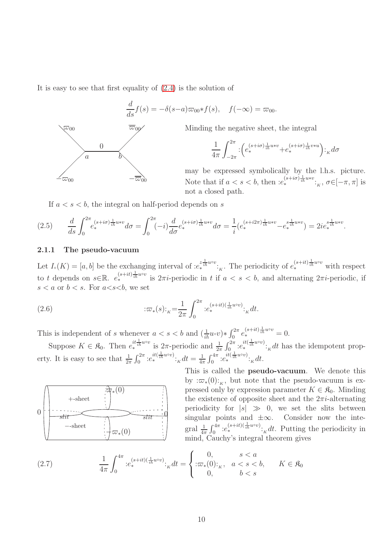It is easy to see that first equality of [\(2.4\)](#page-8-0) is the solution of

$$
\frac{d}{ds}f(s) = -\delta(s-a)\varpi_{00}*f(s), \quad f(-\infty) = \varpi_{00}.
$$



Minding the negative sheet, the integral

$$
\frac{1}{4\pi} \int_{-2\pi}^{2\pi} \left(e^{(s+i\sigma)\frac{1}{i\hbar}u*v} + e^{(s+i\sigma)\frac{1}{i\hbar}v*u}\right) :_{K} d\sigma
$$

may be expressed symbolically by the l.h.s. picture. Note that if  $a < s < b$ , then  $:e^{(s+i\sigma)\frac{1}{i\hbar}u*v}$ ;  $\sigma \in [-\pi, \pi]$  is not a closed path.

If  $a < s < b$ , the integral on half-period depends on s

$$
(2.5) \qquad \frac{d}{ds} \int_0^{2\pi} e^{(s+i\sigma)\frac{1}{i\hbar}uv} \, d\sigma = \int_0^{2\pi} (-i) \frac{d}{d\sigma} e^{(s+i\sigma)\frac{1}{i\hbar}uv} \, d\sigma = \frac{1}{i} (e^{(s+i2\pi)\frac{1}{i\hbar}uv} - e^{s\frac{1}{i\hbar}uv} \, ) = 2ie^{s\frac{1}{i\hbar}uv}.
$$

#### <span id="page-9-0"></span>2.1.1 The pseudo-vacuum

Let  $I_{\circ}(K) = [a, b]$  be the exchanging interval of  $:e_{*}^{z \frac{1}{ih} u \circ v}$ :<sub>K</sub>. The periodicity of  $e_{*}^{(s+it) \frac{1}{ih} u \circ v}$  with respect to t depends on  $s \in \mathbb{R}$ .  $e^{(s+it)\frac{1}{i\hbar}uv}$  is  $2\pi i$ -periodic in t if  $a < s < b$ , and alternating  $2\pi i$ -periodic, if  $s < a$  or  $b < s$ . For  $a < s < b$ , we set

(2.6) 
$$
\qquad \qquad : \varpi_*(s) :_{K} = \frac{1}{2\pi} \int_0^{2\pi} e^{(s+it)(\frac{1}{i\hbar}u\circ v)} \cdot_{K} dt.
$$

This is independent of s whenever  $a < s < b$  and  $\left(\frac{1}{i\hbar}u\circ v\right) * \int_0^{2\pi} e_*^{(s+it)\frac{1}{i\hbar}u\circ v} = 0$ .

Suppose  $K \in \mathfrak{K}_0$ . Then  $e^{it\frac{1}{i\hbar}uv}$  is  $2\pi$ -periodic and  $\frac{1}{2\pi}\int_0^{2\pi}e^{it(\frac{1}{i\hbar}uv)}$ :  $k$  at has the idempotent property. It is easy to see that  $\frac{1}{2\pi} \int_0^{2\pi} e^{it(\frac{1}{i\hbar}uv)} \cdot \kappa dt = \frac{1}{4\pi}$  $\frac{1}{4\pi} \int_0^{4\pi} :e_*^{it(\frac{1}{i\hbar}u\circ v)}:_{K} dt.$ 



This is called the **pseudo-vacuum**. We denote this by  $:\,\pi_*(0):_K$ , but note that the pseudo-vacuum is expressed only by expression parameter  $K \in \mathfrak{K}_0$ . Minding the existence of opposite sheet and the  $2\pi i$ -alternating periodicity for  $|s| \gg 0$ , we set the slits between singular points and  $\pm \infty$ . Consider now the integral  $\frac{1}{4\pi} \int_0^{4\pi} e^{(s+it)(\frac{1}{i\hbar}uv)} \cdot_K dt$ . Putting the periodicity in mind, Cauchy's integral theorem gives

(2.7) 
$$
\frac{1}{4\pi} \int_0^{4\pi} e^{(s+it)(\frac{1}{i\hbar}uv)} \kappa dt = \begin{cases} 0, & s < a \\ \n\therefore \infty_*(0) :_{K}, & a < s < b, \\ \n0, & b < s \n\end{cases} \quad K \in \mathfrak{K}_0
$$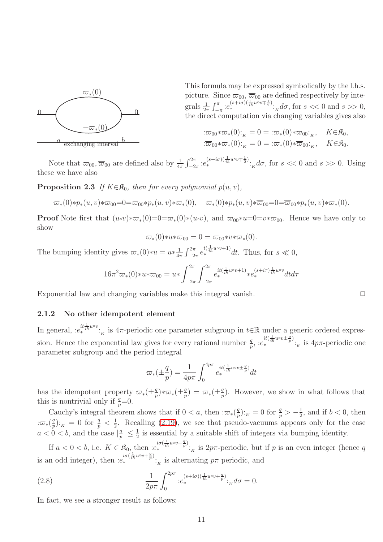

This formula may be expressed symbolically by the l.h.s. picture. Since  $\overline{\omega}_{00}, \overline{\omega}_{00}$  are defined respectively by integrals  $\frac{1}{2\pi} \int_{-\pi}^{\pi} e^{(s+i\sigma)(\frac{1}{ih}u\circ v + \frac{1}{2})}$ ;  $d\sigma$ , for  $s \ll 0$  and  $s \gg 0$ , the direct computation via changing variables gives also

$$
\begin{aligned}\n&\colon \varpi_{00} * \varpi_*(0) :_{K} = 0 = \colon \varpi_*(0) * \varpi_{00} :_{K}, & K \in \mathfrak{K}_0, \\
&\colon \overline{\varpi}_{00} * \varpi_*(0) :_{K} = 0 = \colon \varpi_*(0) * \overline{\varpi}_{00} :_{K}, & K \in \mathfrak{K}_0.\n\end{aligned}
$$

Note that  $\overline{\omega}_{00}$ ,  $\overline{\omega}_{00}$  are defined also by  $\frac{1}{4\pi} \int_{-2\pi}^{2\pi} e^{(s+i\sigma)(\frac{1}{i\hbar}u\circ v + \frac{1}{2})}$ :  $k d\sigma$ , for  $s \ll 0$  and  $s \gg 0$ . Using these we have also

**Proposition 2.3** If  $K \in \mathcal{R}_0$ , then for every polynomial  $p(u, v)$ ,

$$
\varpi_*(0)*p_*(u,v)*\varpi_{00} = 0 = \varpi_{00}*p_*(u,v)*\varpi_*(0), \quad \varpi_*(0)*p_*(u,v)*\overline{\varpi}_{00} = 0 = \overline{\varpi}_{00}*p_*(u,v)*\varpi_*(0).
$$

**Proof** Note first that  $(u\circ v)*\varpi_*(0)=0=\varpi_*(0)*(u\circ v)$ , and  $\varpi_{00}*u=0=v*\varpi_{00}$ . Hence we have only to show

$$
\varpi_*(0) * u * \varpi_{00} = 0 = \varpi_{00} * v * \varpi_*(0).
$$

The bumping identity gives  $\overline{\omega}_*(0)*u = u*\frac{1}{4n}$  $\frac{1}{4\pi} \int_{-2\pi}^{2\pi} e^{t(\frac{1}{i\hbar}u\circ v+1)} dt$ . Thus, for  $s \ll 0$ ,

$$
16\pi^{2}\varpi_{*}(0)*u*\varpi_{00}=u*\int_{-2\pi}^{2\pi}\int_{-2\pi}^{2\pi}e_{*}^{it(\frac{1}{i\hbar}uvv+1)}*e_{*}^{(s+ir)\frac{1}{i\hbar}uvv}dtd\tau
$$

Exponential law and changing variables make this integral vanish.  $\Box$ 

#### <span id="page-10-0"></span>2.1.2 No other idempotent element

In general,  $:e^{it\frac{1}{ih}uv}$ :<sub>K</sub> is 4 $\pi$ -periodic one parameter subgroup in  $t \in \mathbb{R}$  under a generic ordered expression. Hence the exponential law gives for every rational number  $\frac{q}{p}$ ,  $:e_*^{it(\frac{1}{i\hbar}u\circ v\pm \frac{q}{p})}$ . is  $4p\pi$ -periodic one parameter subgroup and the period integral

<span id="page-10-1"></span>
$$
\varpi_*(\pm \frac{q}{p}) = \frac{1}{4p\pi} \int_0^{4p\pi} e_*^{it(\frac{1}{i\hbar}uvv\pm \frac{q}{p})} dt
$$

has the idempotent property  $\varpi_*(\pm \frac{q}{p})$  $\frac{q}{p}$ )\* $\varpi$ <sub>\*</sub>( $\pm \frac{q}{p}$  $\frac{q}{p}$ ) =  $\varpi_*(\pm \frac{q}{p})$  $\frac{q}{p}$ ). However, we show in what follows that this is nontrivial only if  $\frac{q}{p} = 0$ .

Cauchy's integral theorem shows that if  $0 < a$ , then  $:\overline{\omega}_*(\frac{q}{p})$  $\frac{q}{p}$ ):<sub>K</sub> = 0 for  $\frac{q}{p}$  >  $-\frac{1}{2}$  $\frac{1}{2}$ , and if  $b < 0$ , then  $:\!\varpi_*(\frac{q}{p})$  $\frac{q}{p}$ :  $\frac{1}{K} = 0$  for  $\frac{q}{p} < \frac{1}{2}$  $\frac{1}{2}$ . Recalling [\(2.19\)](#page-15-1), we see that pseudo-vacuums appears only for the case  $a < 0 < b$ , and the case  $\left|\frac{q}{p}\right|$  $\frac{q}{p} \leq \frac{1}{2}$  is essential by a suitable shift of integers via bumping identity.

If  $a < 0 < b$ , i.e.  $K \in \mathfrak{K}_0$ , then  $e^{i\sigma(\frac{1}{i\hbar}u\circ v + \frac{q}{p})}$ : is  $2p\pi$ -periodic, but if p is an even integer (hence q is an odd integer), then  $:e_*^{i\sigma(\frac{1}{i\hbar}uv+\frac{q}{p})}$ :<sub>*K*</sub> is alternating  $p\pi$  periodic, and

(2.8) 
$$
\frac{1}{2p\pi} \int_0^{2p\pi} e^{(s+i\sigma)(\frac{1}{i\hbar}u\circ v + \frac{q}{p})} \cdot \kappa d\sigma = 0.
$$

In fact, we see a stronger result as follows: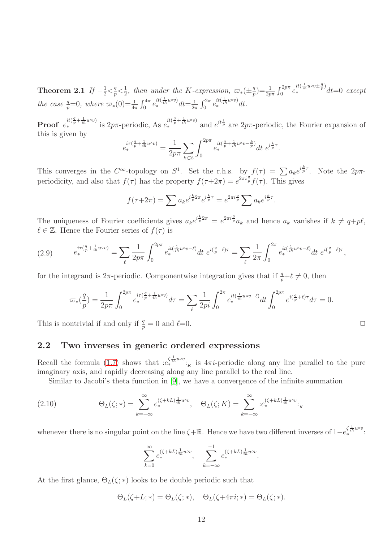Theorem 2.1  $\mathit{lf}$   $-\frac{1}{2}<\frac{q}{p}$  $\frac{q}{p} < \frac{1}{2}$  $\frac{1}{2}$ , then under the K-expression,  $\varpi_*(\pm \frac{q}{p})$  $\binom{q}{p} = \frac{1}{2p\pi} \int_0^{2p\pi} e^{it(\frac{1}{ih}uv + \frac{q}{p})} dt = 0$  except the case  $\frac{q}{p}=0$ , where  $\varpi_*(0) = \frac{1}{4\pi} \int_0^{4\pi} e_*^{it(\frac{1}{4h}u\circ v)} dt = \frac{1}{2\pi}$  $\frac{1}{2\pi} \int_0^{2\pi} e_*^{it(\frac{1}{i\hbar}u\circ v)} dt.$ 

**Proof**  $e_*^{it(\frac{q}{p} + \frac{1}{ih}uvv)}$  is  $2p\pi$ -periodic, As  $e_*^{it(\frac{q}{p} + \frac{1}{ih}uvv)}$  and  $e^{it\frac{1}{p}}$  are  $2p\pi$ -periodic, the Fourier expansion of this is given by

$$
e_*^{i\tau(\frac{q}{p}+\frac{1}{i\hbar}u\circ v)} = \frac{1}{2p\pi} \sum_{k\in\mathbb{Z}} \int_0^{2p\pi} e_*^{it(\frac{q}{p}+\frac{1}{i\hbar}u\circ v-\frac{k}{p})} dt \ e^{i\frac{k}{p}\tau}.
$$

This converges in the  $C^{\infty}$ -topology on  $S^1$ . Set the r.h.s. by  $f(\tau) = \sum a_k e^{i\frac{k}{p}\tau}$ . Note the  $2p\pi$ periodicity, and also that  $f(\tau)$  has the property  $f(\tau+2\pi) = e^{2\pi i \frac{q}{p}} f(\tau)$ . This gives

$$
f(\tau + 2\pi) = \sum a_k e^{i\frac{k}{p}2\pi} e^{i\frac{k}{p}\tau} = e^{2\pi i \frac{q}{p}} \sum a_k e^{i\frac{k}{p}\tau}.
$$

The uniqueness of Fourier coefficients gives  $a_k e^{i\frac{k}{p}2\pi} = e^{2\pi i \frac{q}{p}} a_k$  and hence  $a_k$  vanishes if  $k \neq q+p\ell$ ,  $\ell \in \mathbb{Z}$ . Hence the Fourier series of  $f(\tau)$  is

(2.9) 
$$
e_*^{i\tau(\frac{q}{p} + \frac{1}{ih}u\circ v)} = \sum_{\ell} \frac{1}{2p\pi} \int_0^{2p\pi} e_*^{it(\frac{1}{ih}u\circ v - \ell)} dt \ e^{i(\frac{q}{p} + \ell)\tau} = \sum_{\ell} \frac{1}{2\pi} \int_0^{2\pi} e_*^{it(\frac{1}{ih}u\circ v - \ell)} dt \ e^{i(\frac{q}{p} + \ell)\tau},
$$

for the integrand is  $2\pi$ -periodic. Componentwise integration gives that if  $\frac{q}{p} + \ell \neq 0$ , then

$$
\varpi_*(\frac{q}{p}) = \frac{1}{2p\pi} \int_0^{2p\pi} e_*^{i\tau(\frac{q}{p} + \frac{1}{i\hbar}u\circ v)} d\tau = \sum_{\ell} \frac{1}{2pi} \int_0^{2\pi} e_*^{it(\frac{1}{i\hbar}u\ast v - \ell)} dt \int_0^{2p\pi} e^{i(\frac{q}{p} + \ell)\tau} d\tau = 0.
$$

This is nontrivial if and only if  $\frac{q}{p} = 0$  and  $\ell = 0$ .

## <span id="page-11-0"></span>2.2 Two inverses in generic ordered expressions

Recall the formula [\(1.7\)](#page-3-0) shows that  $:e^{(\frac{1}{2}\hbar^{u\circ v})}_{*k}$  is  $4\pi i$ -periodic along any line parallel to the pure imaginary axis, and rapidly decreasing along any line parallel to the real line.

Similar to Jacobi's theta function in [\[9\]](#page-41-0), we have a convergence of the infinite summation

(2.10) 
$$
\Theta_L(\zeta;*) = \sum_{k=-\infty}^{\infty} e_*^{(\zeta + kL) \frac{1}{i\hbar} u^{\circ v}}, \quad \Theta_L(\zeta; K) = \sum_{k=-\infty}^{\infty} e_*^{(\zeta + kL) \frac{1}{i\hbar} u^{\circ v}}:_{K}
$$

whenever there is no singular point on the line  $\zeta + \mathbb{R}$ . Hence we have two different inverses of  $1-e^{\zeta \frac{1}{i\hbar}uvv}$ :

$$
\sum_{k=0}^{\infty} e_*^{(\zeta + kL) \frac{1}{i\hbar} u^{\circ v}}, \quad \sum_{k=-\infty}^{-1} e_*^{(\zeta + kL) \frac{1}{i\hbar} u^{\circ v}}.
$$

At the first glance,  $\Theta_L(\zeta;*)$  looks to be double periodic such that

$$
\Theta_L(\zeta + L; *) = \Theta_L(\zeta; *), \quad \Theta_L(\zeta + 4\pi i; *) = \Theta_L(\zeta; *).
$$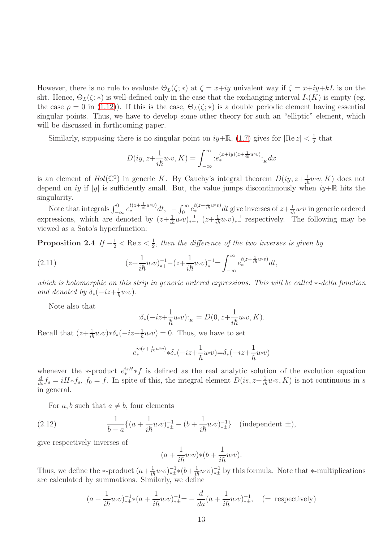However, there is no rule to evaluate  $\Theta_L(\zeta;*)$  at  $\zeta = x+iy$  univalent way if  $\zeta = x+iy+kL$  is on the slit. Hence,  $\Theta_L(\zeta;*)$  is well-defined only in the case that the exchanging interval  $I_*(K)$  is empty (eg. the case  $\rho = 0$  in [\(1.12\)](#page-3-3)). If this is the case,  $\Theta_L(\zeta; *)$  is a double periodic element having essential singular points. Thus, we have to develop some other theory for such an "elliptic" element, which will be discussed in forthcoming paper.

Similarly, supposing there is no singular point on  $iy+\mathbb{R}$ , [\(1.7\)](#page-3-0) gives for  $|\text{Re } z| < \frac{1}{2}$  $\frac{1}{2}$  that

$$
D(iy, z + \frac{1}{i\hbar}u\circ v, K) = \int_{-\infty}^{\infty} :e_*^{(x+iy)(z + \frac{1}{i\hbar}u\circ v)}:_{K}dx
$$

is an element of  $Hol(\mathbb{C}^2)$  in generic K. By Cauchy's integral theorem  $D(iy, z+\frac{1}{i\hbar}u\circ v, K)$  does not depend on iy if |y| is sufficiently small. But, the value jumps discontinuously when  $iy+\mathbb{R}$  hits the singularity.

Note that integrals  $\int_{-\infty}^{0} e^{t(z+\frac{1}{i\hbar}uv)} dt$ ,  $-\int_{0}^{\infty} e^{t(z+\frac{1}{i\hbar}uv)} dt$  give inverses of  $z+\frac{1}{i\hbar}uvv$  in generic ordered expressions, which are denoted by  $(z+\frac{1}{i\hbar}u\circ v)^{-1}_{*+}$ ,  $(z+\frac{1}{i\hbar}u\circ v)^{-1}_{*-}$  respectively. The following may be viewed as a Sato's hyperfunction:

**Proposition 2.4** If  $-\frac{1}{2} < \text{Re } z < \frac{1}{2}$ , then the difference of the two inverses is given by

(2.11) 
$$
(z+\frac{1}{i\hbar}u\circ v)^{-1}_{*+}-(z+\frac{1}{i\hbar}u\circ v)^{-1}_{*-}=\int_{-\infty}^{\infty}e^{t(z+\frac{1}{i\hbar}u\circ v)}_{*}dt,
$$

which is holomorphic on this strip in generic ordered expressions. This will be called ∗-delta function and denoted by  $\delta_*(-iz + \frac{1}{\hbar}u_0v)$ .

Note also that

$$
\label{eq:2} \begin{split} \text{:} \delta_*(-iz+\frac{1}{\hbar}u\text{\tiny{\textit{v}}$} v)\text{:}_{\scriptscriptstyle{K}}&=D\big(0,z+\frac{1}{i\hbar}u\text{\tiny{\textit{v}}$} v,K\big). \end{split}
$$

Recall that  $(z+\frac{1}{i\hbar}u\circ v)*\delta_*(-iz+\frac{1}{\hbar}u\circ v)=0$ . Thus, we have to set

$$
e_{*}^{is(z+\frac{1}{i\hbar}u\circ v)}*\delta_{*}(-iz+\frac{1}{\hbar}u\circ v){=}\delta_{*}(-iz+\frac{1}{\hbar}u\circ v)
$$

whenever the \*-product  $e^{isH}_* f$  is defined as the real analytic solution of the evolution equation  $\frac{d}{ds}f_s = iH*f_s$ ,  $f_0 = f$ . In spite of this, the integral element  $D(is, z+\frac{1}{i\hbar}w\circ v, K)$  is not continuous in s in general.

For a, b such that  $a \neq b$ , four elements

(2.12) 
$$
\frac{1}{b-a}\{(a+\frac{1}{i\hbar}u\circ v)^{-1}_{*\pm}-(b+\frac{1}{i\hbar}u\circ v)^{-1}_{*\pm}\} \text{ (independent } \pm),
$$

give respectively inverses of

$$
(a + \frac{1}{i\hbar}u\circ v)*(b + \frac{1}{i\hbar}u\circ v).
$$

Thus, we define the \*-product  $(a+\frac{1}{i\hbar}u\circ v)^{-1}_{*\pm}*(b+\frac{1}{i\hbar}u\circ v)^{-1}_{*\pm}$  by this formula. Note that \*-multiplications are calculated by summations. Similarly, we define

$$
(a + \frac{1}{i\hbar}u\circ v)^{-1}_{\ast\pm}*(a + \frac{1}{i\hbar}u\circ v)^{-1}_{\ast\pm} = -\frac{d}{da}(a + \frac{1}{i\hbar}u\circ v)^{-1}_{\ast\pm}, \quad (\pm \text{ respectively})
$$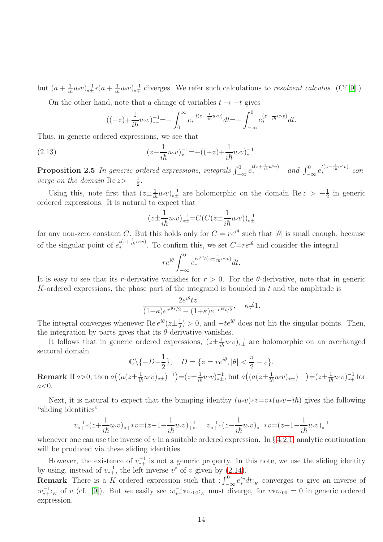but  $(a + \frac{1}{i\hbar}u\circ v)^{-1}_{\ast\ast}(a + \frac{1}{i\hbar}u\circ v)^{-1}_{\ast\ast}$  diverges. We refer such calculations to *resolvent calculus.* (Cf.[\[9\]](#page-41-0).)

On the other hand, note that a change of variables  $t \rightarrow -t$  gives

$$
((-z) + \frac{1}{i\hbar}u\circ v)^{-1}_{*} = -\int_{0}^{\infty}e^{-t(z-\frac{1}{i\hbar}u\circ v)}\,dt = -\int_{-\infty}^{0}e^{(z-\frac{1}{i\hbar}u\circ v)}\,dt.
$$

Thus, in generic ordered expressions, we see that

(2.13) 
$$
(z - \frac{1}{i\hbar}u\circ v)^{-1}_{*-} = -((-z) + \frac{1}{i\hbar}u\circ v)^{-1}_{*-}.
$$

<span id="page-13-0"></span>**Proposition 2.5** In generic ordered expressions, integrals  $\int_{-\infty}^{0} e^{t(z+\frac{1}{i\hbar}u\circ v)}$  and  $\int_{-\infty}^{0} e^{t(z-\frac{1}{i\hbar}u\circ v)}$  converge on the domain  $\text{Re } z \geq -\frac{1}{2}$  $\frac{1}{2}$ .

Using this, note first that  $(z \pm \frac{1}{i\hbar} u \cdot v)^{-1}$  are holomorphic on the domain Re  $z > -\frac{1}{2}$  $\frac{1}{2}$  in generic ordered expressions. It is natural to expect that

$$
(z \pm \frac{1}{i\hbar} u \circ v)^{-1}_{\ast \pm} = C(C(z \pm \frac{1}{i\hbar} u \circ v))^{-1}_{\ast \pm}
$$

for any non-zero constant C. But this holds only for  $C = re^{i\theta}$  such that  $|\theta|$  is small enough, because of the singular point of  $e^{t(z+\frac{1}{ih}u\circ v)}$ . To confirm this, we set  $C=re^{i\theta}$  and consider the integral

$$
re^{i\theta} \int_{-\infty}^{0} e_*^{re^{i\theta}t(z \pm \frac{1}{i\hbar}uvv)} dt.
$$

It is easy to see that its r-derivative vanishes for  $r > 0$ . For the  $\theta$ -derivative, note that in generic K-ordered expressions, the phase part of the integrand is bounded in  $t$  and the amplitude is

$$
\frac{2e^{i\theta}tz}{(1-\kappa)e^{e^{i\theta}t/2} + (1+\kappa)e^{-e^{i\theta}t/2}}, \quad \kappa \neq 1.
$$

The integral converges whenever Re  $e^{i\theta}(z \pm \frac{1}{2})$  $\frac{1}{2}$  > 0, and  $-te^{i\theta}$  does not hit the singular points. Then, the integration by parts gives that its  $\theta$ -derivative vanishes.

It follows that in generic ordered expressions,  $(z \pm \frac{1}{i\hbar} u \circ v)^{-1}_{* \pm}$  are holomorphic on an overhanged sectoral domain

$$
\mathbb{C}\backslash\{-D-\frac{1}{2}\}, \quad D=\{z=re^{i\theta}, |\theta|<\frac{\pi}{2}-\varepsilon\}.
$$

**Remark** If  $a > 0$ , then  $a((a(z \pm \frac{1}{i\hbar} u \circ v)_{* \pm})^{-1}) = (z \pm \frac{1}{i\hbar} u \circ v)_{* \pm}^{-1}$ , but  $a((a(z \pm \frac{1}{i\hbar} u \circ v)_{* \pm})^{-1}) = (z \pm \frac{1}{i\hbar} u \circ v)_{* \mp}^{-1}$  for  $a<0$ .

Next, it is natural to expect that the bumping identity  $(u\circ v)*v=v*(u\circ v-i\hbar)$  gives the following "sliding identities"

$$
v_{**}^{-1}*(z+\frac{1}{i\hbar}u\circ v)^{-1}_{**}*v=(z-1+\frac{1}{i\hbar}u\circ v)^{-1}_{**},\quad v_{**}^{-1}*(z-\frac{1}{i\hbar}u\circ v)^{-1}_{*-}*v=(z+1-\frac{1}{i\hbar}u\circ v)^{-1}_{*-}
$$

whenever one can use the inverse of v in a suitable ordered expression. In  $\S 4.2.1$ , analytic continuation will be produced via these sliding identities.

However, the existence of  $v_{*+}^{-1}$  is not a generic property. In this note, we use the sliding identity by using, instead of  $v_{*+}^{-1}$ , the left inverse  $v^{\circ}$  of v given by [\(2.14\)](#page-14-1).

**Remark** There is a K-ordered expression such that  $:\int_{-\infty}^{0} e^{tv}_* dt:_{K}$  converges to give an inverse of  $:v_{*+}^{-1}:K$  of v (cf. [\[9\]](#page-41-0)). But we easily see  $:v_{*+}^{-1}*\varpi_{00}:K$  must diverge, for  $v*\varpi_{00} = 0$  in generic ordered expression.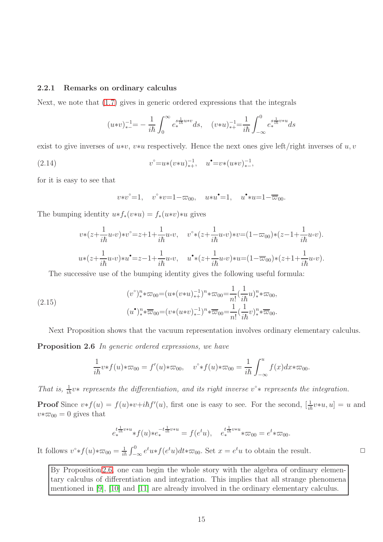#### <span id="page-14-0"></span>2.2.1 Remarks on ordinary calculus

Next, we note that [\(1.7\)](#page-3-0) gives in generic ordered expressions that the integrals

$$
(u*v)^{-1}_{*-} = -\frac{1}{i\hbar} \int_0^\infty e^{\frac{s}{i\hbar}u*v}_* ds, \quad (v*u)^{-1}_{*+} = \frac{1}{i\hbar} \int_{-\infty}^0 e^{\frac{s}{i\hbar}v*u}_* ds
$$

exist to give inverses of  $u*v$ ,  $v*u$  respectively. Hence the next ones give left/right inverses of  $u, v$ 

(2.14) 
$$
v^{\circ} = u * (v * u)^{-1}_{*+}, \quad u^{\bullet} = v * (u * v)^{-1}_{*-},
$$

for it is easy to see that

<span id="page-14-1"></span>
$$
v*v^{\circ}=1
$$
,  $v^{\circ}*v=1-\varpi_{00}$ ,  $u*u^{\bullet}=1$ ,  $u^{\bullet}*u=1-\overline{\varpi}_{00}$ .

The bumping identity  $u*f_*(v*u) = f_*(u*v)*u$  gives

$$
v*(z+\frac{1}{i\hbar}u\circ v)*v^{\circ} = z+1+\frac{1}{i\hbar}u\circ v, \quad v^{\circ}*(z+\frac{1}{i\hbar}u\circ v)*v = (1-\varpi_{00})*(z-1+\frac{1}{i\hbar}u\circ v).
$$
  

$$
u*(z+\frac{1}{i\hbar}u\circ v)*u^{\bullet} = z-1+\frac{1}{i\hbar}u\circ v, \quad u^{\bullet}*(z+\frac{1}{i\hbar}u\circ v)*u = (1-\overline{\varpi}_{00})*(z+1+\frac{1}{i\hbar}u\circ v).
$$

The successive use of the bumping identity gives the following useful formula:

(2.15) 
$$
(v^{\circ})_{*}^{n} * \varpi_{00} = (u * (v * u)^{-1}_{*+})^{n} * \varpi_{00} = \frac{1}{n!} (\frac{1}{i\hbar} u)^{n}_{*} * \varpi_{00},
$$

$$
(u^{\bullet})_{*}^{n} * \overline{\varpi}_{00} = (v * (u * v)^{-1}_{*-})^{n} * \overline{\varpi}_{00} = \frac{1}{n!} (\frac{1}{i\hbar} v)^{n}_{*} * \overline{\varpi}_{00}.
$$

Next Proposition shows that the vacuum representation involves ordinary elementary calculus.

Proposition 2.6 In generic ordered expressions, we have

<span id="page-14-3"></span>
$$
\frac{1}{i\hbar}v * f(u) * \varpi_{00} = f'(u) * \varpi_{00}, \quad v^{\circ} * f(u) * \varpi_{00} = \frac{1}{i\hbar} \int_{-\infty}^{u} f(x) dx * \varpi_{00}.
$$

That is,  $\frac{1}{ih}v^*$  represents the differentiation, and its right inverse  $v^*$  represents the integration.

**Proof** Since  $v * f(u) = f(u) * v + i\hbar f'(u)$ , first one is easy to see. For the second,  $[\frac{1}{i\hbar} v * u, u] = u$  and  $v * \varpi_{00} = 0$  gives that

<span id="page-14-2"></span>
$$
e_*^{t\frac{1}{i\hbar}v*u} * f(u) * e_*^{-t\frac{1}{i\hbar}v*u} = f(e^tu), \quad e_*^{t\frac{1}{i\hbar}v*u} * \varpi_{00} = e^t * \varpi_{00}.
$$

It follows  $v^* * f(u) * \overline{\omega}_{00} = \frac{1}{i\hbar} \int_{-\infty}^0 e^t u * f(e^t u) dt * \overline{\omega}_{00}$ . Set  $x = e^t u$  to obtain the result.

By Proposition [2.6,](#page-14-2) one can begin the whole story with the algebra of ordinary elementary calculus of differentiation and integration. This implies that all strange phenomena mentioned in [\[9\]](#page-41-0), [\[10\]](#page-41-2) and [\[11\]](#page-41-1) are already involved in the ordinary elementary calculus.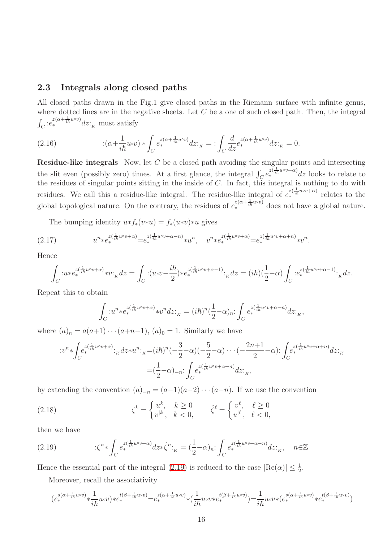## <span id="page-15-0"></span>2.3 Integrals along closed paths

All closed paths drawn in the Fig.1 give closed paths in the Riemann surface with infinite genus, where dotted lines are in the negative sheets. Let  $C$  be a one of such closed path. Then, the integral  $\int_C$ : $e_*^{z(\alpha + \frac{1}{i\hbar}u^{\circ}v)}$ dz:<sub>K</sub> must satisfy

<span id="page-15-2"></span>(2.16) 
$$
\qquad \qquad :(\alpha+\frac{1}{i\hbar}u\circ v)*\int_{C}e_*^{z(\alpha+\frac{1}{i\hbar}u\circ v)}dz \qquad \qquad : \int_{C}\frac{d}{dz}e_*^{z(\alpha+\frac{1}{i\hbar}u\circ v)}dz \qquad \qquad : \int_{C}\frac{d}{dz}e_*^{z(\alpha+\frac{1}{i\hbar}u\circ v)}dz \qquad \qquad : \int_{C}\frac{d}{dz}e_*^{z(\alpha+\frac{1}{i\hbar}u\circ v)}dz \qquad \qquad : \int_{C}\frac{d}{dz}e_*^{z(\alpha+\frac{1}{i\hbar}u\circ v)}dz \qquad \qquad : \int_{C}\frac{d}{dz}e_*^{z(\alpha+\frac{1}{i\hbar}u\circ v)}dz \qquad \qquad : \int_{C}\frac{d}{dz}e_*^{z(\alpha+\frac{1}{i\hbar}u\circ v)}dz \qquad \qquad : \int_{C}\frac{d}{dz}e_*^{z(\alpha+\frac{1}{i\hbar}u\circ v)}dz \qquad \qquad \int_{C}\frac{d}{dz}e_*^{z(\alpha+\frac{1}{i\hbar}u\circ v)}dz \qquad \qquad \int_{C}\frac{d}{dz}e_*^{z(\alpha+\frac{1}{i\hbar}u\circ v)}dz \qquad \qquad \int_{C}\frac{d}{dz}e_*^{z(\alpha+\frac{1}{i\hbar}u\circ v)}dz \qquad \qquad \int_{C}\frac{d}{dz}e_*^{z(\alpha+\frac{1}{i\hbar}u\circ v)}dz \qquad \qquad \int_{C}\frac{d}{dz}e_*^{z(\alpha+\frac{1}{i\hbar}u\circ v)}dz \qquad \qquad \int_{C}\frac{d}{dz}e_*^{z(\alpha+\frac{1}{i\hbar}u\circ v)}dz \qquad \qquad \int_{C}\frac{d}{dz}e_*^{z(\alpha+\frac{1}{i\hbar}u\circ v)}dz \qquad \qquad \int_{C}\frac{d}{dz}e_*^{z(\alpha+\frac{1}{i\hbar}u\circ v)}dz \qquad \qquad \int_{\alpha}e_*^{z(\alpha+\frac{1}{i\hbar}u\circ v)}dz \qquad \qquad \int_{\alpha}e_*^{z(\alpha+\frac{1}{i\hbar}u\circ v)}dz \qquad \qquad \int_{\alpha}e_*^{z(\alpha+\frac{1}{i\hbar}u\circ v)}dz \qquad \qquad \int_{
$$

**Residue-like integrals** Now, let  $C$  be a closed path avoiding the singular points and intersecting the slit even (possibly zero) times. At a first glance, the integral  $\int_C e^{\overline{z}(\frac{1}{ih}u\circ v+a)}dz$  looks to relate to the residues of singular points sitting in the inside of  $C$ . In fact, this integral is nothing to do with residues. We call this a residue-like integral. The residue-like integral of  $e^{z(\frac{1}{ih}u\circ v+\alpha)}$  relates to the global topological nature. On the contrary, the residues of  $e_*^{z(\alpha+\frac{1}{i\hbar}u\circ v)}$  does not have a global nature.

The bumping identity  $u*f_*(v*u) = f_*(u*v)*u$  gives

$$
(2.17) \t un * e*z( $\frac{1}{i\hbar} u \circ v + \alpha$ ) = e<sub>*</sub><sup>z( $\frac{1}{i\hbar} u \circ v + \alpha - n$ ) * u<sup>n</sup>,  $vn * e*z( $\frac{1}{i\hbar} u \circ v + \alpha$ ) = e<sub>*</sub><sup>z( $\frac{1}{i\hbar} u \circ v + \alpha + n$ ) * v<sup>n</sup>.</sup>$</sup>
$$

Hence

$$
\int_C u\ast e_*^{z(\frac{1}{i\hbar}u\circ v+\alpha)}\ast v\cdot_K dz = \int_C \cdot (u\circ v-\frac{i\hbar}{2})\ast e_*^{z(\frac{1}{i\hbar}u\circ v+\alpha-1)}\cdot_K dz = (i\hbar)(\frac{1}{2}-\alpha)\int_C \cdot e_*^{z(\frac{1}{i\hbar}u\circ v+\alpha-1)}\cdot_K dz.
$$

Repeat this to obtain

$$
\int_C u^n * e_*^{z(\frac{1}{i\hbar}u\circ v+\alpha)} * v^n dz_{K} = (i\hbar)^n (\frac{1}{2}-\alpha)_n : \int_C e_*^{z(\frac{1}{i\hbar}u\circ v+\alpha-n)} dz_{K},
$$

where  $(a)_n = a(a+1)\cdots(a+n-1)$ ,  $(a)_0 = 1$ . Similarly we have

$$
\begin{split} :&v^n\ast\int_{C}e_*^{z(\frac{1}{i\hbar}u\circ v+\alpha)}:_{\kappa}dz*u^n:_{\kappa}=(i\hbar)^n(-\frac{3}{2}-\alpha)(-\frac{5}{2}-\alpha)\cdot\cdot\cdot(-\frac{2n+1}{2}-\alpha)\colon\int_{C}e_*^{z(\frac{1}{i\hbar}u\circ v+\alpha+n)}dz:_{\kappa}\\ =&(\frac{1}{2}-\alpha)_{-n}\colon\int_{C}e_*^{z(\frac{1}{i\hbar}u\circ v+\alpha+n)}dz:_{\kappa}, \end{split}
$$

by extending the convention  $(a)_{-n} = (a-1)(a-2)\cdots(a-n)$ . If we use the convention

<span id="page-15-3"></span>(2.18) 
$$
\zeta^k = \begin{cases} u^k, & k \ge 0 \\ v^{|k|}, & k < 0, \end{cases} \qquad \hat{\zeta}^\ell = \begin{cases} v^\ell, & \ell \ge 0 \\ u^{| \ell |}, & \ell < 0, \end{cases}
$$

then we have

<span id="page-15-1"></span>(2.19) 
$$
\therefore \zeta^{n} * \int_{C} e_*^{z(\frac{1}{i\hbar}u\circ v + \alpha)} dz * \hat{\zeta}^{n} :_{K} = (\frac{1}{2} - \alpha)_{n} : \int_{C} e_*^{z(\frac{1}{i\hbar}u\circ v + \alpha - n)} dz :_{K}, \quad n \in \mathbb{Z}
$$

Hence the essential part of the integral [\(2.19\)](#page-15-1) is reduced to the case  $|Re(\alpha)| \leq \frac{1}{2}$ .

Moreover, recall the associativity

$$
\big(e_*^{\mathcal{S}(\alpha+\frac{1}{i\hbar}u\circ v)}*\frac{1}{i\hbar}u\circ v\big)*e_*^{t(\beta+\frac{1}{i\hbar}u\circ v)}=e_*^{\mathcal{S}(\alpha+\frac{1}{i\hbar}u\circ v)}*(\frac{1}{i\hbar}u\circ v*e_*^{t(\beta+\frac{1}{i\hbar}u\circ v)})=\frac{1}{i\hbar}u\circ v*(e_*^{\mathcal{S}(\alpha+\frac{1}{i\hbar}u\circ v)}*e_*^{t(\beta+\frac{1}{i\hbar}u\circ v)})
$$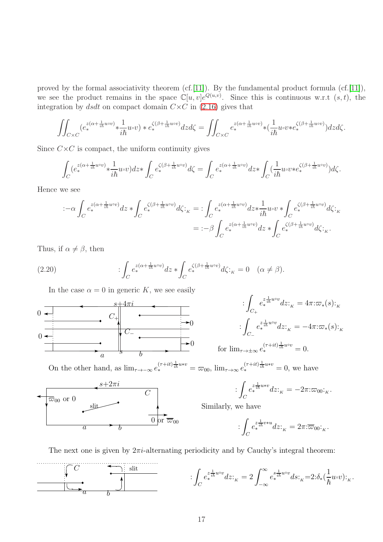proved by the formal associativity theorem (cf. [\[11\]](#page-41-1)). By the fundamental product formula (cf. [11]), we see the product remains in the space  $\mathbb{C}[u,v]e^{Q(u,v)}$ . Since this is continuous w.r.t  $(s,t)$ , the integration by dsdt on compact domain  $C \times C$  in [\(2.16\)](#page-15-2) gives that

$$
\iint_{C\times C} (e_*^{z(\alpha+\frac{1}{i\hbar}u\circ v)}*\frac{1}{i\hbar}u\circ v)*e_*^{\zeta(\beta+\frac{1}{i\hbar}u\circ v)}dzd\zeta = \iint_{C\times C} e_*^{z(\alpha+\frac{1}{i\hbar}u\circ v)}*(\frac{1}{i\hbar}u\circ v*e_*^{\zeta(\beta+\frac{1}{i\hbar}u\circ v)})dzd\zeta.
$$

Since  $C \times C$  is compact, the uniform continuity gives

$$
\int_C (e_*^{z(\alpha+\frac{1}{i\hbar}u\circ v)}*\frac{1}{i\hbar}u\circ v)dz*\int_C e_*^{\zeta(\beta+\frac{1}{i\hbar}u\circ v)}d\zeta = \int_C e_*^{z(\alpha+\frac{1}{i\hbar}u\circ v)}dz*\int_C (\frac{1}{i\hbar}u\circ v*e_*^{\zeta(\beta+\frac{1}{i\hbar}u\circ v)})d\zeta.
$$

Hence we see

$$
\begin{split} \left. \left. \left. \left( -\alpha \int_C e_*^{z(\alpha+\frac{1}{i\hbar}u\circ v)} dz \ast \int_C e_*^{\zeta(\beta+\frac{1}{i\hbar}u\circ v)} d\zeta \right. \right. \right. \right. \\ \left. \left. \left. \left( -\alpha \int_C e_*^{z(\alpha+\frac{1}{i\hbar}u\circ v)} dz \ast \int_C e_*^{z(\alpha+\frac{1}{i\hbar}u\circ v)} dz \ast \int_C e_*^{\zeta(\beta+\frac{1}{i\hbar}u\circ v)} d\zeta \right. \right. \right. \right. \\ \left. \left. \left. \left( -\alpha \int_C e_*^{z(\alpha+\frac{1}{i\hbar}u\circ v)} dz \ast \int_C e_*^{z(\beta+\frac{1}{i\hbar}u\circ v)} d\zeta \right. \right. \right. \right. \\ \left. \left. \left( -\alpha \int_C e_*^{z(\alpha+\frac{1}{i\hbar}u\circ v)} dz \ast \int_C e_*^{z(\beta+\frac{1}{i\hbar}u\circ v)} d\zeta \right. \right) \right. \right. \\ \left. \left. \left( -\alpha \int_C e_*^{z(\alpha+\frac{1}{i\hbar}u\circ v)} dz \ast \int_C e_*^{z(\beta+\frac{1}{i\hbar}u\circ v)} dz \ast \int_C e_*^{z(\beta+\frac{1}{i\hbar}u\circ v)} dz \right. \right. \right. \\ \left. \left. \left( -\alpha \int_C e_*^{z(\alpha+\frac{1}{i\hbar}u\circ v)} dz \ast \int_C e_*^{z(\alpha+\frac{1}{i\hbar}u\circ v)} dz \ast \int_C e_*^{z(\beta+\frac{1}{i\hbar}u\circ v)} dz \ast \int_C e_*^{z(\beta+\frac{1}{i\hbar}u\circ v)} dz \right. \right. \right. \end{split}
$$

Thus, if  $\alpha \neq \beta$ , then

(2.20) 
$$
\qquad \qquad : \int_C e_*^{z(\alpha + \frac{1}{i\hbar}u\circ v)} dz * \int_C e_*^{\zeta(\beta + \frac{1}{i\hbar}u\circ v)} d\zeta :_{K} = 0 \quad (\alpha \neq \beta).
$$

In the case  $\alpha = 0$  in generic K, we see easily



$$
\begin{aligned}\n&\left. \int_{C_{+}} e_{*}^{z \frac{1}{i\hbar} u \circ v} dz \right|_{K} = 4\pi \varepsilon_{*}(s) \varepsilon_{K} \\
&\left. \int_{C_{-}} e_{*}^{z \frac{1}{i\hbar} u \circ v} dz \right|_{K} = -4\pi \varepsilon_{*}(s) \varepsilon_{K} \\
&\text{for } \lim_{\tau \to \pm \infty} e_{*}^{(\tau + it) \frac{1}{i\hbar} u \circ v} = 0.\n\end{aligned}
$$

On the other hand, as  $\lim_{\tau \to -\infty} e_*^{(\tau + it) \frac{1}{i\hbar} u * v}$  $(\tau+it) \frac{1}{i\hbar} u * v = \varpi_{00}, \lim_{\tau \to \infty} e_*^{(\tau+it) \frac{1}{i\hbar} u * v} = 0$ , we have



$$
\int_C e_*^{z \frac{1}{i\hbar} u * v} dz_{\kappa} = -2\pi \mathpunct{:}\! \varpi_{00} \mathbf{i}_{\kappa}.
$$

Similarly, we have

$$
\int_C e_*^{z\frac{1}{i\hbar}v*u} dz_{\kappa} = 2\pi \mathpunct{:}\overline{\varpi}_{00} \mathbf{i}_{\kappa}.
$$

The next one is given by  $2\pi i$ -alternating periodicity and by Cauchy's integral theorem:

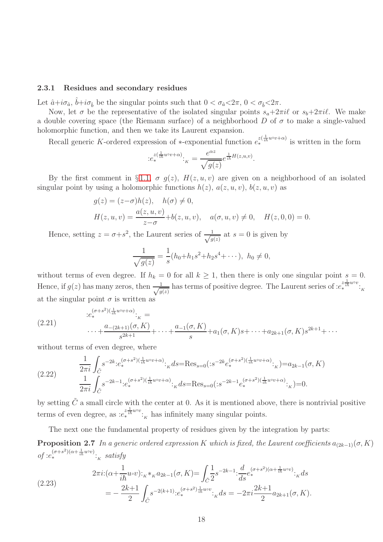#### <span id="page-17-0"></span>2.3.1 Residues and secondary residues

Let  $\hat{a}+i\sigma_{\hat{a}}, \hat{b}+i\sigma_{\hat{b}}$  be the singular points such that  $0 < \sigma_{\hat{a}} < 2\pi$ ,  $0 < \sigma_{\hat{b}} < 2\pi$ .

Now, let  $\sigma$  be the representative of the isolated singular points  $s_a+2\pi i\ell$  or  $s_b+2\pi i\ell$ . We make a double covering space (the Riemann surface) of a neighborhood D of  $\sigma$  to make a single-valued holomorphic function, and then we take its Laurent expansion.

Recall generic K-ordered expression of \*-exponential function  $e_*^{z(\frac{1}{ih}u\circ v+\alpha)}$  is written in the form

.

$$
:e_*^{z(\frac{1}{i\hbar}u\circ v+\alpha)}:_{K}=\frac{e^{\alpha z}}{\sqrt{g(z)}}e^{\frac{1}{i\hbar}H(z,u,v)}
$$

By the first comment in §[1.1,](#page-4-0)  $\sigma$   $g(z)$ ,  $H(z, u, v)$  are given on a neighborhood of an isolated singular point by using a holomorphic functions  $h(z)$ ,  $a(z, u, v)$ ,  $b(z, u, v)$  as

$$
g(z) = (z - \sigma)h(z), \quad h(\sigma) \neq 0,
$$
  
\n
$$
H(z, u, v) = \frac{a(z, u, v)}{z - \sigma} + b(z, u, v), \quad a(\sigma, u, v) \neq 0, \quad H(z, 0, 0) = 0.
$$

Hence, setting  $z = \sigma + s^2$ , the Laurent series of  $\frac{1}{\sqrt{a}}$  $\frac{1}{g(z)}$  at  $s = 0$  is given by

$$
\frac{1}{\sqrt{g(z)}} = \frac{1}{s}(h_0 + h_1 s^2 + h_2 s^4 + \cdots), \ h_0 \neq 0,
$$

without terms of even degree. If  $h_k = 0$  for all  $k \ge 1$ , then there is only one singular point  $s = 0$ . Hence, if  $g(z)$  has many zeros, then  $\frac{1}{\sqrt{a}}$  $\frac{1}{g(z)}$  has terms of positive degree. The Laurent series of  $:e^{z\frac{1}{i\hbar}uv}$ ; at the singular point  $\sigma$  is written as

<span id="page-17-2"></span>(2.21) 
$$
e_*^{(\sigma+s^2)(\frac{1}{ih}u\circ v+\alpha)} \cdot \kappa =
$$

$$
\cdots + \frac{a_{-(2k+1)}(\sigma, K)}{s^{2k+1}} + \cdots + \frac{a_{-1}(\sigma, K)}{s} + a_1(\sigma, K)s + \cdots + a_{2k+1}(\sigma, K)s^{2k+1} + \cdots
$$

without terms of even degree, where

<span id="page-17-1"></span>
$$
(2.22) \quad \frac{1}{2\pi i} \int_{\tilde{C}} s^{-2k} \cdot e^{(\sigma+s^2)(\frac{1}{i\hbar}u\circ v+\alpha)} \cdot \kappa ds = \text{Res}_{s=0}(\cdot s^{-2k} e^{(\sigma+s^2)(\frac{1}{i\hbar}u\circ v+\alpha)} \cdot \kappa) = a_{2k-1}(\sigma, K)
$$
\n
$$
\frac{1}{2\pi i} \int_{\tilde{C}} s^{-2k-1} \cdot e^{(\sigma+s^2)(\frac{1}{i\hbar}u\circ v+\alpha)} \cdot \kappa ds = \text{Res}_{s=0}(\cdot s^{-2k-1} e^{(\sigma+s^2)(\frac{1}{i\hbar}u\circ v+\alpha)} \cdot \kappa) = 0.
$$

by setting  $\tilde{C}$  a small circle with the center at 0. As it is mentioned above, there is nontrivial positive terms of even degree, as  $:e^{z\frac{1}{i\hbar}uv}$ :<sub>K</sub> has infinitely many singular points.

The next one the fundamental property of residues given by the integration by parts:

**Proposition 2.7** In a generic ordered expression K which is fixed, the Laurent coefficients  $a_{(2k-1)}(\sigma, K)$  $of : e_*^{(\sigma+s^2)(\alpha+\frac{1}{i\hbar}u\circ v)}:_{K} satisfy$ 

$$
(2.23) \quad 2\pi i: (\alpha + \frac{1}{i\hbar}u\circ v):_{K} *_{K} a_{2k-1}(\sigma, K) = \int_{\tilde{C}} \frac{1}{2}s^{-2k-1}:\frac{d}{ds}e_{*}^{(\sigma+s^{2})(\alpha + \frac{1}{i\hbar}u\circ v)}:_{K} ds
$$
\n
$$
= -\frac{2k+1}{2} \int_{\tilde{C}} s^{-2(k+1)}:e_{*}^{(\sigma+s^{2})\frac{1}{i\hbar}u\circ v}:_{K} ds = -2\pi i \frac{2k+1}{2} a_{2k+1}(\sigma, K).
$$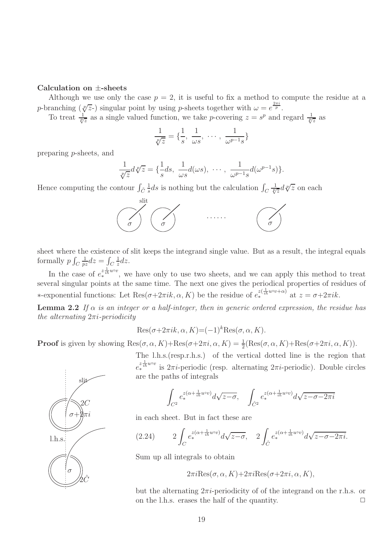#### Calculation on ±-sheets

Although we use only the case  $p = 2$ , it is useful to fix a method to compute the residue at a p-branching  $(\sqrt[p]{z})$  singular point by using p-sheets together with  $\omega = e^{\frac{2\pi i}{p}}$ .

To treat  $\frac{1}{\sqrt[p]{z}}$  as a single valued function, we take *p*-covering  $z = s^p$  and regard  $\frac{1}{\sqrt[p]{z}}$  as

$$
\frac{1}{\sqrt[p]{z}} = \left\{ \frac{1}{s}, \frac{1}{\omega s}, \cdots, \frac{1}{\omega^{p-1}s} \right\}
$$

preparing p-sheets, and

$$
\frac{1}{\sqrt[p]{z}}d\sqrt[p]{z} = \{\frac{1}{s}ds, \ \frac{1}{\omega s}d(\omega s), \ \cdots, \ \frac{1}{\omega^{p-1}s}d(\omega^{p-1}s)\}.
$$

Hence computing the contour  $\int_{\tilde{C}} \frac{1}{s}$  $\frac{1}{s}$ ds is nothing but the calculation  $\int_C$  $\frac{1}{\sqrt[p]{z}}d\sqrt[p]{z}$  on each

![](_page_18_Figure_7.jpeg)

sheet where the existence of slit keeps the integrand single value. But as a result, the integral equals formally  $p \int_C$ 1  $\frac{1}{pz}dz=\int_C$ 1  $rac{1}{z}dz$ .

In the case of  $e^{z\frac{1}{ih}u\circ v}$ , we have only to use two sheets, and we can apply this method to treat several singular points at the same time. The next one gives the periodical properties of residues of *∗*-exponential functions: Let Res(*σ*+2*πik*, *α*, *K*) be the residue of  $e_*^{z(\frac{1}{i\hbar}u\circ v+\alpha)}$  at  $z = σ+2πik$ .

**Lemma 2.2** If  $\alpha$  is an integer or a half-integer, then in generic ordered expression, the residue has the alternating  $2\pi i$ -periodicity

$$
Res(\sigma + 2\pi i k, \alpha, K) = (-1)^k Res(\sigma, \alpha, K).
$$

**Proof** is given by showing  $\text{Res}(\sigma, \alpha, K) + \text{Res}(\sigma + 2\pi i, \alpha, K) = \frac{1}{2}(\text{Res}(\sigma, \alpha, K) + \text{Res}(\sigma + 2\pi i, \alpha, K)).$ 

![](_page_18_Figure_13.jpeg)

The l.h.s.(resp.r.h.s.) of the vertical dotted line is the region that  $e_{*}^{z_{\overline{i}\hbar}^{u\circ v}}$  is  $2\pi i$ -periodic (resp. alternating  $2\pi i$ -periodic). Double circles are the paths of integrals

$$
\int_{C^2} e_*^{z(\alpha + \frac{1}{i\hbar}u\circ v)} d\sqrt{z-\sigma}, \quad \int_{\hat{C}^2} e_*^{z(\alpha + \frac{1}{i\hbar}u\circ v)} d\sqrt{z-\sigma-2\pi i}
$$

in each sheet. But in fact these are

<span id="page-18-0"></span>
$$
(2.24) \qquad 2\int_C e_*^{z(\alpha + \frac{1}{i\hbar}u\circ v)}d\sqrt{z-\sigma}, \quad 2\int_{\hat{C}} e_*^{z(\alpha + \frac{1}{i\hbar}u\circ v)}d\sqrt{z-\sigma-2\pi i}.
$$

Sum up all integrals to obtain

$$
2\pi i \text{Res}(\sigma, \alpha, K) + 2\pi i \text{Res}(\sigma + 2\pi i, \alpha, K),
$$

but the alternating  $2\pi i$ -periodicity of of the integrand on the r.h.s. or on the l.h.s. erases the half of the quantity.  $\Box$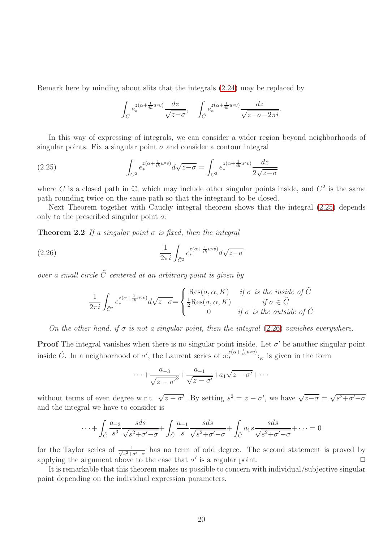Remark here by minding about slits that the integrals [\(2.24\)](#page-18-0) may be replaced by

<span id="page-19-0"></span>
$$
\int_C e_*^{z(\alpha + \frac{1}{i\hbar}u\circ v)} \frac{dz}{\sqrt{z-\sigma}}, \quad \int_{\hat{C}} e_*^{z(\alpha + \frac{1}{i\hbar}u\circ v)} \frac{dz}{\sqrt{z-\sigma-2\pi i}}.
$$

In this way of expressing of integrals, we can consider a wider region beyond neighborhoods of singular points. Fix a singular point  $\sigma$  and consider a contour integral

(2.25) 
$$
\int_{C^2} e_*^{z(\alpha + \frac{1}{i\hbar}u\circ v)} d\sqrt{z - \sigma} = \int_{C^2} e_*^{z(\alpha + \frac{1}{i\hbar}u\circ v)} \frac{dz}{2\sqrt{z - \sigma}}
$$

where C is a closed path in  $\mathbb{C}$ , which may include other singular points inside, and  $C^2$  is the same path rounding twice on the same path so that the integrand to be closed.

Next Theorem together with Cauchy integral theorem shows that the integral [\(2.25\)](#page-19-0) depends only to the prescribed singular point  $\sigma$ :

Theorem 2.2 If a singular point  $\sigma$  is fixed, then the integral

$$
(2.26) \qquad \frac{1}{2\pi i} \int_{\tilde{C}^2} e_*^{z(\alpha + \frac{1}{i\hbar}u\circ v)} d\sqrt{z - \sigma}
$$

over a small circle  $\tilde{C}$  centered at an arbitrary point is given by

<span id="page-19-2"></span><span id="page-19-1"></span>
$$
\frac{1}{2\pi i} \int_{\tilde{C}^2} e_*^{z(\alpha + \frac{1}{i\hbar}u\circ v)} d\sqrt{z - \sigma} = \begin{cases} \text{Res}(\sigma, \alpha, K) & \text{if } \sigma \text{ is the inside of } \tilde{C} \\ \frac{1}{2} \text{Res}(\sigma, \alpha, K) & \text{if } \sigma \in \tilde{C} \\ 0 & \text{if } \sigma \text{ is the outside of } \tilde{C} \end{cases}
$$

On the other hand, if  $\sigma$  is not a singular point, then the integral [\(2.26\)](#page-19-1) vanishes everywhere.

**Proof** The integral vanishes when there is no singular point inside. Let  $\sigma'$  be another singular point inside  $\tilde{C}$ . In a neighborhood of  $\sigma'$ , the Laurent series of  $:e^{z(\alpha+\frac{1}{i\hbar}u\circ v)}_{*k}$  is given in the form

$$
\cdots + \frac{a_{-3}}{\sqrt{z-\sigma'}} + \frac{a_{-1}}{\sqrt{z-\sigma'}} + a_1\sqrt{z-\sigma'} + \cdots
$$

without terms of even degree w.r.t.  $\sqrt{z-\sigma'}$ . By setting  $s^2 = z - \sigma'$ , we have  $\sqrt{z-\sigma} = \sqrt{s^2+\sigma'-\sigma}$ and the integral we have to consider is

$$
\cdots + \int_{\tilde{C}} \frac{a_{-3}}{s^3} \frac{s ds}{\sqrt{s^2 + \sigma' - \sigma}} + \int_{\tilde{C}} \frac{a_{-1}}{s} \frac{s ds}{\sqrt{s^2 + \sigma' - \sigma}} + \int_{\tilde{C}} a_1 s \frac{s ds}{\sqrt{s^2 + \sigma' - \sigma}} + \cdots = 0
$$

for the Taylor series of  $\frac{1}{\sqrt{a^2+1}}$  $\frac{1}{s^2+\sigma'-\sigma}$  has no term of odd degree. The second statement is proved by applying the argument above to the case that  $\sigma'$  is a regular point.

It is remarkable that this theorem makes us possible to concern with individual/subjective singular point depending on the individual expression parameters.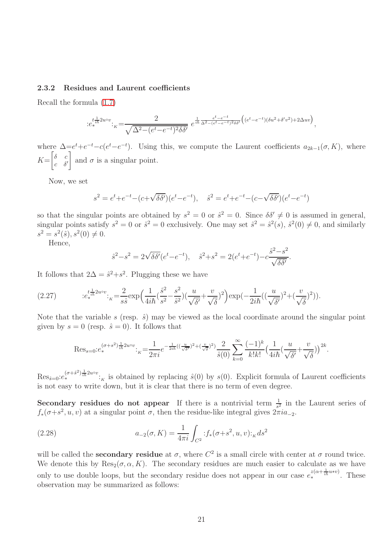#### <span id="page-20-0"></span>2.3.2 Residues and Laurent coefficients

Recall the formula [\(1.7\)](#page-3-0)

$$
:e_{*}^{t\frac{1}{i\hbar}2u\circ v}:_{K}=\frac{2}{\sqrt{\Delta^{2}-(e^{t}-e^{-t})^{2}\delta\delta'}}\ e^{\frac{1}{i\hbar}\frac{e^{t}-e^{-t}}{\Delta^{2}-(e^{t}-e^{-t})^{2}\delta\delta'}}\left((e^{t}-e^{-t})(\delta u^{2}+\delta' v^{2})+2\Delta uv\right),
$$

where  $\Delta = e^t + e^{-t} - c(e^t - e^{-t})$ . Using this, we compute the Laurent coefficients  $a_{2k-1}(\sigma, K)$ , where  $K=$  $\lceil \delta \rceil$  $c \delta'$ 1 and  $\sigma$  is a singular point.

Now, we set

$$
s^{2} = e^{t} + e^{-t} - (c + \sqrt{\delta \delta'}) (e^{t} - e^{-t}), \quad \hat{s}^{2} = e^{t} + e^{-t} - (c - \sqrt{\delta \delta'}) (e^{t} - e^{-t})
$$

so that the singular points are obtained by  $s^2 = 0$  or  $\hat{s}^2 = 0$ . Since  $\delta \delta' \neq 0$  is assumed in general, singular points satisfy  $s^2 = 0$  or  $\hat{s}^2 = 0$  exclusively. One may set  $\hat{s}^2 = \hat{s}^2(s)$ ,  $\hat{s}^2(0) \neq 0$ , and similarly  $s^2 = s^2(\hat{s}), s^2(0) \neq 0.$ 

Hence,

$$
\hat{s}^2 - s^2 = 2\sqrt{\delta\delta'}(e^t - e^{-t}), \quad \hat{s}^2 + s^2 = 2(e^t + e^{-t}) - c\frac{\hat{s}^2 - s^2}{\sqrt{\delta\delta'}}.
$$

It follows that  $2\Delta = \hat{s}^2 + s^2$ . Plugging these we have

$$
(2.27) \qquad :e_*^{t\frac{1}{i\hbar}2u\circ v}: \frac{2}{\kappa} = \frac{2}{s\hat{s}} \exp\left(\frac{1}{4i\hbar}(\frac{\hat{s}^2}{s^2} - \frac{s^2}{\hat{s}^2})(\frac{u}{\sqrt{\delta'}} + \frac{v}{\sqrt{\delta}})^2\right) \exp\left(-\frac{1}{2i\hbar}((\frac{u}{\sqrt{\delta'}})^2 + (\frac{v}{\sqrt{\delta}})^2)\right).
$$

Note that the variable s (resp.  $\hat{s}$ ) may be viewed as the local coordinate around the singular point given by  $s = 0$  (resp.  $\hat{s} = 0$ ). It follows that

$$
\operatorname{Res}_{s=0}: e_*^{(\sigma+s^2)\frac{1}{i\hbar}2u\circ v}: \frac{1}{\chi} = \frac{1}{2\pi i} e^{-\frac{1}{2i\hbar}((\frac{u}{\sqrt{\delta'}})^2 + (\frac{v}{\sqrt{\delta}})^2)} \frac{2}{\hat{s}(0)} \sum_{k=0}^{\infty} \frac{(-1)^k}{k!k!} \left(\frac{1}{4i\hbar}(\frac{u}{\sqrt{\delta'}} + \frac{v}{\sqrt{\delta}})\right)^{2k}.
$$

 $\text{Res}_{\hat{s}=0} : e^{(\sigma+\hat{s}^2)\frac{1}{i\hbar}2u\circ v} :_{K}$  is obtained by replacing  $\hat{s}(0)$  by  $s(0)$ . Explicit formula of Laurent coefficients is not easy to write down, but it is clear that there is no term of even degree.

**Secondary residues do not appear** If there is a nontrivial term  $\frac{1}{s^2}$  in the Laurent series of  $f_*(\sigma+s^2, u, v)$  at a singular point  $\sigma$ , then the residue-like integral gives  $2\pi i a_{-2}$ .

(2.28) 
$$
a_{-2}(\sigma, K) = \frac{1}{4\pi i} \int_{C^2} f_*(\sigma + s^2, u, v) :_K ds^2
$$

will be called the **secondary residue** at  $\sigma$ , where  $C^2$  is a small circle with center at  $\sigma$  round twice. We denote this by  $\text{Res}_2(\sigma, \alpha, K)$ . The secondary residues are much easier to calculate as we have only to use double loops, but the secondary residue does not appear in our case  $e_*^{z(\alpha+\frac{1}{ih}u*v)}$ . These observation may be summarized as follows: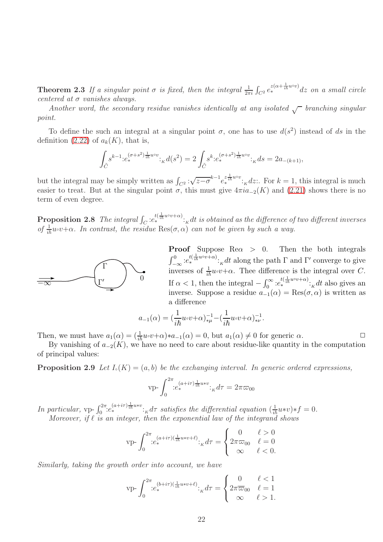**Theorem 2.3** If a singular point  $\sigma$  is fixed, then the integral  $\frac{1}{2\pi i} \int_{C^2} e_*^{z(\alpha + \frac{1}{i\hbar}u^{\circ v})} dz$  on a small circle centered at  $\sigma$  vanishes always.

Another word, the secondary residue vanishes identically at any isolated  $\sqrt{\ }$  branching singular point.

To define the such an integral at a singular point  $\sigma$ , one has to use  $d(s^2)$  instead of ds in the definition [\(2.22\)](#page-17-1) of  $a_k(K)$ , that is,

$$
\int_{\tilde{C}} s^{k-1} :e_*^{(\sigma+s^2)\frac{1}{i\hbar}u\circ v} :_{K} d(s^2) = 2 \int_{\tilde{C}} s^k :e_*^{(\sigma+s^2)\frac{1}{i\hbar}u\circ v} :_{K} ds = 2a_{-(k+1)},
$$

but the integral may be simply written as  $\int_{C^2} \sqrt{z-\sigma}^{k-1} e_*^{z \frac{1}{ih} u \circ v}$ ;  $\int_K dz$ :. For  $k = 1$ , this integral is much easier to treat. But at the singular point  $\sigma$ , this must give  $4\pi i a_{-2}(K)$  and [\(2.21\)](#page-17-2) shows there is no term of even degree.

**Proposition 2.8** The integral  $\int_C$   $:e^{t(\frac{1}{i\hbar}u\circ v+\alpha)}$ .<sub>K</sub> dt is obtained as the difference of two different inverses of  $\frac{1}{i\hbar}u\circ v+\alpha$ . In contrast, the residue  $\text{Res}(\sigma,\alpha)$  can not be given by such a way.

![](_page_21_Figure_6.jpeg)

**Proof** Suppose Re $\alpha > 0$ . Then the both integrals  $\int_{-\infty}^{0}$ : $e^{t(\frac{1}{i\hbar}uv+v+\alpha)}$ :<sub>K</sub>dt along the path  $\Gamma$  and  $\Gamma'$  converge to give inverses of  $\frac{1}{i\hbar}u\circ v+\alpha$ . Thee difference is the integral over C. If  $\alpha < 1$ , then the integral  $-\int_0^\infty e^{t(\frac{1}{i\hbar}u\circ v+\alpha)}$ ; dt also gives an inverse. Suppose a residue  $a_{-1}(\alpha) = \text{Res}(\sigma, \alpha)$  is written as a difference

.

$$
a_{-1}(\alpha) = (\frac{1}{i\hbar}u \circ v + \alpha)_{*\mu}^{-1} - (\frac{1}{i\hbar}u \circ v + \alpha)_{*\nu}^{-1}
$$

Then, we must have  $a_1(\alpha) = (\frac{1}{i\hbar}u\circ v + \alpha)*a_{-1}(\alpha) = 0$ , but  $a_1(\alpha) \neq 0$  for generic  $\alpha$ .

By vanishing of  $a_{-2}(K)$ , we have no need to care about residue-like quantity in the computation of principal values:

**Proposition 2.9** Let  $I_{\circ}(K) = (a, b)$  be the exchanging interval. In generic ordered expressions,

$$
\text{vp-}\int_0^{2\pi} e^{(a+i\tau)\frac{1}{i\hbar}u*v} \cdot_K d\tau = 2\pi\varpi_{00}
$$

In particular, vp- $\int_0^{2\pi} e^{(a+i\tau)\frac{1}{i\hbar}uv}$ :  $\kappa d\tau$  satisfies the differential equation  $(\frac{1}{i\hbar}u*v)*f=0$ . Moreover, if  $\ell$  is an integer, then the exponential law of the integrand shows

$$
\text{vp-}\int_0^{2\pi} e^{(a+i\tau)(\frac{1}{i\hbar}u*v+\ell)} \cdot_{K} d\tau = \begin{cases} 0 & \ell > 0\\ 2\pi\varpi_{00} & \ell = 0\\ \infty & \ell < 0. \end{cases}
$$

Similarly, taking the growth order into account, we have

$$
\text{vp-}\int_0^{2\pi} e^{(b+i\tau)(\frac{1}{i\hbar}u*v+\ell)} \cdot_{\kappa} d\tau = \begin{cases} 0 & \ell < 1\\ 2\pi \overline{\omega}_{00} & \ell = 1\\ \infty & \ell > 1. \end{cases}
$$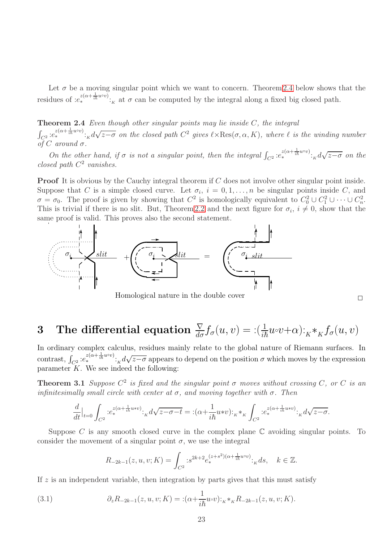Let  $\sigma$  be a moving singular point which we want to concern. Theorem [2.4](#page-22-1) below shows that the residues of  $:e^{z(\alpha+\frac{1}{i\hbar}u\circ v)}$ :<sub>K</sub> at  $\sigma$  can be computed by the integral along a fixed big closed path.

<span id="page-22-1"></span>**Theorem 2.4** Even though other singular points may lie inside  $C$ , the integral

 $\int_{C^2}$   $e^{z(\alpha+\frac{1}{i\hbar}u\circ v)}$ :  $\int_K d\sqrt{z-\sigma}$  on the closed path  $C^2$  gives  $\ell \times \text{Res}(\sigma,\alpha,K)$ , where  $\ell$  is the winding number of C around  $\sigma$ .

On the other hand, if  $\sigma$  is not a singular point, then the integral  $\int_{C^2}$   $:e^{z(\alpha+\frac{1}{i\hbar}u\circ v)}$ .  $\int_{K} d\sqrt{z-\sigma}$  on the closed path  $C^2$  vanishes.

**Proof** It is obvious by the Cauchy integral theorem if C does not involve other singular point inside. Suppose that C is a simple closed curve. Let  $\sigma_i$ ,  $i = 0, 1, \ldots, n$  be singular points inside C, and  $\sigma = \sigma_0$ . The proof is given by showing that  $C^2$  is homologically equivalent to  $C_0^2 \cup C_1^2 \cup \cdots \cup C_n^2$ . This is trivial if there is no slit. But, Theorem [2.2](#page-19-2) and the next figure for  $\sigma_i$ ,  $i \neq 0$ , show that the same proof is valid. This proves also the second statement.

![](_page_22_Figure_5.jpeg)

Homological nature in the double cover  $\hfill\Box$ 

# <span id="page-22-0"></span>3 The differential equation  $\frac{\nabla}{d\sigma} f_{\sigma}(u,v) = \frac{\partial}{\partial u} u \cdot (u+v) \cdot K^* K f_{\sigma}(u,v)$

In ordinary complex calculus, residues mainly relate to the global nature of Riemann surfaces. In contrast,  $\int_{C^2} e^{z(\alpha + \frac{1}{i\hbar}u\circ v)} \cdot_K d\sqrt{z-\sigma}$  appears to depend on the position  $\sigma$  which moves by the expression parameter  $K$ . We see indeed the following:

**Theorem 3.1** Suppose  $C^2$  is fixed and the singular point  $\sigma$  moves without crossing C, or C is an infinitesimally small circle with center at  $\sigma$ , and moving together with  $\sigma$ . Then

$$
\frac{d}{dt}\Big|_{t=0} \int_{C^2} :e_*^{z(\alpha + \frac{1}{i\hbar}u*v)}:_{K} d\sqrt{z-\sigma-t} = :(\alpha + \frac{1}{i\hbar}u*v):_{K}*_K \int_{C^2} :e_*^{z(\alpha + \frac{1}{i\hbar}u*v)}:_{K} d\sqrt{z-\sigma}.
$$

Suppose C is any smooth closed curve in the complex plane  $\mathbb C$  avoiding singular points. To consider the movement of a singular point  $\sigma$ , we use the integral

$$
R_{-2k-1}(z, u, v; K) = \int_{C^2} :s^{2k+2}e_*^{(z+s^2)(\alpha + \frac{1}{i\hbar}u\circ v)}:_{K}ds, \quad k \in \mathbb{Z}.
$$

If  $z$  is an independent variable, then integration by parts gives that this must satisfy

(3.1) 
$$
\partial_z R_{-2k-1}(z, u, v; K) = : (\alpha + \frac{1}{i\hbar}u \circ v) :_{K^*K} R_{-2k-1}(z, u, v; K).
$$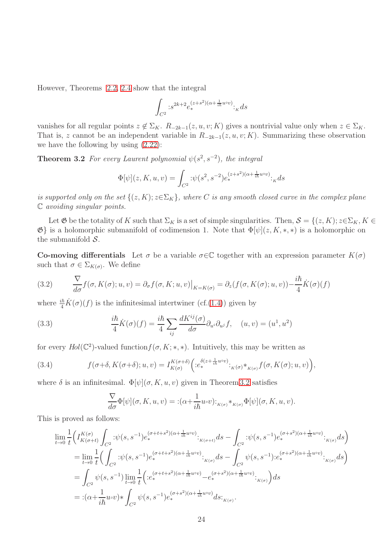However, Theorems [2.2,](#page-19-2) [2.4](#page-22-1) show that the integral

<span id="page-23-0"></span>
$$
\int_{C^2} :s^{2k+2}e_*^{(z+s^2)(\alpha+\frac{1}{i\hbar}u\circ v)}:_{K}ds
$$

vanishes for all regular points  $z \notin \Sigma_K$ .  $R_{-2k-1}(z, u, v; K)$  gives a nontrivial value only when  $z \in \Sigma_K$ . That is, z cannot be an independent variable in  $R_{-2k-1}(z, u, v; K)$ . Summarizing these observation we have the following by using [\(2.22\)](#page-17-1):

**Theorem 3.2** For every Laurent polynomial  $\psi(s^2, s^{-2})$ , the integral

$$
\Phi[\psi](z, K, u, v) = \int_{C^2} \, : \psi(s^2, s^{-2}) e^{(z+s^2)(\alpha + \frac{1}{i\hbar}u\circ v)} \, :_{K} ds
$$

is supported only on the set  $\{(z,K); z \in \Sigma_K\}$ , where C is any smooth closed curve in the complex plane C avoiding singular points.

Let  $\mathfrak G$  be the totality of K such that  $\Sigma_K$  is a set of simple singularities. Then,  $\mathcal S = \{(z,K); z \in \Sigma_K, K \in$  $\mathfrak{G}$  is a holomorphic submanifold of codimension 1. Note that  $\Phi[\psi](z, K, *, *)$  is a holomorphic on the submanifold  $S$ .

**Co-moving differentials** Let  $\sigma$  be a variable  $\sigma \in \mathbb{C}$  together with an expression parameter  $K(\sigma)$ such that  $\sigma \in \Sigma_{K(\sigma)}$ . We define

<span id="page-23-1"></span>(3.2) 
$$
\frac{\nabla}{d\sigma} f(\sigma, K(\sigma); u, v) = \partial_{\sigma} f(\sigma, K; u, v)|_{K=K(\sigma)} = \partial_{z}(f(\sigma, K(\sigma); u, v)) - \frac{i\hbar}{4}\dot{K}(\sigma)(f)
$$

where  $\frac{i\hbar}{4}\dot{K}(\sigma)(f)$  is the infinitesimal intertwiner (cf.[\(1.4\)](#page-2-1)) given by

(3.3) 
$$
\frac{i\hbar}{4}\dot{K}(\sigma)(f) = \frac{i\hbar}{4}\sum_{ij}\frac{dK^{ij}(\sigma)}{d\sigma}\partial_{u^i}\partial_{u^j}f, \quad (u,v) = (u^1, u^2)
$$

for every  $Hol(\mathbb{C}^2)$ -valued function $f(\sigma, K; *, *)$ . Intuitively, this may be written as

(3.4) 
$$
f(\sigma+\delta, K(\sigma+\delta); u, v) = I_{K(\sigma)}^{K(\sigma+\delta)} \Big( :e_*^{\delta(z+\frac{1}{i\hbar}u\circ v)}:K(\sigma)*_{K(\sigma)} f(\sigma, K(\sigma); u, v) \Big),
$$

where  $\delta$  is an infinitesimal.  $\Phi[\psi](\sigma, K, u, v)$  given in Theorem [3.2](#page-23-0) satisfies

$$
\frac{\nabla}{d\sigma}\Phi[\psi](\sigma, K, u, v) = : (\alpha + \frac{1}{i\hbar}u \circ v):_{K(\sigma)} *_{K(\sigma)}\Phi[\psi](\sigma, K, u, v).
$$

This is proved as follows:

$$
\lim_{t \to 0} \frac{1}{t} \Big( I_{K(\sigma+t)}^{K(\sigma)} \int_{C^2} : \psi(s, s^{-1}) e^{(\sigma+t+s^2)(\alpha + \frac{1}{i\hbar}u\circ v)} \cdot \cdot_{K(\sigma+t)} ds - \int_{C^2} : \psi(s, s^{-1}) e^{(\sigma+s^2)(\alpha + \frac{1}{i\hbar}u\circ v)} \cdot \cdot_{K(\sigma)} ds \Big)
$$
\n
$$
= \lim_{t \to 0} \frac{1}{t} \Big( \int_{C^2} : \psi(s, s^{-1}) e^{(\sigma+t+s^2)(\alpha + \frac{1}{i\hbar}u\circ v)} \cdot \cdot_{K(\sigma)} ds - \int_{C^2} \psi(s, s^{-1}) \cdot e^{(\sigma+s^2)(\alpha + \frac{1}{i\hbar}u\circ v)} \cdot \cdot_{K(\sigma)} ds \Big)
$$
\n
$$
= \int_{C^2} \psi(s, s^{-1}) \lim_{t \to 0} \frac{1}{t} \Big( :e^{(\sigma+t+s^2)(\alpha + \frac{1}{i\hbar}u\circ v)} - e^{(\sigma+s^2)(\alpha + \frac{1}{i\hbar}u\circ v)} \cdot \cdot_{K(\sigma)} \Big) ds
$$
\n
$$
= :(\alpha + \frac{1}{i\hbar}u\circ v) * \int_{C^2} \psi(s, s^{-1}) e^{(\sigma+s^2)(\alpha + \frac{1}{i\hbar}u\circ v)} ds \cdot \cdot_{K(\sigma)}.
$$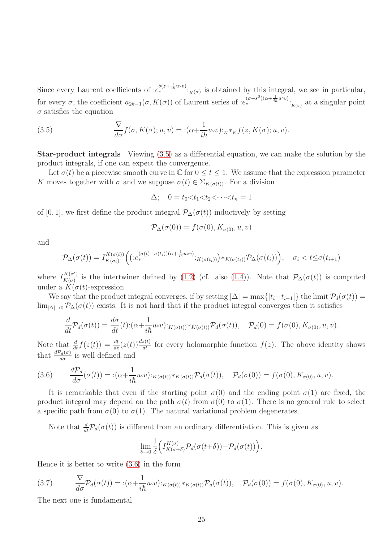Since every Laurent coefficients of  $:e_*^{\delta(z+\frac{1}{ih}u\circ v)}:_{K(\sigma)}$  is obtained by this integral, we see in particular, for every  $\sigma$ , the coefficient  $a_{2k-1}(\sigma, K(\sigma))$  of Laurent series of  $:e_*^{(\sigma+s^2)(\alpha+\frac{1}{i\hbar}u\circ v)}:_{K(\sigma)}$  at a singular point  $\sigma$  satisfies the equation

<span id="page-24-0"></span>(3.5) 
$$
\frac{\nabla}{d\sigma} f(\sigma, K(\sigma); u, v) = : (\alpha + \frac{1}{i\hbar} u \circ v) :_{K} *_{K} f(z, K(\sigma); u, v).
$$

Star-product integrals Viewing [\(3.5\)](#page-24-0) as a differential equation, we can make the solution by the product integrals, if one can expect the convergence.

Let  $\sigma(t)$  be a piecewise smooth curve in  $\mathbb C$  for  $0 \le t \le 1$ . We assume that the expression parameter K moves together with  $\sigma$  and we suppose  $\sigma(t) \in \Sigma_{K(\sigma(t))}$ . For a division

$$
\Delta; \quad 0 = t_0 < t_1 < t_2 < \cdots < t_n = 1
$$

of [0, 1], we first define the product integral  $\mathcal{P}_{\Delta}(\sigma(t))$  inductively by setting

$$
\mathcal{P}_{\Delta}(\sigma(0)) = f(\sigma(0), K_{\sigma(0)}, u, v)
$$

and

$$
\mathcal{P}_{\Delta}(\sigma(t)) = I_{K(\sigma_i)}^{K(\sigma(t))} \Big( \big( : e_*^{(\sigma(t) - \sigma(t_i))(\alpha + \frac{1}{i\hbar}u\circ v)} : K(\sigma(t_i)) \big) *_{K(\sigma(t_i))} \mathcal{P}_{\Delta}(\sigma(t_i)) \Big), \quad \sigma_i < t \leq \sigma(t_{i+1})
$$

where  $I_{K(\sigma)}^{K(\sigma')}$  $K(\sigma)$  is the intertwiner defined by [\(1.2\)](#page-2-2) (cf. also [\(1.4\)](#page-2-1)). Note that  $\mathcal{P}_{\Delta}(\sigma(t))$  is computed under a  $K(\sigma(t))$ -expression.

We say that the product integral converges, if by setting  $|\Delta| = \max\{|t_i - t_{i-1}|\}$  the limit  $\mathcal{P}_d(\sigma(t)) =$  $\lim_{|\Delta| \to 0} \mathcal{P}_{\Delta}(\sigma(t))$  exists. It is not hard that if the product integral converges then it satisfies

$$
\frac{d}{dt}\mathcal{P}_d(\sigma(t)) = \frac{d\sigma}{dt}(t) : (\alpha + \frac{1}{i\hbar}u \circ v) :_{K(\sigma(t))} \mathcal{P}_d(\sigma(t)), \quad \mathcal{P}_d(0) = f(\sigma(0), K_{\sigma(0)}, u, v).
$$

Note that  $\frac{d}{dt}f(z(t)) = \frac{df}{dz}(z(t))\frac{dz(t)}{dt}$  for every holomorphic function  $f(z)$ . The above identity shows that  $\frac{dP_d(\sigma)}{d\sigma}$  is well-defined and

<span id="page-24-1"></span>(3.6) 
$$
\frac{d\mathcal{P}_d}{d\sigma}(\sigma(t)) = \div(\alpha + \frac{1}{i\hbar}u\circ v)\div_{K(\sigma(t))}\psi_{K(\sigma(t))}\mathcal{P}_d(\sigma(t)), \quad \mathcal{P}_d(\sigma(0)) = f(\sigma(0), K_{\sigma(0)}, u, v).
$$

It is remarkable that even if the starting point  $\sigma(0)$  and the ending point  $\sigma(1)$  are fixed, the product integral may depend on the path  $\sigma(t)$  from  $\sigma(0)$  to  $\sigma(1)$ . There is no general rule to select a specific path from  $\sigma(0)$  to  $\sigma(1)$ . The natural variational problem degenerates.

Note that  $\frac{d}{dt}P_d(\sigma(t))$  is different from an ordinary differentiation. This is given as

$$
\lim_{\delta \to 0} \frac{1}{\delta} \Big( I^{K(\sigma)}_{K(\sigma+\delta)} \mathcal{P}_d(\sigma(t+\delta)) - \mathcal{P}_d(\sigma(t)) \Big).
$$

Hence it is better to write [\(3.6\)](#page-24-1) in the form

(3.7) 
$$
\frac{\nabla}{d\sigma}\mathcal{P}_d(\sigma(t)) = \div(\alpha + \frac{1}{i\hbar}u\circ v)\div_{K(\sigma(t))}\psi_{K(\sigma(t))}\mathcal{P}_d(\sigma(t)), \quad \mathcal{P}_d(\sigma(0)) = f(\sigma(0), K_{\sigma(0)}, u, v).
$$

The next one is fundamental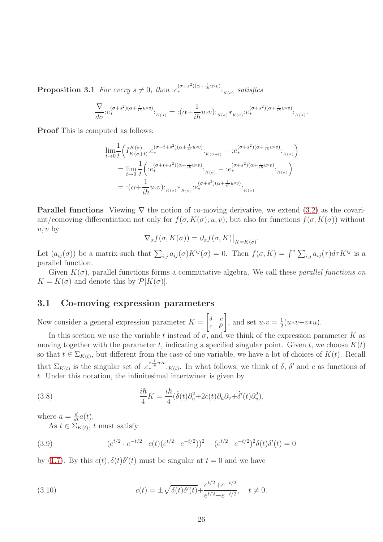**Proposition 3.1** For every  $s \neq 0$ , then  $:e^{(\sigma+s^2)(\alpha+\frac{1}{i\hbar}u\circ v)}:_{K(\sigma)} satisfies$ 

$$
\frac{\nabla}{d\sigma} : e_*^{(\sigma+s^2)(\alpha+\frac{1}{i\hbar}u\circ v)} \cdot \kappa(\sigma) = : (\alpha+\frac{1}{i\hbar}u\circ v) : \kappa(\sigma)*\kappa(\sigma) : e_*^{(\sigma+s^2)(\alpha+\frac{1}{i\hbar}u\circ v)} : \kappa(\sigma) \cdot
$$

Proof This is computed as follows:

$$
\lim_{t \to 0} \frac{1}{t} \Big( I_{K(\sigma+t)}^{K(\sigma)} \cdot e_{*}^{(\sigma+t+s^{2})(\alpha+\frac{1}{i\hbar}u\circ v)} \cdot \Big|_{K(\sigma+t)} - \Big| e_{*}^{(\sigma+s^{2})(\alpha+\frac{1}{i\hbar}u\circ v)} \cdot \Big|_{K(\sigma)} \Big)
$$
\n
$$
= \lim_{t \to 0} \frac{1}{t} \Big( \Big( e_{*}^{(\sigma+t+s^{2})(\alpha+\frac{1}{i\hbar}u\circ v)} \cdot \Big)_{K(\sigma)} - \Big( e_{*}^{(\sigma+s^{2})(\alpha+\frac{1}{i\hbar}u\circ v)} \cdot \Big)_{K(\sigma)} \Big)
$$
\n
$$
= \Big( \alpha + \frac{1}{i\hbar} u \circ v \Big) \cdot \Big|_{K(\sigma)} \cdot e_{*}^{(\sigma+s^{2})(\alpha+\frac{1}{i\hbar}u\circ v)} \cdot \Big|_{K(\sigma)}.
$$

**Parallel functions** Viewing  $\nabla$  the notion of co-moving derivative, we extend [\(3.2\)](#page-23-1) as the covariant/comoving differentiation not only for  $f(\sigma, K(\sigma); u, v)$ , but also for functions  $f(\sigma, K(\sigma))$  without  $u, v$  by

$$
\nabla_{\sigma} f(\sigma, K(\sigma)) = \partial_{\sigma} f(\sigma, K)|_{K=K(\sigma)}
$$

.

Let  $(a_{ij}(\sigma))$  be a matrix such that  $\sum_{i,j} a_{ij}(\sigma) K^{ij}(\sigma) = 0$ . Then  $f(\sigma, K) = \int_{\sigma}^{\sigma} \sum_{i,j} a_{ij}(\tau) d\tau K^{ij}$  is a parallel function.

Given  $K(\sigma)$ , parallel functions forms a commutative algebra. We call these *parallel functions on*  $K = K(\sigma)$  and denote this by  $\mathcal{P}[K(\sigma)].$ 

## <span id="page-25-0"></span>3.1 Co-moving expression parameters

Now consider a general expression parameter  $K = \begin{bmatrix} \delta & c \\ c & \delta \end{bmatrix}$  $c \delta'$ , and set  $u\circ v=\frac{1}{2}$  $\frac{1}{2}(u*v+v*u).$ 

In this section we use the variable t instead of  $\sigma$ , and we think of the expression parameter K as moving together with the parameter t, indicating a specified singular point. Given t, we choose  $K(t)$ so that  $t \in \Sigma_{K(t)}$ , but different from the case of one variable, we have a lot of choices of  $K(t)$ . Recall that  $\Sigma_{K(t)}$  is the singular set of  $:e^{z^{\frac{1}{ih}u\circ v}}$ :<sub>K(t)</sub>. In what follows, we think of  $\delta$ ,  $\delta'$  and c as functions of t. Under this notation, the infinitesimal intertwiner is given by

(3.8) 
$$
\frac{i\hbar}{4}\dot{K} = \frac{i\hbar}{4}(\dot{\delta}(t)\partial_u^2 + 2\dot{c}(t)\partial_u\partial_v + \dot{\delta}'(t)\partial_v^2),
$$

where  $\dot{a} = \frac{d}{dt}a(t)$ .

As  $t \in \Sigma_{K(t)}$ , t must satisfy

(3.9) 
$$
(e^{t/2} + e^{-t/2} - c(t)(e^{t/2} - e^{-t/2}))^2 - (e^{t/2} - e^{-t/2})^2 \delta(t) \delta'(t) = 0
$$

by [\(1.7\)](#page-3-0). By this  $c(t)$ ,  $\delta(t)\delta'(t)$  must be singular at  $t=0$  and we have

<span id="page-25-1"></span>(3.10) 
$$
c(t) = \pm \sqrt{\delta(t)\delta'(t)} + \frac{e^{t/2} + e^{-t/2}}{e^{t/2} - e^{-t/2}}, \quad t \neq 0.
$$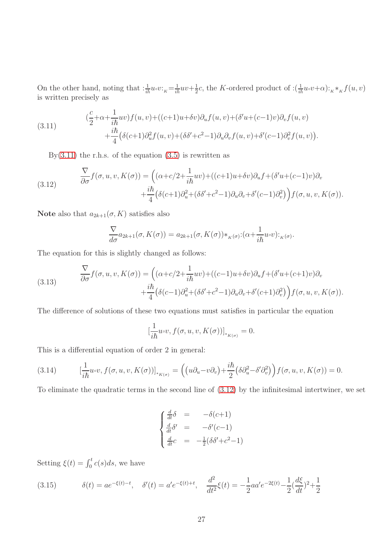On the other hand, noting that  $:\frac{1}{i\hbar}u\circ v:_{K}=\frac{1}{i\hbar}uv+\frac{1}{2}$  $\frac{1}{2}c$ , the K-ordered product of  $:\left(\frac{1}{i\hbar}u\circ v+\alpha\right):_{K}\ast_{K} f(u,v)$ is written precisely as

<span id="page-26-0"></span>(3.11) 
$$
(\frac{c}{2}+\alpha+\frac{1}{i\hbar}uv)f(u,v)+((c+1)u+\delta v)\partial_u f(u,v)+(\delta'u+(c-1)v)\partial_v f(u,v) +\frac{i\hbar}{4}(\delta(c+1)\partial_u^2 f(u,v)+(\delta\delta'+c^2-1)\partial_u\partial_v f(u,v)+\delta'(c-1)\partial_v^2 f(u,v)).
$$

<span id="page-26-1"></span>By[\(3.11\)](#page-26-0) the r.h.s. of the equation  $(3.5)$  is rewritten as

(3.12) 
$$
\frac{\nabla}{\partial \sigma} f(\sigma, u, v, K(\sigma)) = \left( (\alpha + c/2 + \frac{1}{i\hbar}uv) + ((c+1)u + \delta v)\partial_u f + (\delta'u + (c-1)v)\partial_v \right. \\ \left. + \frac{i\hbar}{4} (\delta(c+1)\partial_u^2 + (\delta\delta' + c^2 - 1)\partial_u\partial_v + \delta'(c-1)\partial_v^2) \right) f(\sigma, u, v, K(\sigma)).
$$

Note also that  $a_{2k+1}(\sigma, K)$  satisfies also

$$
\frac{\nabla}{d\sigma}a_{2k+1}(\sigma, K(\sigma)) = a_{2k+1}(\sigma, K(\sigma)) *_{K(\sigma)}: (\alpha + \frac{1}{i\hbar}u\circ v):_{K(\sigma)}.
$$

The equation for this is slightly changed as follows:

(3.13) 
$$
\frac{\nabla}{\partial \sigma} f(\sigma, u, v, K(\sigma)) = \left( (\alpha + c/2 + \frac{1}{i\hbar}uv) + ((c-1)u + \delta v)\partial_u f + (\delta'u + (c+1)v)\partial_v \right. \\ \left. + \frac{i\hbar}{4} (\delta(c-1)\partial_u^2 + (\delta\delta' + c^2 - 1)\partial_u\partial_v + \delta'(c+1)\partial_v^2) \right) f(\sigma, u, v, K(\sigma)).
$$

The difference of solutions of these two equations must satisfies in particular the equation

$$
\left[\frac{1}{i\hbar}u\circ v, f(\sigma, u, v, K(\sigma))\right]_{*_{K(\sigma)}} = 0.
$$

This is a differential equation of order 2 in general:

(3.14) 
$$
\left[\frac{1}{i\hbar}u\circ v,f(\sigma,u,v,K(\sigma))\right]_{*_{K(\sigma)}}=\left(\left(u\partial_u-v\partial_v\right)+\frac{i\hbar}{2}\left(\delta\partial_u^2-\delta'\partial_v^2\right)\right)f(\sigma,u,v,K(\sigma))=0.
$$

To eliminate the quadratic terms in the second line of [\(3.12\)](#page-26-1) by the infinitesimal intertwiner, we set

$$
\begin{cases}\n\frac{d}{dt}\delta &= -\delta(c+1) \\
\frac{d}{dt}\delta' &= -\delta'(c-1) \\
\frac{d}{dt}c &= -\frac{1}{2}(\delta\delta' + c^2 - 1)\n\end{cases}
$$

Setting  $\xi(t) = \int_0^t c(s)ds$ , we have

<span id="page-26-2"></span>(3.15) 
$$
\delta(t) = ae^{-\xi(t)-t}, \quad \delta'(t) = a'e^{-\xi(t)+t}, \quad \frac{d^2}{dt^2}\xi(t) = -\frac{1}{2}aa'e^{-2\xi(t)} - \frac{1}{2}(\frac{d\xi}{dt})^2 + \frac{1}{2}
$$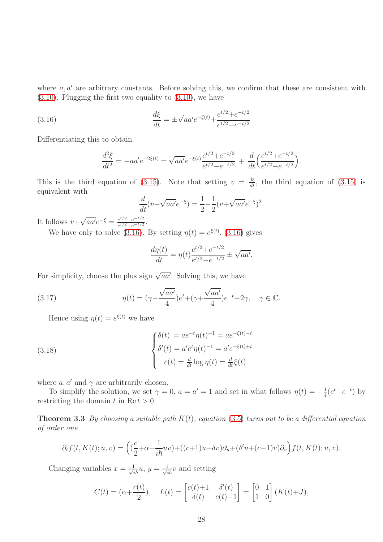where  $a, a'$  are arbitrary constants. Before solving this, we confirm that these are consistent with [\(3.10\)](#page-25-1). Plugging the first two equality to [\(3.10\)](#page-25-1), we have

(3.16) 
$$
\frac{d\xi}{dt} = \pm \sqrt{aa'}e^{-\xi(t)} + \frac{e^{t/2} + e^{-t/2}}{e^{t/2} - e^{-t/2}}
$$

Differentiating this to obtain

<span id="page-27-0"></span>
$$
\frac{d^2\xi}{dt^2} = -aa'e^{-2\xi(t)} \pm \sqrt{aa'}e^{-\xi(t)}\frac{e^{t/2} + e^{-t/2}}{e^{t/2} - e^{-t/2}} + \frac{d}{dt}\left(\frac{e^{t/2} + e^{-t/2}}{e^{t/2} - e^{-t/2}}\right).
$$

This is the third equation of [\(3.15\)](#page-26-2). Note that setting  $v = \frac{d\xi}{dt}$ , the third equation of (3.15) is equivalent with

$$
\frac{d}{dt}(v+\sqrt{aa'}e^{-\xi}) = \frac{1}{2} - \frac{1}{2}(v+\sqrt{aa'}e^{-\xi})^2.
$$

It follows  $v + \sqrt{aa'}e^{-\xi} = \frac{e^{t/2} - e^{-t/2}}{e^{t/2} + e^{-t/2}}$ .

We have only to solve [\(3.16\)](#page-27-0). By setting  $\eta(t) = e^{\xi(t)}$ , (3.16) gives

$$
\frac{d\eta(t)}{dt} = \eta(t) \frac{e^{t/2} + e^{-t/2}}{e^{t/2} - e^{-t/2}} \pm \sqrt{aa'}.
$$

For simplicity, choose the plus sign  $\sqrt{aa'}$ . Solving this, we have

(3.17) 
$$
\eta(t) = (\gamma - \frac{\sqrt{aa'}}{4})e^{t} + (\gamma + \frac{\sqrt{aa'}}{4})e^{-t} - 2\gamma, \quad \gamma \in \mathbb{C}.
$$

Hence using  $\eta(t) = e^{\xi(t)}$  we have

(3.18) 
$$
\begin{cases} \delta(t) = ae^{-t}\eta(t)^{-1} = ae^{-\xi(t)-t} \\ \delta'(t) = a'e^{t}\eta(t)^{-1} = a'e^{-\xi(t)+t} \\ c(t) = \frac{d}{dt}\log \eta(t) = \frac{d}{dt}\xi(t) \end{cases}
$$

where  $a, a'$  and  $\gamma$  are arbitrarily chosen.

To simplify the solution, we set  $\gamma = 0$ ,  $a = a' = 1$  and set in what follows  $\eta(t) = -\frac{1}{4}$  $\frac{1}{4}(e^t-e^{-t})$  by restricting the domain t in Re  $t > 0$ .

**Theorem 3.3** By choosing a suitable path  $K(t)$ , equation [\(3.5\)](#page-24-0) turns out to be a differential equation of order one

$$
\partial_t f(t, K(t); u, v) = \left( \left( \frac{c}{2} + \alpha + \frac{1}{i\hbar} uv \right) + \left( (c+1)u + \delta v \right) \partial_u + \left( \delta' u + (c-1)v \right) \partial_v \right) f(t, K(t); u, v).
$$

Changing variables  $x = \frac{1}{\sqrt{2}}$  $\frac{1}{i\hbar}u, y=\frac{1}{\sqrt{i}}$  $\frac{1}{i\hbar}v$  and setting

$$
C(t) = (\alpha + \frac{c(t)}{2}), \quad L(t) = \begin{bmatrix} c(t) + 1 & \delta'(t) \\ \delta(t) & c(t) - 1 \end{bmatrix} = \begin{bmatrix} 0 & 1 \\ 1 & 0 \end{bmatrix} (K(t) + J),
$$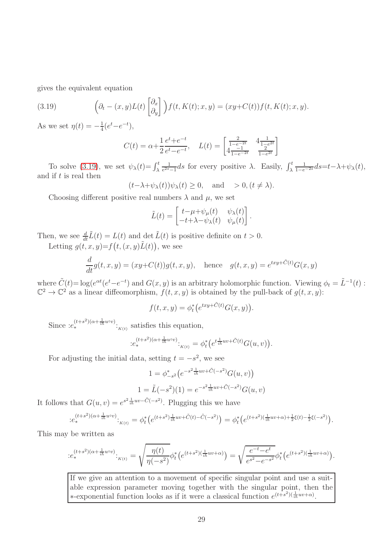gives the equivalent equation

(3.19) 
$$
\left(\partial_t - (x,y)L(t) \begin{bmatrix} \partial_x \\ \partial_y \end{bmatrix}\right) f(t,K(t);x,y) = (xy + C(t)) f(t,K(t);x,y).
$$

As we set  $\eta(t) = -\frac{1}{4}$  $\frac{1}{4}(e^t-e^{-t}),$ 

<span id="page-28-0"></span>
$$
C(t) = \alpha + \frac{1}{2} \frac{e^t + e^{-t}}{e^t - e^{-t}}, \quad L(t) = \begin{bmatrix} \frac{2}{1 - e^{-2t}} & \frac{4}{1 - e^{2t}} \\ \frac{4}{1 - e^{-2t}} & \frac{2}{1 - e^{2t}} \end{bmatrix}
$$

To solve [\(3.19\)](#page-28-0), we set  $\psi_{\lambda}(t) = \int_{\lambda}^{t}$ 1  $\frac{1}{e^{2s}-1}ds$  for every positive  $\lambda$ . Easily,  $\int_{\lambda}^{t}$  $\frac{1}{1-e^{-2s}}$ ds=t- $\lambda + \psi_{\lambda}(t)$ , and if  $t$  is real then

$$
(t-\lambda+\psi_{\lambda}(t))\psi_{\lambda}(t) \ge 0
$$
, and  $> 0, (t \ne \lambda)$ .

Choosing different positive real numbers  $\lambda$  and  $\mu$ , we set

$$
\tilde{L}(t) = \begin{bmatrix} t - \mu + \psi_{\mu}(t) & \psi_{\lambda}(t) \\ -t + \lambda - \psi_{\lambda}(t) & \psi_{\mu}(t) \end{bmatrix}.
$$

Then, we see  $\frac{d}{dt}\tilde{L}(t) = L(t)$  and  $\det \tilde{L}(t)$  is positive definite on  $t > 0$ .

Letting  $g(t, x, y) = f(t, (x, y) \tilde{L}(t))$ , we see

$$
\frac{d}{dt}g(t,x,y) = (xy + C(t))g(t,x,y), \quad \text{hence} \quad g(t,x,y) = e^{txy + \tilde{C}(t)}G(x,y)
$$

where  $\tilde{C}(t) = \log(e^{\alpha t}(e^t - e^{-t})$  and  $G(x, y)$  is an arbitrary holomorphic function. Viewing  $\phi_t = \tilde{L}^{-1}(t)$ :  $\mathbb{C}^2 \to \mathbb{C}^2$  as a linear diffeomorphism,  $f(t, x, y)$  is obtained by the pull-back of  $g(t, x, y)$ :

$$
f(t, x, y) = \phi_t^* \big( e^{txy + \tilde{C}(t)} G(x, y) \big).
$$

Since  $:e^{(t+s^2)(\alpha+\frac{1}{i\hbar}u\circ v)}:_{K(t)}$  satisfies this equation,

$$
: e_*^{(t+s^2)(\alpha + \frac{1}{i\hbar}uvv)}:_{K(t)} = \phi_t^* \left( e^{t \frac{1}{i\hbar}uv + \tilde{C}(t)} G(u, v) \right).
$$

For adjusting the initial data, setting  $t = -s^2$ , we see

$$
1 = \phi_{-s^2}^* \left( e^{-s^2 \frac{1}{i\hbar} uv + \tilde{C}(-s^2)} G(u, v) \right)
$$
  

$$
1 = \tilde{L}(-s^2)(1) = e^{-s^2 \frac{1}{i\hbar} uv + \tilde{C}(-s^2)} G(u, v)
$$

It follows that  $G(u, v) = e^{s^2 \frac{1}{i\hbar}uv - \tilde{C}(-s^2)}$ . Plugging this we have

$$
\hspace*{-1.5cm}: \hspace*{-0.5cm} e_{*}^{(t+s^2)(\alpha+\frac{1}{i\hbar}uvv)}\cdot_{K(t)} = \phi_{t}^{*}\big(e^{(t+s^2)\frac{1}{i\hbar}uv+\tilde{C}(t)-\tilde{C}(-s^2)}\big) = \phi_{t}^{*}\big(e^{(t+s^2)(\frac{1}{i\hbar}uv+\alpha)+\frac{1}{2}\xi(t)-\frac{1}{2}\xi(-s^2)}\big).
$$

This may be written as

$$
: e_*^{(t+s^2)(\alpha+\frac{1}{i\hbar}u\circ v)}:_{K(t)} = \sqrt{\frac{\eta(t)}{\eta(-s^2)}}\phi_t^*\big(e^{(t+s^2)(\frac{1}{i\hbar}uv+\alpha)}\big) = \sqrt{\frac{e^{-t}-e^t}{e^{s^2}-e^{-s^2}}}\phi_t^*\big(e^{(t+s^2)(\frac{1}{i\hbar}uv+\alpha)}\big).
$$

If we give an attention to a movement of specific singular point and use a suitable expression parameter moving together with the singular point, then the \*-exponential function looks as if it were a classical function  $e^{(t+s^2)(\frac{1}{i\hbar}uv+\alpha)}$ .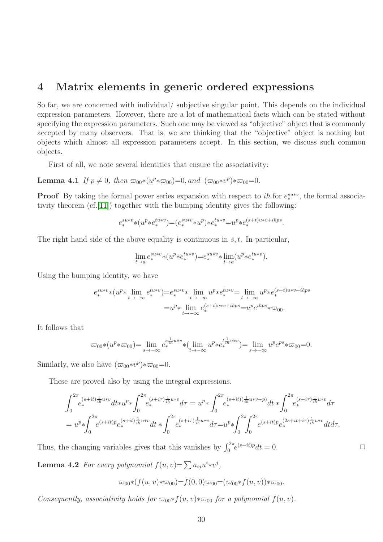# <span id="page-29-0"></span>4 Matrix elements in generic ordered expressions

So far, we are concerned with individual/ subjective singular point. This depends on the individual expression parameters. However, there are a lot of mathematical facts which can be stated without specifying the expression parameters. Such one may be viewed as "objective" object that is commonly accepted by many observers. That is, we are thinking that the "objective" object is nothing but objects which almost all expression parameters accept. In this section, we discuss such common objects.

First of all, we note several identities that ensure the associativity:

**Lemma 4.1** If  $p \neq 0$ , then  $\varpi_{00} * (u^p * \varpi_{00}) = 0$ , and  $(\varpi_{00} * v^p) * \varpi_{00} = 0$ .

**Proof** By taking the formal power series expansion with respect to  $i\hbar$  for  $e_*^{s u * v}$ , the formal associativity theorem  $(cf.[11])$  $(cf.[11])$  $(cf.[11])$  together with the bumping identity gives the following:

$$
e_*^{s u * v} * (u^p * e_*^{t u * v}) {=} (e_*^{s u * v} * u^p) * e_*^{t u * v} {=} u^p * e_*^{(s+t) u * v + i \hbar p s}.
$$

The right hand side of the above equality is continuous in  $s, t$ . In particular,

$$
\lim_{t\to a}e_*^{s u*v}*(u^p*e_*^{t u*v}){=}e_*^{s u*v}*\lim_{t\to a}(u^p*e_*^{t u*v}).
$$

Using the bumping identity, we have

$$
\begin{split} e^{s u * v} * (u^p * \lim_{t \to -\infty} e^{t u * v}_*) = & e^{s u * v}_* \lim_{t \to -\infty} u^p * e^{t u * v}_* = \lim_{t \to -\infty} u^p * e^{(s+t) u * v + i\hbar ps} \\ = & u^p * \lim_{t \to -\infty} e^{(s+t) u * v + i\hbar ps} = u^p e^{i\hbar ps} * \varpi_{00}. \end{split}
$$

It follows that

$$
\varpi_{00} * (u^p * \varpi_{00}) = \lim_{s \to -\infty} e_*^{s \frac{1}{ih} u * v} * (\lim_{t \to -\infty} u^p * e_*^{t \frac{1}{ih} u * v}) = \lim_{s \to -\infty} u^p e^{ps} * \varpi_{00} = 0.
$$

Similarly, we also have  $(\varpi_{00} * v^p) * \varpi_{00} = 0$ .

These are proved also by using the integral expressions.

$$
\int_{0}^{2\pi} e^{(s+it)\frac{1}{i\hbar}u*v} dt * u^{p} * \int_{0}^{2\pi} e^{(s+it)\frac{1}{i\hbar}u*v} d\tau = u^{p} * \int_{0}^{2\pi} e^{(s+it)(\frac{1}{i\hbar}u*v+p)} dt * \int_{0}^{2\pi} e^{(s+it)\frac{1}{i\hbar}u*v} d\tau
$$
  
=  $u^{p} * \int_{0}^{2\pi} e^{(s+it)p} e^{(s+it)\frac{1}{i\hbar}u*v} dt * \int_{0}^{2\pi} e^{(s+it)\frac{1}{i\hbar}uv} d\tau = u^{p} * \int_{0}^{2\pi} \int_{0}^{2\pi} e^{(s+it)p} e^{(2s+it+i\tau)\frac{1}{i\hbar}uv} dt d\tau.$ 

Thus, the changing variables gives that this vanishes by  $\int_0^{2\pi} e^{(s+it)p} dt = 0$ .

**Lemma 4.2** For every polynomial  $f(u, v) = \sum a_{ij}u^i * v^j$ ,

$$
\varpi_{00}*(f(u,v)*\varpi_{00})=f(0,0)\varpi_{00}=(\varpi_{00}*f(u,v))*\varpi_{00}.
$$

Consequently, associativity holds for  $\varpi_{00} * f(u, v) * \varpi_{00}$  for a polynomial  $f(u, v)$ .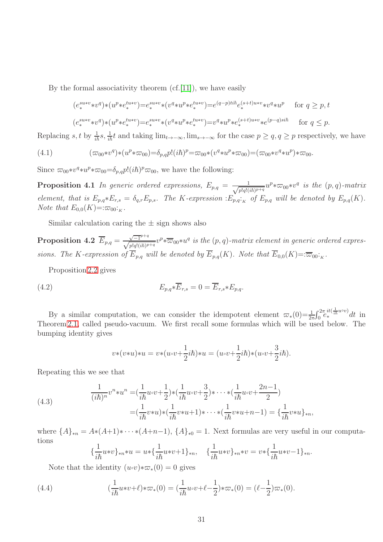By the formal associativity theorem  $(cf.[11])$  $(cf.[11])$  $(cf.[11])$ , we have easily

$$
\begin{aligned} (e_{*}^{suv*} \ast v^{q}) \ast (u^{p} \ast e_{*}^{tuv*}) =& e_{*}^{suv*} \ast (v^{q} \ast u^{p} \ast e_{*}^{tuv*}) = e^{(q-p) t i \hbar} e_{*}^{(s+t) u * v} \ast v^{q} \ast u^{p} &\text{for } q \geq p, t \\ (e_{*}^{suv*} \ast v^{q}) \ast (u^{p} \ast e_{*}^{tuv*}) =& e_{*}^{suv*} \ast (v^{q} \ast u^{p} \ast e_{*}^{tuv*}) =& v^{q} \ast u^{p} \ast e_{*}^{(s+t) u * v} \ast e^{(p-q) s i \hbar} &\text{for } q \leq p. \end{aligned}
$$

Replacing s, t by  $\frac{1}{i\hbar}s$ ,  $\frac{1}{i\hbar}t$  and taking  $\lim_{t\to-\infty}$ ,  $\lim_{s\to-\infty}$  for the case  $p\geq q$ ,  $q\geq p$  respectively, we have

$$
(4.1) \qquad (\varpi_{00} * v^q) * (u^p * \varpi_{00}) = \delta_{p,q} p! (i\hbar)^p = \varpi_{00} * (v^q * u^p * \varpi_{00}) = (\varpi_{00} * v^q * u^p) * \varpi_{00}.
$$

Since  $\varpi_{00} * v^q * u^p * \varpi_{00} = \delta_{p,q} p! (i\hbar)^p \varpi_{00}$ , we have the following:

**Proposition 4.1** In generic ordered expressions,  $E_{p,q} = \frac{1}{\sqrt{p|q|}}$  $\frac{1}{p!q!(i\hbar)^{p+q}}u^p*\varpi_{00}*v^q$  is the  $(p,q)$ -matrix element, that is  $E_{p,q} * E_{r,s} = \delta_{q,r} E_{p,s}$ . The K-expression : $E_{p,q} : K$  of  $E_{p,q}$  will be denoted by  $E_{p,q}(K)$ . Note that  $E_{0,0}(K)=:\varpi_{00}:K$ .

Similar calculation caring the  $\pm$  sign shows also

**Proposition 4.2**  $\overline{E}_{p,q} = \frac{\sqrt{-1}^{p+q}}{\sqrt{p!q!(ih)^{p+q}}} v^p * \overline{\omega}_{00} * u^q$  is the  $(p,q)$ -matrix element in generic ordered expressions. The K-expression of  $E_{p,q}$  will be denoted by  $E_{p,q}(K)$ . Note that  $E_{0,0}(K)=:\overline{\varpi}_{00:K}$ .

Proposition [2.2](#page-8-1) gives

(4.2) 
$$
E_{p,q} * \overline{E}_{r,s} = 0 = \overline{E}_{r,s} * E_{p,q}.
$$

By a similar computation, we can consider the idempotent element  $\varpi_*(0) = \frac{1}{2\pi} \int_0^{2\pi} \frac{it(\frac{1}{i\hbar}u\circ v)}{e_*} dt$  in Theorem [2.1,](#page-10-1) called pseudo-vacuum. We first recall some formulas which will be used below. The bumping identity gives

$$
v*(v*u)*u = v*(u\circ v + \frac{1}{2}i\hbar)*u = (u\circ v + \frac{1}{2}i\hbar)*(u\circ v + \frac{3}{2}i\hbar).
$$

Repeating this we see that

(4.3) 
$$
\frac{1}{(i\hbar)^n} v^n * u^n = \left(\frac{1}{i\hbar} u \cdot v + \frac{1}{2}\right) * \left(\frac{1}{i\hbar} u \cdot v + \frac{3}{2}\right) * \dots * \left(\frac{1}{i\hbar} u \cdot v + \frac{2n-1}{2}\right) = \left(\frac{1}{i\hbar} v * u\right) * \left(\frac{1}{i\hbar} v * u + 1\right) * \dots * \left(\frac{1}{i\hbar} v * u + n-1\right) = \left\{\frac{1}{i\hbar} v * u\right\}_{*n},
$$

where  $\{A\}_{*n} = A*(A+1)*\cdots*(A+n-1)$ ,  $\{A\}_{*0} = 1$ . Next formulas are very useful in our computations

$$
\{\frac{1}{i\hbar}u*v\}_{*n}*u=u*\{\frac{1}{i\hbar}u*v+1\}_{*n},\quad \{\frac{1}{i\hbar}u*v\}_{*n}*v=v*\{\frac{1}{i\hbar}u*v-1\}_{*n}.
$$

Note that the identity  $(u\circ v)*\varpi_*(0) = 0$  gives

(4.4) 
$$
(\frac{1}{i\hbar}u*v+\ell)*\varpi_*(0)=(\frac{1}{i\hbar}u\circ v+\ell-\frac{1}{2})*\varpi_*(0)=(\ell-\frac{1}{2})\varpi_*(0).
$$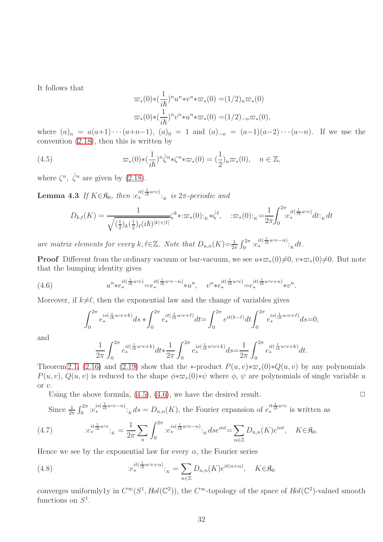It follows that

<span id="page-31-0"></span>
$$
\varpi_*(0) * \left(\frac{1}{i\hbar}\right)^n u^n * v^n * \varpi_*(0) = (1/2)_n \varpi_*(0)
$$
  

$$
\varpi_*(0) * \left(\frac{1}{i\hbar}\right)^n v^n * u^n * \varpi_*(0) = (1/2)_{-n} \varpi_*(0),
$$

where  $(a)_n = a(a+1)\cdots(a+n-1)$ ,  $(a)_0 = 1$  and  $(a)_{-n} = (a-1)(a-2)\cdots(a-n)$ . If we use the convention [\(2.18\)](#page-15-3), then this is written by

(4.5) 
$$
\varpi_*(0) * \left(\frac{1}{i\hbar}\right)^n \hat{\zeta}^n * \zeta^n * \varpi_*(0) = \left(\frac{1}{2}\right)_n \varpi_*(0), \quad n \in \mathbb{Z},
$$

<span id="page-31-2"></span>where  $\zeta^n$ ,  $\hat{\zeta}^n$  are given by [\(2.18\)](#page-15-3).

**Lemma 4.3** If  $K \in \mathfrak{K}_0$ , then  $:e_*^{it(\frac{1}{i\hbar}u\circ v)}:_{K}$  is  $2\pi$ -periodic and

$$
D_{k,\ell}(K) = \frac{1}{\sqrt{(\frac{1}{2})_k(\frac{1}{2})_{\ell}(i\hbar)^{|k|+|\ell|}}} \zeta^k * : \varpi_*(0) : {_{K}}* \hat{\zeta}^{\ell}, \quad : \varpi_*(0) : {_{K}} = \frac{1}{2\pi} \int_0^{2\pi} e^{it(\frac{1}{i\hbar}u \circ v)} dt : {_{K}} dt
$$

are matrix elements for every  $k, \ell \in \mathbb{Z}$ . Note that  $D_{n,n}(K) = \frac{1}{2\pi} \int_0^{2\pi} e^{it(\frac{1}{i\hbar}uv - n)} \cdot_K dt$ .

**Proof** Different from the ordinary vacuum or bar-vacuum, we see  $u * \varpi_*(0) \neq 0$ ,  $v * \varpi_*(0) \neq 0$ . But note that the bumping identity gives

(4.6) 
$$
u^{n} * e_*^{it(\frac{1}{i\hbar}u\circ v)} = e_*^{it(\frac{1}{i\hbar}u\circ v-n)} * u^{n}, \quad v^{n} * e_*^{it(\frac{1}{i\hbar}u\circ v)} = e_*^{it(\frac{1}{i\hbar}u\circ v+n)} * v^{n}.
$$

Moreover, if  $k\neq\ell$ , then the exponential law and the change of variables gives

<span id="page-31-1"></span>
$$
\int_0^{2\pi} e_*^{is(\frac{1}{i\hbar}u\circ v+k)}ds * \int_0^{2\pi} e_*^{it(\frac{1}{i\hbar}u\circ v+\ell)}dt = \int_0^{2\pi} e^{it(k-\ell)}dt \int_0^{2\pi} e_*^{is(\frac{1}{i\hbar}u\circ v+\ell)}ds = 0,
$$

and

$$
\frac{1}{2\pi} \int_0^{2\pi} e_*^{it(\frac{1}{i\hbar}u\circ v+k)} dt * \frac{1}{2\pi} \int_0^{2\pi} e_*^{is(\frac{1}{i\hbar}u\circ v+k)} ds = \frac{1}{2\pi} \int_0^{2\pi} e_*^{it(\frac{1}{i\hbar}u\circ v+k)} dt.
$$

Theorem [2.1,](#page-10-1) [\(2.16\)](#page-15-2) and [\(2.19\)](#page-15-1) show that the \*-product  $P(u, v) * \varpi_*(0) * Q(u, v)$  by any polynomials  $P(u, v)$ ,  $Q(u, v)$  is reduced to the shape  $\phi * \varpi_*(0) * \psi$  where  $\phi$ ,  $\psi$  are polynomials of single variable u or v.

Using the above formula,  $(4.5)$ ,  $(4.6)$ , we have the desired result.  $\Box$ 

Since 
$$
\frac{1}{2\pi} \int_0^{2\pi} e^{is(\frac{1}{i\hbar}uvv-n)} \cdot_K ds = D_{n,n}(K)
$$
, the Fourier expansion of  $e^{it\frac{1}{i\hbar}uvv}$  is written as

(4.7) 
$$
: e^{it\frac{1}{ih}u\circ v}_{k}:_{K} = \frac{1}{2\pi} \sum_{n} \int_{0}^{2\pi} :e^{is(\frac{1}{ih}u\circ v - n)}_{*k}:_{K} ds e^{int} = \sum_{n \in \mathbb{Z}} D_{n,n}(K) e^{int}, \quad K \in \mathfrak{K}_{0}.
$$

Hence we see by the exponential law for every  $\alpha$ , the Fourier series

(4.8) 
$$
e_*^{it(\frac{1}{i\hbar}u\circ v+\alpha)}:_{K} = \sum_{n\in\mathbb{Z}} D_{n,n}(K)e^{it(n+\alpha)}, \quad K \in \mathfrak{K}_0
$$

converges uniformly1y in  $C^{\infty}(S^1, Hol(\mathbb{C}^2))$ , the  $C^{\infty}$ -topology of the space of  $Hol(\mathbb{C}^2)$ -valued smooth functions on  $S^1$ .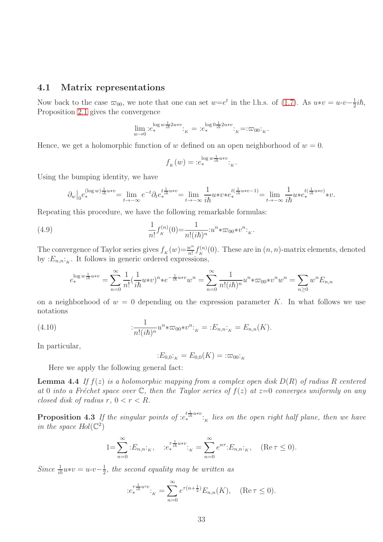### <span id="page-32-0"></span>4.1 Matrix representations

Now back to the case  $\overline{\omega}_{00}$ , we note that one can set  $w=e^t$  in the l.h.s. of [\(1.7\)](#page-3-0). As  $u*v=u\circ v-\frac{1}{2}$  $\frac{1}{2}$ *ih*, Proposition [2.1](#page-6-1) gives the convergence

$$
\lim_{w \to 0} :e_*^{\log w \frac{1}{i\hbar} 2 u * v}:K = :e_*^{\log 0 \frac{1}{i\hbar} 2 u * v}:K = : \varpi_{00}:K.
$$

Hence, we get a holomorphic function of w defined on an open neighborhood of  $w = 0$ .

$$
f_K(w) = :e_*^{\log w \frac{1}{ih} u * v} : _K.
$$

Using the bumping identity, we have

$$
\partial_w\big|_0e_*^{(\log w)\frac{1}{i\hbar}u*v}=\lim_{t\to-\infty}e^{-t}\partial_te_*^{t\frac{1}{i\hbar}u*v}=\lim_{t\to-\infty}\frac{1}{i\hbar}u*v*e_*^{t(\frac{1}{i\hbar}u*v-1)}=\lim_{t\to-\infty}\frac{1}{i\hbar}u*e_*^{t(\frac{1}{i\hbar}u*v)}*v.
$$

Repeating this procedure, we have the following remarkable formulas:

(4.9) 
$$
\frac{1}{n!} f_K^{(n)}(0) = \frac{1}{n!(i\hbar)^n} : u^n * \varpi_{00} * v^n : K.
$$

The convergence of Taylor series gives  $f_K(w) = \frac{w^n}{n!} f_K^{(n)}$  $K_K^{(n)}(0)$ . These are in  $(n, n)$ -matrix elements, denoted by  $:E_{n,n^{\dagger}K}$ . It follows in generic ordered expressions,

$$
e_*^{\log w \frac{1}{i\hbar} u * v} = \sum_{n=0}^{\infty} \frac{1}{n!} (\frac{1}{i\hbar} u * v)^n * e^{-\frac{1}{i\hbar} u * v} w^n = \sum_{n=0}^{\infty} \frac{1}{n! (i\hbar)^n} u^n * \varpi_{00} * v^n w^n = \sum_{n \ge 0} w^n E_{n,n}
$$

on a neighborhood of  $w = 0$  depending on the expression parameter K. In what follows we use notations

(4.10) 
$$
\qquad \qquad : \frac{1}{n!(i\hbar)^n} u^n * \varpi_{00} * v^n :_{K} = :E_{n,n}:_{K} = E_{n,n}(K).
$$

In particular,

<span id="page-32-1"></span>
$$
:E_{0,0}:_{K} = E_{0,0}(K) = : \varpi_{00}:_{K}
$$

Here we apply the following general fact:

**Lemma 4.4** If  $f(z)$  is a holomorphic mapping from a complex open disk  $D(R)$  of radius R centered at 0 into a Fréchet space over  $\mathbb C$ , then the Taylor series of  $f(z)$  at  $z=0$  converges uniformly on any closed disk of radius  $r, 0 < r < R$ .

**Proposition 4.3** If the singular points of  $:e_*^{t\frac{1}{ih}u*v}:$  lies on the open right half plane, then we have in the space  $Hol(\mathbb{C}^2)$ 

$$
1 = \sum_{n=0}^{\infty} E_{n,n} E_{n,n} \cdot E_{n,n}^{-\frac{1}{t} u * v} = \sum_{n=0}^{\infty} e^{n\tau} E_{n,n} E_{n,n} \quad (\text{Re}\,\tau \le 0).
$$

Since  $\frac{1}{i\hbar}u*v=u\circ v-\frac{1}{2}$  $\frac{1}{2}$ , the second equality may be written as

$$
:e_*^{\tau \frac{1}{i\hbar} u^{\circ v}}:_{K} = \sum_{n=0}^{\infty} e^{\tau (n + \frac{1}{2})} E_{n,n}(K), \quad (\text{Re}\,\tau \le 0).
$$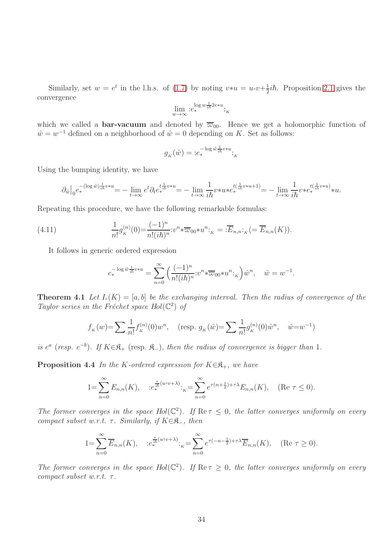Similarly, set  $w = e^t$  in the l.h.s. of [\(1.7\)](#page-3-0) by noting  $v * u = u \cdot v + \frac{1}{2}$  $\frac{1}{2}$ *ih*. Proposition [2.1](#page-6-1) gives the convergence

$$
\lim_{w \to \infty} :e_*^{\log w \frac{1}{i\hbar} 2v * u} : K
$$

which we called a **bar-vacuum** and denoted by  $\overline{\varpi}_{00}$ . Hence we get a holomorphic function of  $\hat{w} = w^{-1}$  defined on a neighborhood of  $\hat{w} = 0$  depending on K. Set as follows:

$$
g_K(\hat{w}) = :e_*^{-\log \hat{w}\frac{1}{i\hbar}v*u} : K
$$

Using the bumping identity, we have

$$
\partial_{\hat w}\big|_0e_*^{-(\log \hat w)\frac{1}{i\hbar}v*u}=-\lim_{t\to\infty}e^t\partial_{t}e_*^{t\frac{1}{i\hbar}v*u}=-\lim_{t\to\infty}\frac{1}{i\hbar}v*u*e_*^{t(\frac{1}{i\hbar}v*u+1)}=-\lim_{t\to\infty}\frac{1}{i\hbar}v*e_*^{t(\frac{1}{i\hbar}v*u)}*u.
$$

Repeating this procedure, we have the following remarkable formulas:

(4.11) 
$$
\frac{1}{n!}g_K^{(n)}(0) = \frac{(-1)^n}{n!(i\hbar)^n} : v^n \ast \overline{\omega}_{00} \ast u^n :_{K} = : \overline{E}_{n,n}:_{K} ( = \overline{E}_{n,n}(K)).
$$

It follows in generic ordered expression

<span id="page-33-0"></span>
$$
e_*^{-\log \hat{w}^1_{i\hbar}v*u} = \sum_{n=0}^{\infty} \left(\frac{(-1)^n}{n!(i\hbar)^n} :v^n*\overline{\varpi}_{00}*u^n:_{\kappa}\right)\hat{w}^n, \quad \hat{w} = w^{-1}.
$$

**Theorem 4.1** Let  $I_{\circ}(K) = [a, b]$  be the exchanging interval. Then the radius of convergence of the Taylor series in the Fréchet space  $Hol(\mathbb{C}^2)$  of

$$
f_K(w) = \sum \frac{1}{n!} f_K^{(n)}(0) w^n, \quad \text{(resp. } g_K(\hat{w}) = \sum \frac{1}{n!} g_K^{(n)}(0) \hat{w}^n, \quad \hat{w} = w^{-1}\text{)}
$$

is  $e^a$  (resp.  $e^{-b}$ ). If  $K \in \mathfrak{K}_+$  (resp.  $\mathfrak{K}_-$ ), then the radius of convergence is bigger than 1.

**Proposition 4.4** In the K-ordered expression for  $K \in \mathbb{R}_+$ , we have

$$
1 = \sum_{n=0}^{\infty} E_{n,n}(K), \quad :e_*^{\frac{\tau}{ih}(u \circ v + \lambda)}:_{K} = \sum_{n=0}^{\infty} e^{\tau(n + \frac{1}{2}) + \tau \lambda} E_{n,n}(K), \quad (\text{Re } \tau \le 0).
$$

The former converges in the space  $Hol(\mathbb{C}^2)$ . If  $\text{Re}\,\tau \leq 0$ , the latter converges uniformly on every compact subset w.r.t.  $\tau$ . Similarly, if  $K \in \mathcal{R}_-$ , then

$$
1 = \sum_{n=0}^{\infty} \overline{E}_{n,n}(K), \quad :e_*^{\frac{\tau}{i\hbar}(u\circ v + \lambda)}:_{K} = \sum_{n=0}^{\infty} e^{\tau(-n - \frac{1}{2}) + \tau\lambda} \overline{E}_{n,n}(K), \quad (\text{Re } \tau \ge 0).
$$

The former converges in the space  $Hol(\mathbb{C}^2)$ . If  $\text{Re}\,\tau \geq 0$ , the latter converges uniformly on every compact subset w.r.t.  $\tau$ .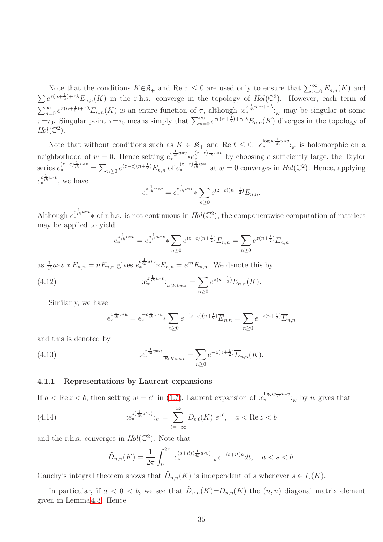Note that the conditions  $K \in \mathcal{R}_+$  and Re  $\tau \leq 0$  are used only to ensure that  $\sum_{n=0}^{\infty} E_{n,n}(K)$  and  $\sum e^{\tau(n+\frac{1}{2})+\tau\lambda} E_{n,n}(K)$  in the r.h.s. converge in the topology of  $Hol(\mathbb{C}^2)$ . However, each term of  $\sum_{n=0}^{\infty} e^{\tau(n+\frac{1}{2})+\tau\lambda} E_{n,n}(K)$  is an entire function of  $\tau$ , although  $:e_*^{\tau\frac{1}{2}uv+\tau\lambda}$ :<sub>K</sub> may be singular at some  $\tau = \tau_0$ . Singular point  $\tau = \tau_0$  means simply that  $\sum_{n=0}^{\infty} e^{\tau_0(n+\frac{1}{2})+\tau_0\lambda} E_{n,n}(K)$  diverges in the topology of  $Hol(\mathbb{C}^2).$ 

Note that without conditions such as  $K \in \mathfrak{K}_+$  and Re  $t \leq 0$ ,  $e^{log w \frac{1}{i\hbar} u * v}$ ; is holomorphic on a neighborhood of  $w = 0$ . Hence setting  $e_*^{c \frac{1}{i\hbar} u * v} * e_*^{(z-c) \frac{1}{i\hbar} u * v}$  by choosing c sufficiently large, the Taylor series  $e^{(z-c)\frac{1}{i\hbar}u*v} = \sum_{n\geq 0} e^{(z-c)(n+\frac{1}{2})} E_{n,n}$  of  $e^{(z-c)\frac{1}{i\hbar}u*v}$  at  $w=0$  converges in  $Hol(\mathbb{C}^2)$ . Hence, applying  $e_{*}^{c\frac{1}{i\hbar}u*v}$ , we have

$$
e_{*}^{z \frac{1}{i\hbar} u * v} = e_{*}^{c \frac{1}{i\hbar} u * v} * \sum_{n \geq 0} e^{(z-c)(n+\frac{1}{2})} E_{n,n}.
$$

Although  $e_{*}^{c_{i\hbar}^{1}u*v}$  \* of r.h.s. is not continuous in  $Hol(\mathbb{C}^2)$ , the componentwise computation of matrices may be applied to yield

$$
e_{*}^{z \frac{1}{i\hbar} u * v} = e_{*}^{c \frac{1}{i\hbar} u * v} * \sum_{n \geq 0} e^{(z-c)(n+\frac{1}{2})} E_{n,n} = \sum_{n \geq 0} e^{z(n+\frac{1}{2})} E_{n,n}
$$

as  $\frac{1}{i\hbar}u*v*E_{n,n}=nE_{n,n}$  gives  $e^{c\frac{1}{i\hbar}u*v}*E_{n,n}=e^{cn}E_{n,n}$ . We denote this by

(4.12) 
$$
e_{*}^{z_{\frac{1}{in}u*v}}:_{E(K)_{mat}} = \sum_{n\geq 0} e^{z(n+\frac{1}{2})} E_{n,n}(K).
$$

Similarly, we have

<span id="page-34-2"></span><span id="page-34-1"></span>
$$
e_{*}^{z \frac{1}{ih} v * u} = e_{*}^{-c \frac{1}{ih} v * u} \sum_{n \geq 0} e^{-(z+c)(n+\frac{1}{2})} \overline{E}_{n,n} = \sum_{n \geq 0} e^{-z(n+\frac{1}{2})} \overline{E}_{n,n}
$$

and this is denoted by

(4.13) 
$$
e_{*}^{z\frac{1}{i\hbar}v*u} \cdot e_{*}^{z\frac{1}{i\hbar}v*u} \cdot \frac{1}{E(K)_{mat}} = \sum_{n\geq 0} e^{-z(n+\frac{1}{2})} \overline{E}_{n,n}(K).
$$

#### <span id="page-34-0"></span>4.1.1 Representations by Laurent expansions

If  $a < \text{Re } z < b$ , then setting  $w = e^z$  in [\(1.7\)](#page-3-0), Laurent expansion of  $:e_*^{\log w \frac{1}{i\hbar} u \circ v}$ : by w gives that

(4.14) 
$$
e_*^{z(\frac{1}{i\hbar}u\circ v)}:_{K} = \sum_{\ell=-\infty}^{\infty} \tilde{D}_{\ell,\ell}(K) e^{z\ell}, \quad a < \text{Re } z < b
$$

and the r.h.s. converges in  $Hol(\mathbb{C}^2)$ . Note that

$$
\tilde{D}_{n,n}(K) = \frac{1}{2\pi} \int_0^{2\pi} e_*^{(s+it)(\frac{1}{i\hbar}u\circ v)} \cdot \, e^{-(s+it)n} dt, \quad a < s < b.
$$

Cauchy's integral theorem shows that  $\tilde{D}_{n,n}(K)$  is independent of s whenever  $s \in I_{\circ}(K)$ .

In particular, if  $a < 0 < b$ , we see that  $\tilde{D}_{n,n}(K) = D_{n,n}(K)$  the  $(n, n)$  diagonal matrix element given in Lemma [4.3.](#page-31-2) Hence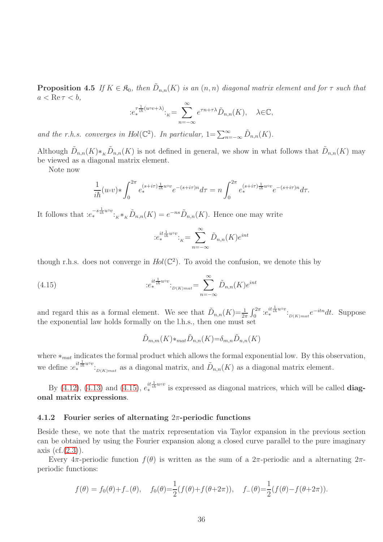**Proposition 4.5** If  $K \in \mathfrak{K}_0$ , then  $\tilde{D}_{n,n}(K)$  is an  $(n,n)$  diagonal matrix element and for  $\tau$  such that  $a < \text{Re}\,\tau < b$ ,

$$
:e_*^{\tau \frac{1}{ih}(u \circ v + \lambda)}: \underset{n = -\infty}{=} e^{\tau n + \tau \lambda} \tilde{D}_{n,n}(K), \quad \lambda \in \mathbb{C},
$$

and the r.h.s. converges in Hol( $\mathbb{C}^2$ ). In particular,  $1 = \sum_{n=-\infty}^{\infty} \tilde{D}_{n,n}(K)$ .

Although  $\tilde{D}_{n,n}(K) *_{K} \tilde{D}_{n,n}(K)$  is not defined in general, we show in what follows that  $\tilde{D}_{n,n}(K)$  may be viewed as a diagonal matrix element.

Note now

$$
\frac{1}{i\hbar}(u\circ v)*\int_0^{2\pi}e_*^{(s+i\tau)\frac{1}{i\hbar}uv}e^{-(s+i\tau)n}d\tau=n\int_0^{2\pi}e_*^{(s+i\tau)\frac{1}{i\hbar}uv}e^{-(s+i\tau)n}d\tau.
$$

It follows that  $:e_*^{-s\frac{1}{ih}uv}$ :<sub> $K^*K\tilde{D}_{n,n}(K) = e^{-ns}\tilde{D}_{n,n}(K)$ . Hence one may write</sub>

<span id="page-35-1"></span>
$$
:e_*^{it\frac{1}{i\hbar}u\circ v}:_{K}=\sum_{n=-\infty}^{\infty}\tilde{D}_{n,n}(K)e^{int}
$$

though r.h.s. does not converge in  $Hol(\mathbb{C}^2)$ . To avoid the confusion, we denote this by

(4.15) 
$$
e_{*}^{it\frac{1}{i\hbar}uv} :_{D(K)mat} = \sum_{n=-\infty}^{\infty} \tilde{D}_{n,n}(K)e^{int}
$$

and regard this as a formal element. We see that  $\tilde{D}_{n,n}(K) = \frac{1}{2\pi} \int_0^{2\pi} e^{it \frac{1}{i\hbar} u \circ v} \cdot_{D(K)_{mat}} e^{-itn} dt$ . Suppose the exponential law holds formally on the l.h.s., then one must set

$$
\tilde{D}_{m,m}(K) *_{mat} \tilde{D}_{n,n}(K) = \delta_{m,n} \tilde{D}_{n,n}(K)
$$

where  $*_{mat}$  indicates the formal product which allows the formal exponential low. By this observation, we define  $:e^{it\frac{1}{ih}uvv}$ :<br> $D(K)mat}$  as a diagonal matrix, and  $\tilde{D}_{n,n}(K)$  as a diagonal matrix element.

By [\(4.12\)](#page-34-1), [\(4.13\)](#page-34-2) and [\(4.15\)](#page-35-1),  $e^{it\frac{1}{i\hbar}uv}$  is expressed as diagonal matrices, which will be called **diag**onal matrix expressions.

#### <span id="page-35-0"></span>4.1.2 Fourier series of alternating  $2\pi$ -periodic functions

Beside these, we note that the matrix representation via Taylor expansion in the previous section can be obtained by using the Fourier expansion along a closed curve parallel to the pure imaginary axis  $(cf.(2.3))$  $(cf.(2.3))$  $(cf.(2.3))$ .

Every  $4\pi$ -periodic function  $f(\theta)$  is written as the sum of a  $2\pi$ -periodic and a alternating  $2\pi$ periodic functions:

$$
f(\theta) = f_0(\theta) + f_-(\theta), \quad f_0(\theta) = \frac{1}{2}(f(\theta) + f(\theta + 2\pi)), \quad f_-(\theta) = \frac{1}{2}(f(\theta) - f(\theta + 2\pi)).
$$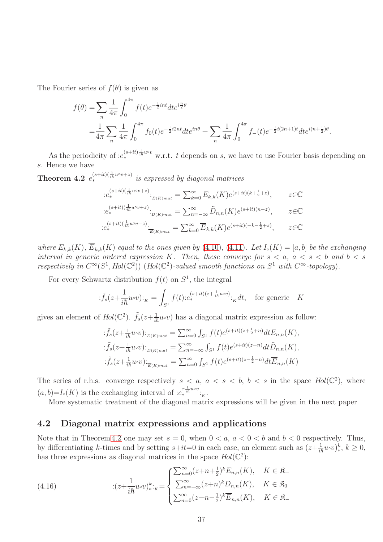The Fourier series of  $f(\theta)$  is given as

$$
f(\theta) = \sum_{n} \frac{1}{4\pi} \int_{0}^{4\pi} f(t)e^{-\frac{1}{2}int} dt e^{i\frac{n}{2}\theta}
$$
  
=  $\frac{1}{4\pi} \sum_{n} \frac{1}{4\pi} \int_{0}^{4\pi} f_0(t)e^{-\frac{1}{2}i2nt} dt e^{in\theta} + \sum_{n} \frac{1}{4\pi} \int_{0}^{4\pi} f_-(t)e^{-\frac{1}{2}i(2n+1)t} dt e^{i(n+\frac{1}{2})\theta}.$ 

As the periodicity of  $:e^{(s+it)\frac{1}{i\hbar}uv}$  w.r.t. t depends on s, we have to use Fourier basis depending on s. Hence we have

**Theorem 4.2**  $e_*^{(s+it)(\frac{1}{ih}u\circ v+z)}$  is expressed by diagonal matrices

<span id="page-36-1"></span>
$$
:e_*^{(s+it)(\frac{1}{i\hbar}u\circ v+z)}:_{E(K)mat} = \sum_{k=0}^{\infty} E_{k,k}(K)e^{(s+it)(k+\frac{1}{2}+z)}, \qquad z \in \mathbb{C}
$$
  

$$
:e_*^{(s+it)(\frac{1}{i\hbar}u\circ v+z)}:_{D(K)mat} = \sum_{n=-\infty}^{\infty} \tilde{D}_{n,n}(K)e^{(s+it)(n+z)}, \qquad z \in \mathbb{C}
$$
  

$$
:e_*^{(s+it)(\frac{1}{i\hbar}u\circ v+z)}:_{\overline{E}(K)mat} = \sum_{k=0}^{\infty} \overline{E}_{k,k}(K)e^{(s+it)(-k-\frac{1}{2}+z)}, \qquad z \in \mathbb{C}
$$

where  $E_{k,k}(K)$ ,  $\overline{E}_{k,k}(K)$  equal to the ones given by [\(4.10\)](#page-32-1), [\(4.11\)](#page-33-0). Let  $I_>(K) = [a, b]$  be the exchanging interval in generic ordered expression K. Then, these converge for  $s < a$ ,  $a < s < b$  and  $b < s$ respectively in  $C^{\infty}(S^1, Hol(\mathbb{C}^2))$  (Hol( $\mathbb{C}^2$ )-valued smooth functions on  $S^1$  with  $C^{\infty}$ -topology).

For every Schwartz distribution  $f(t)$  on  $S<sup>1</sup>$ , the integral

$$
\tilde{f}_s(z+\frac{1}{i\hbar}u\circ v)\mathbf{F}_K = \int_{S^1} f(t)\tilde{f}_s^{(s+it)(z+\frac{1}{i\hbar}u\circ v)}\mathbf{F}_K dt, \quad \text{for generic} \quad K
$$

gives an element of  $Hol(\mathbb{C}^2)$ .  $\tilde{f}_s(z+\frac{1}{i\hbar}u\circ v)$  has a diagonal matrix expression as follow:

$$
\begin{aligned}\n\therefore \tilde{f}_s(z + \frac{1}{i\hbar} u \circ v) \cdot_{E(K)mat} &= \sum_{n=0}^{\infty} \int_{S^1} f(t) e^{(s+it)(z + \frac{1}{2} + n)} dt E_{n,n}(K), \\
\therefore \tilde{f}_s(z + \frac{1}{i\hbar} u \circ v) \cdot_{D(K)mat} &= \sum_{n=-\infty}^{\infty} \int_{S^1} f(t) e^{(s+it)(z+n)} dt \tilde{D}_{n,n}(K), \\
\therefore \tilde{f}_s(z + \frac{1}{i\hbar} u \circ v) \cdot_{\overline{E}(K)mat} &= \sum_{n=0}^{\infty} \int_{S^1} f(t) e^{(s+it)(z - \frac{1}{2} - n)} dt \overline{E}_{n,n}(K)\n\end{aligned}
$$

The series of r.h.s. converge respectively  $s < a, a < s < b, b < s$  in the space  $Hol(\mathbb{C}^2)$ , where  $(a, b)=I<sub>o</sub>(K)$  is the exchanging interval of  $:e<sub>*</sub><sup>\tau<sub>th</sub><sup>1</sup>u<sup>ov</sup></sup>$ :<sub>K</sub>.

More systematic treatment of the diagonal matrix expressions will be given in the next paper

## <span id="page-36-0"></span>4.2 Diagonal matrix expressions and applications

Note that in Theorem [4.2](#page-36-1) one may set  $s = 0$ , when  $0 < a$ ,  $a < 0 < b$  and  $b < 0$  respectively. Thus, by differentiating k-times and by setting  $s+it=0$  in each case, an element such as  $(z+\frac{1}{i\hbar}u\circ v)_*$ ∗ , k ≥ 0, has three expressions as diagonal matrices in the space  $Hol(\mathbb{C}^2)$ :

(4.16) 
$$
\qquad \qquad \vdots (z + \frac{1}{i\hbar} u \circ v)_{* \cdot \kappa}^{k} = \begin{cases} \sum_{n=0}^{\infty} (z + n + \frac{1}{2})^{k} E_{n,n}(K), & K \in \mathfrak{K}_{+} \\ \sum_{n=-\infty}^{\infty} (z + n)^{k} D_{n,n}(K), & K \in \mathfrak{K}_{0} \\ \sum_{n=0}^{\infty} (z - n - \frac{1}{2})^{k} \overline{E}_{n,n}(K), & K \in \mathfrak{K}_{-} \end{cases}
$$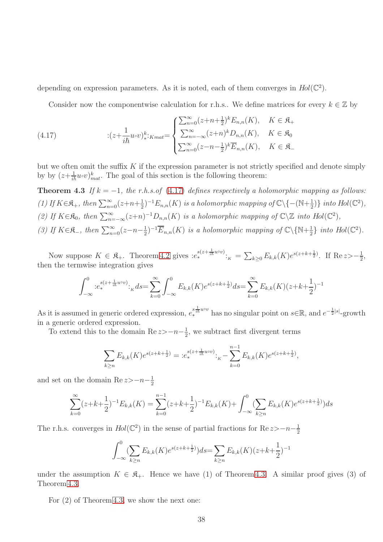depending on expression parameters. As it is noted, each of them converges in  $Hol(\mathbb{C}^2)$ .

<span id="page-37-0"></span>Consider now the componentwise calculation for r.h.s.. We define matrices for every  $k \in \mathbb{Z}$  by

(4.17) 
$$
\qquad \qquad \vdots (z + \frac{1}{i\hbar} u \cdot v)_*^{k} :_{Kmat} = \begin{cases} \sum_{n=0}^{\infty} (z + n + \frac{1}{2})^k E_{n,n}(K), & K \in \mathfrak{K}_+ \\ \sum_{n=-\infty}^{\infty} (z + n)^k D_{n,n}(K), & K \in \mathfrak{K}_0 \\ \sum_{n=0}^{\infty} (z - n - \frac{1}{2})^k \overline{E}_{n,n}(K), & K \in \mathfrak{K}_- \end{cases}
$$

but we often omit the suffix  $K$  if the expression parameter is not strictly specified and denote simply by by  $(z+\frac{1}{i\hbar}u\circ v)_{mat}^k$ . The goal of this section is the following theorem:

**Theorem 4.3** If  $k = -1$ , the r.h.s.of [\(4.17\)](#page-37-0) defines respectively a holomorphic mapping as follows: (1) If  $K \in \mathfrak{K}_+$ , then  $\sum_{n=0}^{\infty} (z+n+\frac{1}{2})$  $\frac{1}{2}$ )<sup>-1</sup>E<sub>n,n</sub>(K) is a holomorphic mapping of  $\mathbb{C}\backslash\{-(\mathbb{N}+\frac{1}{2})\}$  $\frac{1}{2}$ ) into Hol( $\mathbb{C}^2$ ), (2) If  $K \in \mathfrak{K}_0$ , then  $\sum_{n=-\infty}^{\infty} (z+n)^{-1} D_{n,n}(K)$  is a holomorphic mapping of  $\mathbb{C} \setminus \mathbb{Z}$  into  $Hol(\mathbb{C}^2)$ , (3) If  $K \in \mathfrak{K}_-$ , then  $\sum_{n=0}^{\infty} (z-n-\frac{1}{2})$  $\frac{1}{2}$ )<sup>-1</sup> $\overline{E}_{n,n}(K)$  is a holomorphic mapping of  $\mathbb{C}\backslash {\mathbb{N}}+\frac{1}{2}$  $\frac{1}{2}$  into  $Hol(\mathbb{C}^2)$ .

Now suppose  $K \in \mathfrak{K}_+$ . Theorem [4.2](#page-36-1) gives  $:e^{s(z+\frac{1}{i\hbar}uv)}_*:=\sum_{k\geq 0}E_{k,k}(K)e^{s(z+k+\frac{1}{2})}$ . If  $\text{Re}\, z > -\frac{1}{2}$  $\frac{1}{2}$ , then the termwise integration gives

<span id="page-37-1"></span>
$$
\int_{-\infty}^{0} e_*^{s(z+\frac{1}{i\hbar}u\circ v)} \cdot_K ds = \sum_{k=0}^{\infty} \int_{-\infty}^{0} E_{k,k}(K) e^{s(z+k+\frac{1}{2})} ds = \sum_{k=0}^{\infty} E_{k,k}(K) (z+k+\frac{1}{2})^{-1}
$$

As it is assumed in generic ordered expression,  $e_*^{s\frac{1}{i\hbar}uv}$  has no singular point on  $s\in\mathbb{R}$ , and  $e^{-\frac{1}{2}|s|}$ -growth in a generic ordered expression.

To extend this to the domain Re  $z > -n-\frac{1}{2}$  $\frac{1}{2}$ , we subtract first divergent terms

$$
\sum_{k\geq n} E_{k,k}(K) e^{s(z+k+\frac{1}{2})} = :e_*^{s(z+\frac{1}{i\hbar}uvv)}:_{K} - \sum_{k=0}^{n-1} E_{k,k}(K) e^{s(z+k+\frac{1}{2})},
$$

and set on the domain Re  $z > -n-\frac{1}{2}$ 2

$$
\sum_{k=0}^{\infty} (z+k+\frac{1}{2})^{-1}E_{k,k}(K) = \sum_{k=0}^{n-1} (z+k+\frac{1}{2})^{-1}E_{k,k}(K) + \int_{-\infty}^{0} (\sum_{k\geq n} E_{k,k}(K)e^{s(z+k+\frac{1}{2})})ds
$$

The r.h.s. converges in  $Hol(\mathbb{C}^2)$  in the sense of partial fractions for  $\text{Re } z > -n-\frac{1}{2}$ 2

$$
\int_{-\infty}^{0} \left(\sum_{k\geq n} E_{k,k}(K) e^{s(z+k+\frac{1}{2})}\right) ds = \sum_{k\geq n} E_{k,k}(K) (z+k+\frac{1}{2})^{-1}
$$

under the assumption  $K \in \mathfrak{K}_+$ . Hence we have (1) of Theorem [4.3.](#page-37-1) A similar proof gives (3) of Theorem [4.3.](#page-37-1)

For (2) of Theorem [4.3,](#page-37-1) we show the next one: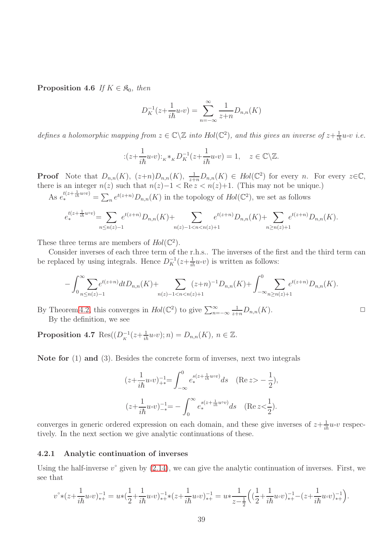**Proposition 4.6** If  $K \in \mathfrak{K}_0$ , then

$$
D_K^{-1}(z + \frac{1}{i\hbar}u \circ v) = \sum_{n = -\infty}^{\infty} \frac{1}{z + n} D_{n,n}(K)
$$

defines a holomorphic mapping from  $z \in \mathbb{C} \setminus \mathbb{Z}$  into  $Hol(\mathbb{C}^2)$ , and this gives an inverse of  $z + \frac{1}{i\hbar}u \circ v$  i.e.

$$
:(z+\frac{1}{i\hbar}u\circ v):_{K}*_K D_K^{-1}(z+\frac{1}{i\hbar}u\circ v)=1,\quad z\in\mathbb{C}\backslash\mathbb{Z}.
$$

**Proof** Note that  $D_{n,n}(K)$ ,  $(z+n)D_{n,n}(K)$ ,  $\frac{1}{z+n}D_{n,n}(K) \in Hol(\mathbb{C}^2)$  for every n. For every  $z \in \mathbb{C}$ , there is an integer  $n(z)$  such that  $n(z)-1 < \text{Re } z < n(z)+1$ . (This may not be unique.)

As  $e^{t(z+\frac{1}{ih}u\circ v)}_* = \sum_n e^{t(z+n)} D_{n,n}(K)$  in the topology of  $Hol(\mathbb{C}^2)$ , we set as follows

$$
e_*^{t(z+\frac{1}{i\hbar}uvv)} = \sum_{n \le n(z)-1} e^{t(z+n)} D_{n,n}(K) + \sum_{n(z)-1 < n < n(z)+1} e^{t(z+n)} D_{n,n}(K) + \sum_{n \ge n(z)+1} e^{t(z+n)} D_{n,n}(K).
$$

These three terms are members of  $Hol(\mathbb{C}^2)$ .

Consider inverses of each three term of the r.h.s.. The inverses of the first and the third term can be replaced by using integrals. Hence  $D_K^{-1}(z+\frac{1}{i\hbar}u\circ v)$  is written as follows:

$$
-\int_{0}^{\infty} \sum_{n \leq n(z)-1} e^{t(z+n)} dt D_{n,n}(K) + \sum_{n(z)-1 \leq n < n(z)+1} (z+n)^{-1} D_{n,n}(K) + \int_{-\infty}^{0} \sum_{n \geq n(z)+1} e^{t(z+n)} D_{n,n}(K).
$$

By Theorem [4.2,](#page-36-1) this converges in  $Hol(\mathbb{C}^2)$  to give  $\sum_{n=-\infty}^{\infty}$  $\frac{1}{z+n}D_{n,n}(K).$ By the definition, we see

**Proposition 4.7** Res $((D<sub>K</sub><sup>-1</sup>(z+\frac{1}{i\hbar}u\circ v);n)=D_{n,n}(K), n \in \mathbb{Z}$ .

Note for (1) and (3). Besides the concrete form of inverses, next two integrals

$$
(z + \frac{1}{i\hbar}u\circ v)^{-1}_{\ast} = \int_{-\infty}^{0} e_*^{s(z + \frac{1}{i\hbar}u\circ v)} ds \quad (\text{Re}\, z > -\frac{1}{2}),
$$
  

$$
(z + \frac{1}{i\hbar}u\circ v)^{-1}_{\ast} = -\int_{0}^{\infty} e_*^{s(z + \frac{1}{i\hbar}u\circ v)} ds \quad (\text{Re}\, z < \frac{1}{2}).
$$

converges in generic ordered expression on each domain, and these give inverses of  $z + \frac{1}{i\hbar}u \circ v$  respectively. In the next section we give analytic continuations of these.

#### <span id="page-38-0"></span>4.2.1 Analytic continuation of inverses

Using the half-inverse  $v^{\circ}$  given by  $(2.14)$ , we can give the analytic continuation of inverses. First, we see that

$$
v^{\circ}*(z+\frac{1}{i\hbar}u\circ v)^{-1}_{*+}=u*(\frac{1}{2}+\frac{1}{i\hbar}u\circ v)^{-1}_{*+}*(z+\frac{1}{i\hbar}u\circ v)^{-1}_{*+}=u*\frac{1}{z-\frac{1}{2}}\Big((\frac{1}{2}+\frac{1}{i\hbar}u\circ v)^{-1}_{*+}-(z+\frac{1}{i\hbar}u\circ v)^{-1}_{*+}\Big).
$$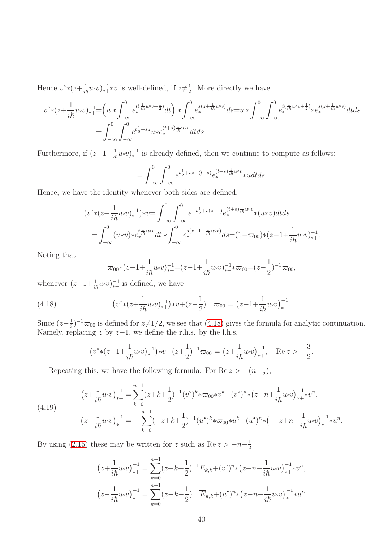Hence  $v^* \times (z + \frac{1}{i\hbar} u \cdot v)^{-1}_{*+} * v$  is well-defined, if  $z \neq \frac{1}{2}$  $\frac{1}{2}$ . More directly we have

$$
v^{\circ}*(z+\frac{1}{i\hbar}u\circ v)^{-1}_{*+} = \left(u*\int_{-\infty}^{0}e^{t(\frac{1}{i\hbar}u\circ v+\frac{1}{2})}dt\right)*\int_{-\infty}^{0}e^{s(z+\frac{1}{i\hbar}u\circ v)}ds = u*\int_{-\infty}^{0}\int_{-\infty}^{0}e^{t(\frac{1}{i\hbar}u\circ v+\frac{1}{2})}*e^{s(z+\frac{1}{i\hbar}u\circ v)}_{*}dtds
$$
  
=  $\int_{-\infty}^{0}\int_{-\infty}^{0}e^{t\frac{1}{2}+sz}u*e^{(t+s)\frac{1}{i\hbar}u\circ v}_{*}dtds$ 

Furthermore, if  $(z-1+\frac{1}{i\hbar}u\circ v)^{-1}_{*+}$  is already defined, then we continue to compute as follows:

$$
= \int_{-\infty}^{0} \int_{-\infty}^{0} e^{t\frac{1}{2} + sz - (t+s)} e_*^{(t+s)\frac{1}{i\hbar}uv} * u dt ds.
$$

Hence, we have the identity whenever both sides are defined:

$$
(v^{\circ} * (z + \frac{1}{i\hbar} u \circ v)^{-1}_{*+}) * v = \int_{-\infty}^{0} \int_{-\infty}^{0} e^{-t\frac{1}{2} + s(z-1)} e^{(t+s)\frac{1}{i\hbar} u \circ v}_{*} * (u * v) dt ds
$$
  
= 
$$
\int_{-\infty}^{0} (u * v) * e^{t\frac{1}{i\hbar} u * v}_{*} dt * \int_{-\infty}^{0} e^{s(z-1+\frac{1}{i\hbar} u \circ v)}_{*} ds = (1 - \varpi_{00}) * (z - 1 + \frac{1}{i\hbar} u \circ v)^{-1}_{*+}.
$$

Noting that

<span id="page-39-0"></span>
$$
\varpi_{00}*(z-1+\frac{1}{i\hbar}u\circ v)^{-1}_{*+}=(z-1+\frac{1}{i\hbar}u\circ v)^{-1}_{*+}*\varpi_{00}=(z-\frac{1}{2})^{-1}\varpi_{00},
$$

whenever  $(z-1+\frac{1}{i\hbar}u\circ v)^{-1}_{*+}$  is defined, we have

(4.18) 
$$
\left(v^{\circ} * (z + \frac{1}{i\hbar}u\circ v)^{-1}\right) * v + (z - \frac{1}{2})^{-1}\varpi_{00} = \left(z - 1 + \frac{1}{i\hbar}u\circ v\right)^{-1}_{*+}.
$$

Since  $(z-\frac{1}{2})$  $\frac{1}{2}$  $^{-1}\overline{\infty}_{00}$  is defined for  $z\neq 1/2$ , we see that [\(4.18\)](#page-39-0) gives the formula for analytic continuation. Namely, replacing  $z$  by  $z+1$ , we define the r.h.s. by the l.h.s.

$$
(v^{\circ}*(z+1+\frac{1}{i\hbar}u\circ v)^{-1}_{*+})\ast v+(z+\frac{1}{2})^{-1}\varpi_{00}=(z+\frac{1}{i\hbar}u\circ v)^{-1}_{*+}, \quad \text{Re}\, z>-\frac{3}{2}.
$$

Repeating this, we have the following formula: For Re  $z > -(n+\frac{1}{2})$  $(\frac{1}{2}),$ 

<span id="page-39-1"></span>
$$
(4.19) \qquad (z + \frac{1}{i\hbar}u\circ v)^{-1}_{*+} = \sum_{k=0}^{n-1}(z + k + \frac{1}{2})^{-1}(v^{\circ})^{k} * \varpi_{00} * v^{k} + (v^{\circ})^{n} * (z + n + \frac{1}{i\hbar}u\circ v)^{-1}_{*+} * v^{n},
$$
  

$$
(z - \frac{1}{i\hbar}u\circ v)^{-1}_{*-} = -\sum_{k=0}^{n-1}(-z + k + \frac{1}{2})^{-1}(u^{\bullet})^{k} * \varpi_{00} * u^{k} - (u^{\bullet})^{n} * (-z + n - \frac{1}{i\hbar}u\circ v)^{-1}_{*-} * u^{n}.
$$

By using [\(2.15\)](#page-14-3) these may be written for z such as  $\text{Re } z > -n-\frac{1}{2}$ 2

$$
(z + \frac{1}{i\hbar}u\circ v)^{-1}_{*+} = \sum_{k=0}^{n-1} (z + k + \frac{1}{2})^{-1} E_{k,k} + (v^{\circ})^{n} * (z + n + \frac{1}{i\hbar}u\circ v)^{-1}_{*+} * v^{n},
$$
  

$$
(z - \frac{1}{i\hbar}u\circ v)^{-1}_{*-} = \sum_{k=0}^{n-1} (z - k - \frac{1}{2})^{-1} \overline{E}_{k,k} + (u^{\bullet})^{n} * (z - n - \frac{1}{i\hbar}u\circ v)^{-1}_{*-} * u^{n}.
$$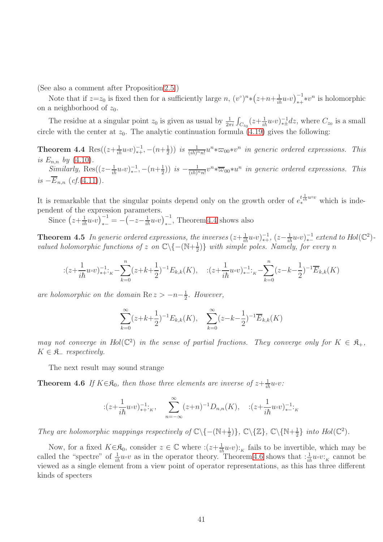(See also a comment after Proposition [2.5.](#page-13-0))

Note that if  $z=z_0$  is fixed then for a sufficiently large n,  $(v^{\circ})^n * (z+n+\frac{1}{i\hbar}u\circ v)^{-1}_{*+} *v^n$  is holomorphic on a neighborhood of  $z_0$ .

<span id="page-40-0"></span>The residue at a singular point  $z_0$  is given as usual by  $\frac{1}{2\pi i} \int_{C_{z_0}} (z + \frac{1}{i\hbar} u \cdot v)^{-1} dz$ , where  $C_{z_0}$  is a small circle with the center at  $z_0$ . The analytic continuation formula [\(4.19\)](#page-39-1) gives the following:

**Theorem 4.4** Res $((z+\frac{1}{i\hbar}u\circ v)^{-1}_{*+}, -(n+\frac{1}{2})$  $(\frac{1}{2})$ ) is  $\frac{1}{(i\hbar)^n n!}u^n*\varpi_{00}*v^n$  in generic ordered expressions. This is  $E_{n,n}$  by  $(4.10)$ . Similarly, Res $((z-\frac{1}{i\hbar}u\circ v))_{*-}^{-1}, -(n+\frac{1}{2})$  $(\frac{1}{2}))$  is  $-\frac{1}{(ih)^n n!}v^n * \overline{\varpi}_{00} * u^n$  in generic ordered expressions. This is  $-\overline{E}_{n,n}$  (cf.[\(4.11\)](#page-33-0)).

It is remarkable that the singular points depend only on the growth order of  $e_{*}^{t_{\text{th}}^{\pm}u\circ v}$  which is independent of the expression parameters.

Since  $(z+\frac{1}{i\hbar}u\circ v)^{-1}_{*-} = -(-z-\frac{1}{i\hbar}u\circ v)^{-1}_{*-}$ , Theorem [4.4](#page-40-0) shows also

**Theorem 4.5** In generic ordered expressions, the inverses  $(z+\frac{1}{i\hbar}u\circ v)^{-1}_{*+}$ ,  $(z-\frac{1}{i\hbar}u\circ v)^{-1}_{*-}$  extend to  $Hol(\mathbb{C}^2)$ valued holomorphic functions of z on  $\mathbb{C}\backslash\{-(\mathbb{N}+\frac{1}{2})\}$  $\frac{1}{2}$ } with simple poles. Namely, for every n

$$
\therefore (z + \frac{1}{i\hbar}u \circ v)^{-1}_{*+} \cdot \cdot \cdot + \sum_{k=0}^{n} (z + k + \frac{1}{2})^{-1} E_{k,k}(K), \quad \therefore (z + \frac{1}{i\hbar}u \circ v)^{-1}_{*-} \cdot \cdot \cdot + \sum_{k=0}^{n} (z - k - \frac{1}{2})^{-1} \overline{E}_{k,k}(K)
$$

are holomorphic on the domain  $\text{Re } z > -n-\frac{1}{2}$  $rac{1}{2}$ . However,

<span id="page-40-1"></span>
$$
\sum_{k=0}^{\infty} (z+k+\frac{1}{2})^{-1} E_{k,k}(K), \quad \sum_{k=0}^{\infty} (z-k-\frac{1}{2})^{-1} \overline{E}_{k,k}(K)
$$

may not converge in Hol( $\mathbb{C}^2$ ) in the sense of partial fractions. They converge only for  $K \in \mathfrak{K}_+$ ,  $K \in \mathfrak{K}$  respectively.

The next result may sound strange

**Theorem 4.6** If  $K \in \mathcal{R}_0$ , then those three elements are inverse of  $z + \frac{1}{i\hbar}u \circ v$ :

$$
:(z+\frac{1}{i\hbar}u\circ v)^{-1}_{*+k}, \sum_{n=-\infty}^{\infty} (z+n)^{-1}D_{n,n}(K), \quad :(z+\frac{1}{i\hbar}u\circ v)^{-1}_{*-k}
$$

They are holomorphic mappings respectively of  $\mathbb{C}\backslash\{-(\mathbb{N}+\frac{1}{2})\}$  $\{\frac{1}{2})\},\mathbb{C}\backslash \{\mathbb{Z}\},\mathbb{C}\backslash \{\mathbb{N}+\frac{1}{2}\}$  $\frac{1}{2}$  into  $Hol(\mathbb{C}^2)$ .

Now, for a fixed  $K \in \mathfrak{K}_0$ , consider  $z \in \mathbb{C}$  where  $:(z+\frac{1}{i\hbar}u\circ v):_K$  fails to be invertible, which may be called the "spectre" of  $\frac{1}{i\hbar}u\circ v$  as in the operator theory. Theorem [4.6](#page-40-1) shows that  $:\frac{1}{i\hbar}u\circ v:_{K}$  cannot be viewed as a single element from a view point of operator representations, as this has three different kinds of specters